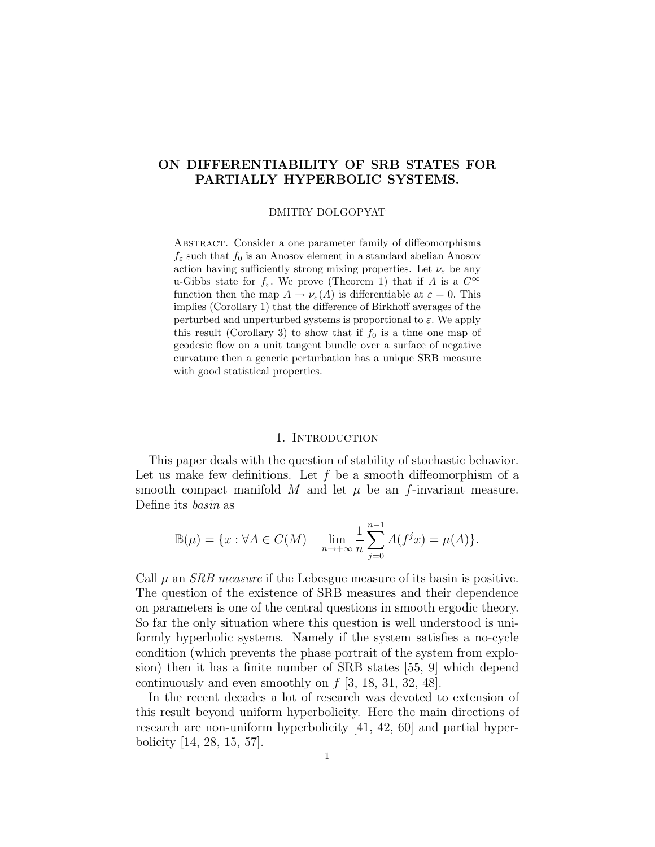# ON DIFFERENTIABILITY OF SRB STATES FOR PARTIALLY HYPERBOLIC SYSTEMS.

#### DMITRY DOLGOPYAT

Abstract. Consider a one parameter family of diffeomorphisms  $f_{\varepsilon}$  such that  $f_0$  is an Anosov element in a standard abelian Anosov action having sufficiently strong mixing properties. Let  $\nu_{\varepsilon}$  be any u-Gibbs state for  $f_{\varepsilon}$ . We prove (Theorem 1) that if A is a  $C^{\infty}$ function then the map  $A \to \nu_{\varepsilon}(A)$  is differentiable at  $\varepsilon = 0$ . This implies (Corollary 1) that the difference of Birkhoff averages of the perturbed and unperturbed systems is proportional to  $\varepsilon$ . We apply this result (Corollary 3) to show that if  $f_0$  is a time one map of geodesic flow on a unit tangent bundle over a surface of negative curvature then a generic perturbation has a unique SRB measure with good statistical properties.

## 1. INTRODUCTION

This paper deals with the question of stability of stochastic behavior. Let us make few definitions. Let  $f$  be a smooth diffeomorphism of a smooth compact manifold M and let  $\mu$  be an f-invariant measure. Define its basin as

$$
\mathbb{B}(\mu) = \{x : \forall A \in C(M) \quad \lim_{n \to +\infty} \frac{1}{n} \sum_{j=0}^{n-1} A(f^j x) = \mu(A) \}.
$$

Call  $\mu$  an *SRB measure* if the Lebesgue measure of its basin is positive. The question of the existence of SRB measures and their dependence on parameters is one of the central questions in smooth ergodic theory. So far the only situation where this question is well understood is uniformly hyperbolic systems. Namely if the system satisfies a no-cycle condition (which prevents the phase portrait of the system from explosion) then it has a finite number of SRB states [55, 9] which depend continuously and even smoothly on  $f$  [3, 18, 31, 32, 48].

In the recent decades a lot of research was devoted to extension of this result beyond uniform hyperbolicity. Here the main directions of research are non-uniform hyperbolicity [41, 42, 60] and partial hyperbolicity [14, 28, 15, 57].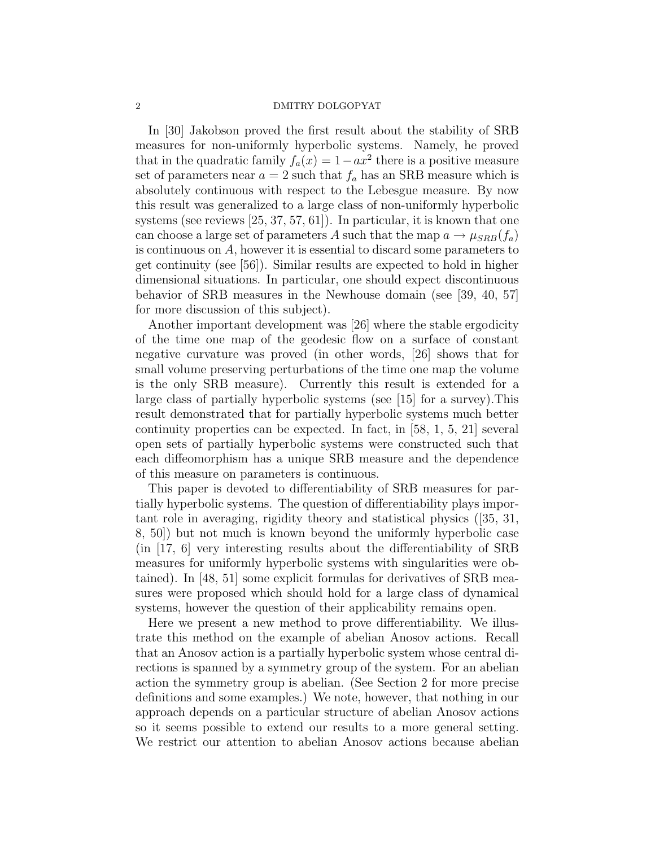In [30] Jakobson proved the first result about the stability of SRB measures for non-uniformly hyperbolic systems. Namely, he proved that in the quadratic family  $f_a(x) = 1 - ax^2$  there is a positive measure set of parameters near  $a = 2$  such that  $f_a$  has an SRB measure which is absolutely continuous with respect to the Lebesgue measure. By now this result was generalized to a large class of non-uniformly hyperbolic systems (see reviews [25, 37, 57, 61]). In particular, it is known that one can choose a large set of parameters A such that the map  $a \to \mu_{SRB}(f_a)$ is continuous on A, however it is essential to discard some parameters to get continuity (see [56]). Similar results are expected to hold in higher dimensional situations. In particular, one should expect discontinuous behavior of SRB measures in the Newhouse domain (see [39, 40, 57] for more discussion of this subject).

Another important development was [26] where the stable ergodicity of the time one map of the geodesic flow on a surface of constant negative curvature was proved (in other words, [26] shows that for small volume preserving perturbations of the time one map the volume is the only SRB measure). Currently this result is extended for a large class of partially hyperbolic systems (see [15] for a survey).This result demonstrated that for partially hyperbolic systems much better continuity properties can be expected. In fact, in [58, 1, 5, 21] several open sets of partially hyperbolic systems were constructed such that each diffeomorphism has a unique SRB measure and the dependence of this measure on parameters is continuous.

This paper is devoted to differentiability of SRB measures for partially hyperbolic systems. The question of differentiability plays important role in averaging, rigidity theory and statistical physics ([35, 31, 8, 50]) but not much is known beyond the uniformly hyperbolic case (in [17, 6] very interesting results about the differentiability of SRB measures for uniformly hyperbolic systems with singularities were obtained). In [48, 51] some explicit formulas for derivatives of SRB measures were proposed which should hold for a large class of dynamical systems, however the question of their applicability remains open.

Here we present a new method to prove differentiability. We illustrate this method on the example of abelian Anosov actions. Recall that an Anosov action is a partially hyperbolic system whose central directions is spanned by a symmetry group of the system. For an abelian action the symmetry group is abelian. (See Section 2 for more precise definitions and some examples.) We note, however, that nothing in our approach depends on a particular structure of abelian Anosov actions so it seems possible to extend our results to a more general setting. We restrict our attention to abelian Anosov actions because abelian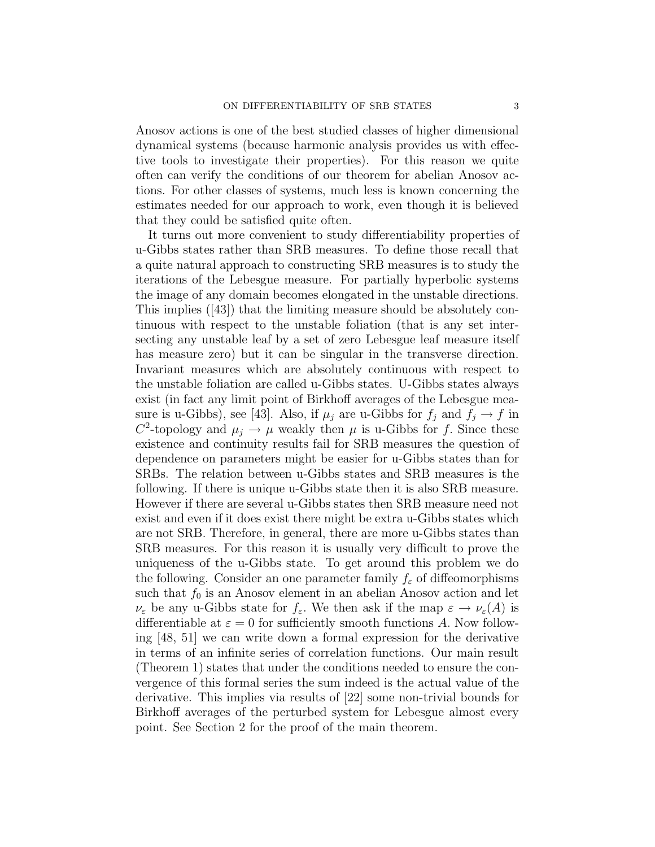Anosov actions is one of the best studied classes of higher dimensional dynamical systems (because harmonic analysis provides us with effective tools to investigate their properties). For this reason we quite often can verify the conditions of our theorem for abelian Anosov actions. For other classes of systems, much less is known concerning the estimates needed for our approach to work, even though it is believed that they could be satisfied quite often.

It turns out more convenient to study differentiability properties of u-Gibbs states rather than SRB measures. To define those recall that a quite natural approach to constructing SRB measures is to study the iterations of the Lebesgue measure. For partially hyperbolic systems the image of any domain becomes elongated in the unstable directions. This implies ([43]) that the limiting measure should be absolutely continuous with respect to the unstable foliation (that is any set intersecting any unstable leaf by a set of zero Lebesgue leaf measure itself has measure zero) but it can be singular in the transverse direction. Invariant measures which are absolutely continuous with respect to the unstable foliation are called u-Gibbs states. U-Gibbs states always exist (in fact any limit point of Birkhoff averages of the Lebesgue measure is u-Gibbs), see [43]. Also, if  $\mu_j$  are u-Gibbs for  $f_j$  and  $f_j \to f$  in  $C^2$ -topology and  $\mu_j \to \mu$  weakly then  $\mu$  is u-Gibbs for f. Since these existence and continuity results fail for SRB measures the question of dependence on parameters might be easier for u-Gibbs states than for SRBs. The relation between u-Gibbs states and SRB measures is the following. If there is unique u-Gibbs state then it is also SRB measure. However if there are several u-Gibbs states then SRB measure need not exist and even if it does exist there might be extra u-Gibbs states which are not SRB. Therefore, in general, there are more u-Gibbs states than SRB measures. For this reason it is usually very difficult to prove the uniqueness of the u-Gibbs state. To get around this problem we do the following. Consider an one parameter family  $f_{\varepsilon}$  of diffeomorphisms such that  $f_0$  is an Anosov element in an abelian Anosov action and let  $\nu_{\varepsilon}$  be any u-Gibbs state for  $f_{\varepsilon}$ . We then ask if the map  $\varepsilon \to \nu_{\varepsilon}(A)$  is differentiable at  $\varepsilon = 0$  for sufficiently smooth functions A. Now following [48, 51] we can write down a formal expression for the derivative in terms of an infinite series of correlation functions. Our main result (Theorem 1) states that under the conditions needed to ensure the convergence of this formal series the sum indeed is the actual value of the derivative. This implies via results of [22] some non-trivial bounds for Birkhoff averages of the perturbed system for Lebesgue almost every point. See Section 2 for the proof of the main theorem.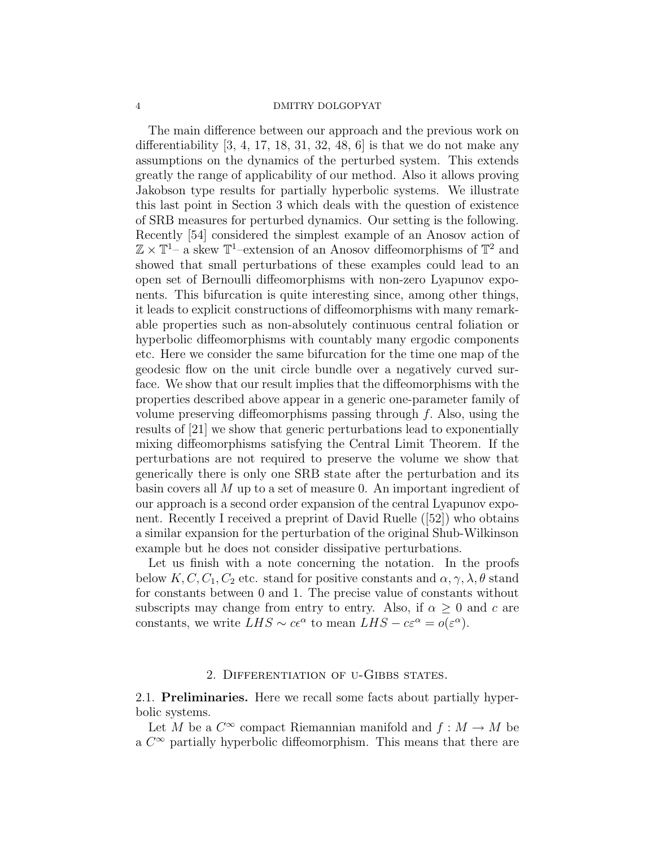The main difference between our approach and the previous work on differentiability  $[3, 4, 17, 18, 31, 32, 48, 6]$  is that we do not make any assumptions on the dynamics of the perturbed system. This extends greatly the range of applicability of our method. Also it allows proving Jakobson type results for partially hyperbolic systems. We illustrate this last point in Section 3 which deals with the question of existence of SRB measures for perturbed dynamics. Our setting is the following. Recently [54] considered the simplest example of an Anosov action of  $\mathbb{Z} \times \mathbb{T}^1$  as skew  $\mathbb{T}^1$ -extension of an Anosov diffeomorphisms of  $\mathbb{T}^2$  and showed that small perturbations of these examples could lead to an open set of Bernoulli diffeomorphisms with non-zero Lyapunov exponents. This bifurcation is quite interesting since, among other things, it leads to explicit constructions of diffeomorphisms with many remarkable properties such as non-absolutely continuous central foliation or hyperbolic diffeomorphisms with countably many ergodic components etc. Here we consider the same bifurcation for the time one map of the geodesic flow on the unit circle bundle over a negatively curved surface. We show that our result implies that the diffeomorphisms with the properties described above appear in a generic one-parameter family of volume preserving diffeomorphisms passing through f. Also, using the results of [21] we show that generic perturbations lead to exponentially mixing diffeomorphisms satisfying the Central Limit Theorem. If the perturbations are not required to preserve the volume we show that generically there is only one SRB state after the perturbation and its basin covers all M up to a set of measure 0. An important ingredient of our approach is a second order expansion of the central Lyapunov exponent. Recently I received a preprint of David Ruelle ([52]) who obtains a similar expansion for the perturbation of the original Shub-Wilkinson example but he does not consider dissipative perturbations.

Let us finish with a note concerning the notation. In the proofs below K, C,  $C_1$ ,  $C_2$  etc. stand for positive constants and  $\alpha$ ,  $\gamma$ ,  $\lambda$ ,  $\theta$  stand for constants between 0 and 1. The precise value of constants without subscripts may change from entry to entry. Also, if  $\alpha \geq 0$  and c are constants, we write  $LHS \sim c\epsilon^{\alpha}$  to mean  $LHS - c\epsilon^{\alpha} = o(\epsilon^{\alpha})$ .

## 2. Differentiation of u-Gibbs states.

2.1. Preliminaries. Here we recall some facts about partially hyperbolic systems.

Let M be a  $C^{\infty}$  compact Riemannian manifold and  $f : M \to M$  be a  $C^{\infty}$  partially hyperbolic diffeomorphism. This means that there are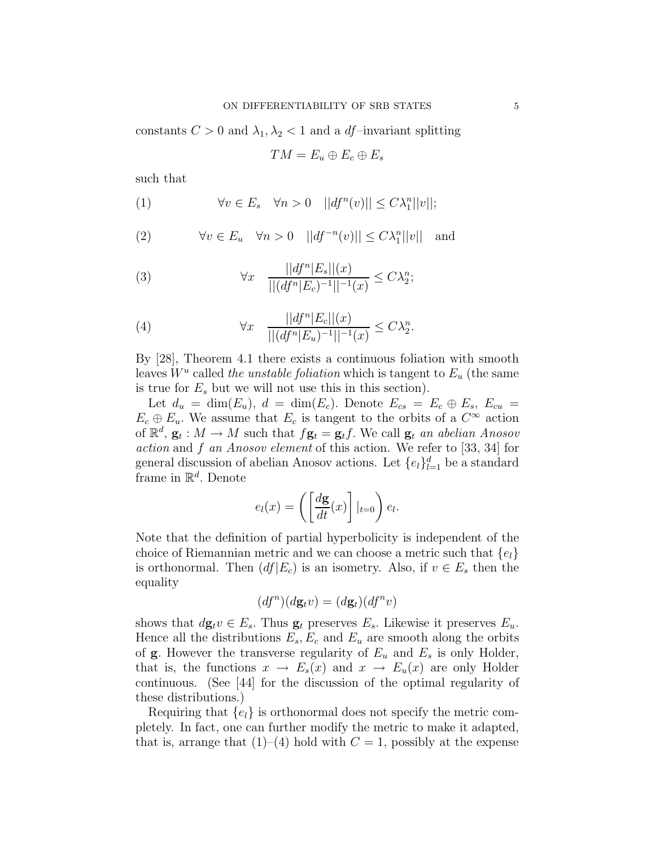constants  $C > 0$  and  $\lambda_1, \lambda_2 < 1$  and a *df*-invariant splitting

$$
TM = E_u \oplus E_c \oplus E_s
$$

such that

(1) 
$$
\forall v \in E_s \quad \forall n > 0 \quad ||df^n(v)|| \leq C \lambda_1^n ||v||;
$$

(2) 
$$
\forall v \in E_u \quad \forall n > 0 \quad ||df^{-n}(v)|| \leq C \lambda_1^n ||v|| \quad \text{and}
$$

(3) 
$$
\forall x \quad \frac{||df^n|E_s||(x)}{||(df^n|E_c)^{-1}||^{-1}(x)} \leq C\lambda_2^n;
$$

(4) 
$$
\forall x \quad \frac{||df^n|E_c||(x)}{||(df^n|E_u)^{-1}||^{-1}(x)} \leq C\lambda_2^n.
$$

By [28], Theorem 4.1 there exists a continuous foliation with smooth leaves  $W^u$  called the unstable foliation which is tangent to  $E_u$  (the same is true for  $E_s$  but we will not use this in this section).

Let  $d_u = \dim(E_u)$ ,  $d = \dim(E_c)$ . Denote  $E_{cs} = E_c \oplus E_s$ ,  $E_{cu} =$  $E_c \oplus E_u$ . We assume that  $E_c$  is tangent to the orbits of a  $C^{\infty}$  action of  $\mathbb{R}^d$ ,  $\mathbf{g}_t : M \to M$  such that  $f\mathbf{g}_t = \mathbf{g}_t f$ . We call  $\mathbf{g}_t$  an abelian Anosov action and f an Anosov element of this action. We refer to [33, 34] for general discussion of abelian Anosov actions. Let  $\{e_l\}_{l=1}^d$  be a standard frame in  $\mathbb{R}^d$ . Denote

$$
e_l(x) = \left( \left[ \frac{d\mathbf{g}}{dt}(x) \right] |_{t=0} \right) e_l.
$$

Note that the definition of partial hyperbolicity is independent of the choice of Riemannian metric and we can choose a metric such that  $\{e_l\}$ is orthonormal. Then  $(df|E_c)$  is an isometry. Also, if  $v \in E_s$  then the equality

$$
(df^n)(d\mathbf{g}_t v) = (d\mathbf{g}_t)(df^n v)
$$

shows that  $d\mathbf{g}_t v \in E_s$ . Thus  $\mathbf{g}_t$  preserves  $E_s$ . Likewise it preserves  $E_u$ . Hence all the distributions  $E_s$ ,  $E_c$  and  $E_u$  are smooth along the orbits of  $g$ . However the transverse regularity of  $E_u$  and  $E_s$  is only Holder, that is, the functions  $x \to E_s(x)$  and  $x \to E_u(x)$  are only Holder continuous. (See [44] for the discussion of the optimal regularity of these distributions.)

Requiring that  $\{e_l\}$  is orthonormal does not specify the metric completely. In fact, one can further modify the metric to make it adapted, that is, arrange that  $(1)–(4)$  hold with  $C = 1$ , possibly at the expense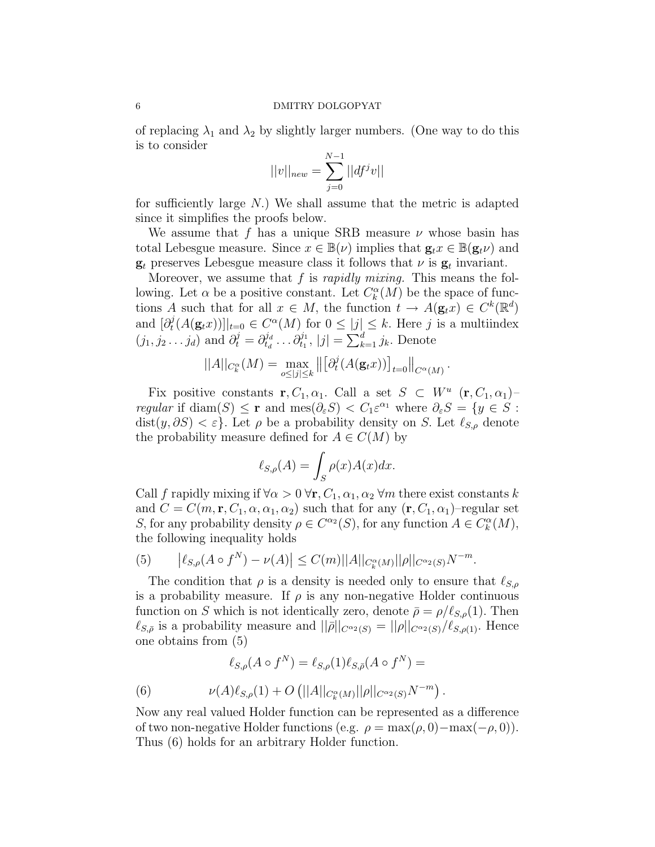of replacing  $\lambda_1$  and  $\lambda_2$  by slightly larger numbers. (One way to do this is to consider

$$
||v||_{new} = \sum_{j=0}^{N-1} ||df^{j}v||
$$

for sufficiently large  $N$ .) We shall assume that the metric is adapted since it simplifies the proofs below.

We assume that f has a unique SRB measure  $\nu$  whose basin has total Lebesgue measure. Since  $x \in \mathbb{B}(\nu)$  implies that  $\mathbf{g}_t x \in \mathbb{B}(\mathbf{g}_t \nu)$  and  $\mathbf{g}_t$  preserves Lebesgue measure class it follows that  $\nu$  is  $\mathbf{g}_t$  invariant.

Moreover, we assume that  $f$  is *rapidly mixing*. This means the following. Let  $\alpha$  be a positive constant. Let  $C_k^{\alpha}(M)$  be the space of functions A such that for all  $x \in M$ , the function  $t \to A(\mathbf{g}_t x) \in C^k(\mathbb{R}^d)$ and  $[\partial_t^j]$  $\mathbb{E}[f_t^j(A(\mathbf{g}_t x))]|_{t=0} \in C^{\alpha}(M)$  for  $0 \leq |j| \leq k$ . Here j is a multiindex  $(j_1, j_2 \ldots j_d)$  and  $\partial_t^j = \partial_{t_d}^{j_d}$  $t_d^{j_d} \dots \partial_{t_1}^{j_1}, |j| = \sum_{k=1}^d j_k$ . Denote

$$
||A||_{C_k^{\alpha}}(M) = \max_{0 \le |j| \le k} ||\left[\partial_t^j(A(\mathbf{g}_t x))\right]_{t=0}||_{C^{\alpha}(M)}.
$$

Fix positive constants r,  $C_1, \alpha_1$ . Call a set  $S \subset W^u$   $(\mathbf{r}, C_1, \alpha_1)$ regular if  $\text{diam}(S) \leq r$  and  $\text{mes}(\partial_{\varepsilon}S) < C_1 \varepsilon^{\alpha_1}$  where  $\partial_{\varepsilon}S = \{y \in S :$ dist $(y, \partial S) < \varepsilon$ . Let  $\rho$  be a probability density on S. Let  $\ell_{S,\rho}$  denote the probability measure defined for  $A \in C(M)$  by

$$
\ell_{S,\rho}(A) = \int_S \rho(x)A(x)dx.
$$

Call f rapidly mixing if  $\forall \alpha > 0 \forall r, C_1, \alpha_1, \alpha_2 \forall m$  there exist constants k and  $C = C(m, \mathbf{r}, C_1, \alpha, \alpha_1, \alpha_2)$  such that for any  $(\mathbf{r}, C_1, \alpha_1)$ -regular set S, for any probability density  $\rho \in C^{\alpha_2}(S)$ , for any function  $A \in C^{\alpha}_k(M)$ , the following inequality holds

(5) 
$$
|\ell_{S,\rho}(A \circ f^N) - \nu(A)| \le C(m)||A||_{C_k^{\alpha}(M)}||\rho||_{C^{\alpha_2}(S)}N^{-m}.
$$

The condition that  $\rho$  is a density is needed only to ensure that  $\ell_{S,\rho}$ is a probability measure. If  $\rho$  is any non-negative Holder continuous function on S which is not identically zero, denote  $\bar{\rho} = \rho/\ell_{S,\rho}(1)$ . Then  $\ell_{S,\bar{\rho}}$  is a probability measure and  $||\bar{\rho}||_{C^{\alpha_2}(S)} = ||\rho||_{C^{\alpha_2}(S)}/\ell_{S,\rho(1)}$ . Hence one obtains from (5)

$$
\ell_{S,\rho}(A\circ f^N)=\ell_{S,\rho}(1)\ell_{S,\bar{\rho}}(A\circ f^N)=
$$

(6) 
$$
\nu(A)\ell_{S,\rho}(1) + O\left(||A||_{C_k^{\alpha}(M)}||\rho||_{C^{\alpha_2}(S)}N^{-m}\right)
$$

Now any real valued Holder function can be represented as a difference of two non-negative Holder functions (e.g.  $\rho = \max(\rho, 0) - \max(-\rho, 0)$ ). Thus (6) holds for an arbitrary Holder function.

.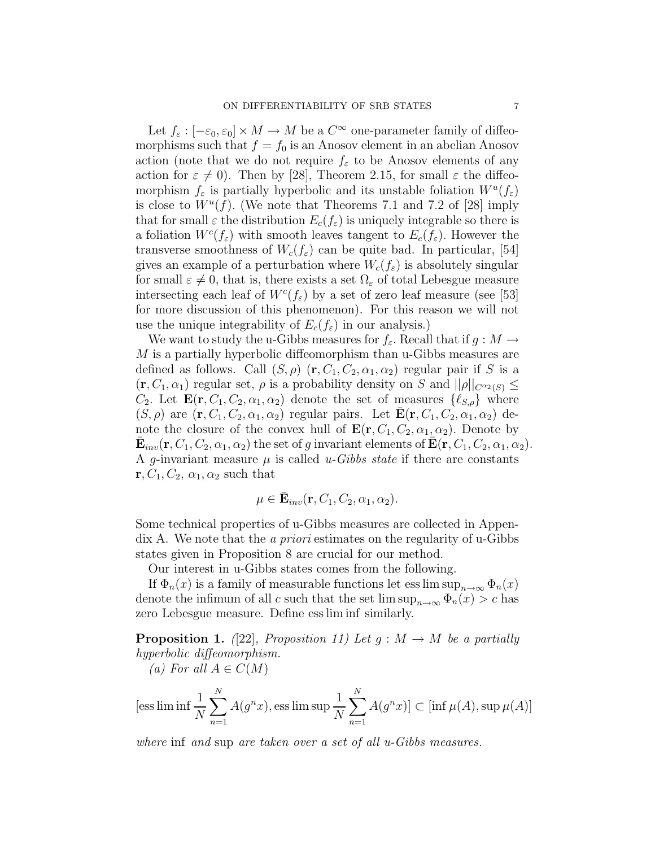Let  $f_{\varepsilon} : [-\varepsilon_0, \varepsilon_0] \times M \to M$  be a  $C^{\infty}$  one-parameter family of diffeomorphisms such that  $f = f_0$  is an Anosov element in an abelian Anosov action (note that we do not require  $f_{\varepsilon}$  to be Anosov elements of any action for  $\varepsilon \neq 0$ . Then by [28], Theorem 2.15, for small  $\varepsilon$  the diffeomorphism  $f_{\varepsilon}$  is partially hyperbolic and its unstable foliation  $W^u(f_{\varepsilon})$ is close to  $W^u(f)$ . (We note that Theorems 7.1 and 7.2 of [28] imply that for small  $\varepsilon$  the distribution  $E_c(f_\varepsilon)$  is uniquely integrable so there is a foliation  $W^c(f_\varepsilon)$  with smooth leaves tangent to  $E_c(f_\varepsilon)$ . However the transverse smoothness of  $W_c(f_\varepsilon)$  can be quite bad. In particular, [54] gives an example of a perturbation where  $W_c(f_\varepsilon)$  is absolutely singular for small  $\varepsilon \neq 0$ , that is, there exists a set  $\Omega_{\varepsilon}$  of total Lebesgue measure intersecting each leaf of  $W<sup>c</sup>(f<sub>\varepsilon</sub>)$  by a set of zero leaf measure (see [53] for more discussion of this phenomenon). For this reason we will not use the unique integrability of  $E_c(f_\varepsilon)$  in our analysis.)

We want to study the u-Gibbs measures for  $f_{\varepsilon}$ . Recall that if  $g : M \to$ M is a partially hyperbolic diffeomorphism than u-Gibbs measures are defined as follows. Call  $(S, \rho)$   $(\mathbf{r}, C_1, C_2, \alpha_1, \alpha_2)$  regular pair if S is a  $(\mathbf{r}, C_1, \alpha_1)$  regular set,  $\rho$  is a probability density on S and  $||\rho||_{C^{\alpha_2}(S)} \leq$  $C_2$ . Let  $\mathbf{E}(\mathbf{r}, C_1, C_2, \alpha_1, \alpha_2)$  denote the set of measures  $\{\ell_{S,\rho}\}\$  where  $(S, \rho)$  are  $(\mathbf{r}, C_1, C_2, \alpha_1, \alpha_2)$  regular pairs. Let  $\mathbf{E}(\mathbf{r}, C_1, C_2, \alpha_1, \alpha_2)$  denote the closure of the convex hull of  $\mathbf{E}(\mathbf{r}, C_1, C_2, \alpha_1, \alpha_2)$ . Denote by  $\bar{\mathbf{E}}_{inv}(\mathbf{r},C_1,C_2,\alpha_1,\alpha_2)$  the set of g invariant elements of  $\bar{\mathbf{E}}(\mathbf{r},C_1,C_2,\alpha_1,\alpha_2)$ . A g-invariant measure  $\mu$  is called *u-Gibbs state* if there are constants  $\mathbf{r}, C_1, C_2, \alpha_1, \alpha_2$  such that

$$
\mu \in \bar{\mathbf{E}}_{inv}(\mathbf{r}, C_1, C_2, \alpha_1, \alpha_2).
$$

Some technical properties of u-Gibbs measures are collected in Appendix A. We note that the *a priori* estimates on the regularity of u-Gibbs states given in Proposition 8 are crucial for our method.

Our interest in u-Gibbs states comes from the following.

If  $\Phi_n(x)$  is a family of measurable functions let ess lim sup $_{n\to\infty}\Phi_n(x)$ denote the infimum of all c such that the set  $\limsup_{n\to\infty} \Phi_n(x) > c$  has zero Lebesgue measure. Define ess lim inf similarly.

**Proposition 1.** ([22], Proposition 11) Let  $g : M \to M$  be a partially hyperbolic diffeomorphism.

(a) For all  $A \in C(M)$ 

[ess lim inf 
$$
\frac{1}{N} \sum_{n=1}^{N} A(g^n x)
$$
, ess lim sup  $\frac{1}{N} \sum_{n=1}^{N} A(g^n x)$ ]  $\subset$  [inf  $\mu(A)$ , sup  $\mu(A)$ ]

where inf and sup are taken over a set of all u-Gibbs measures.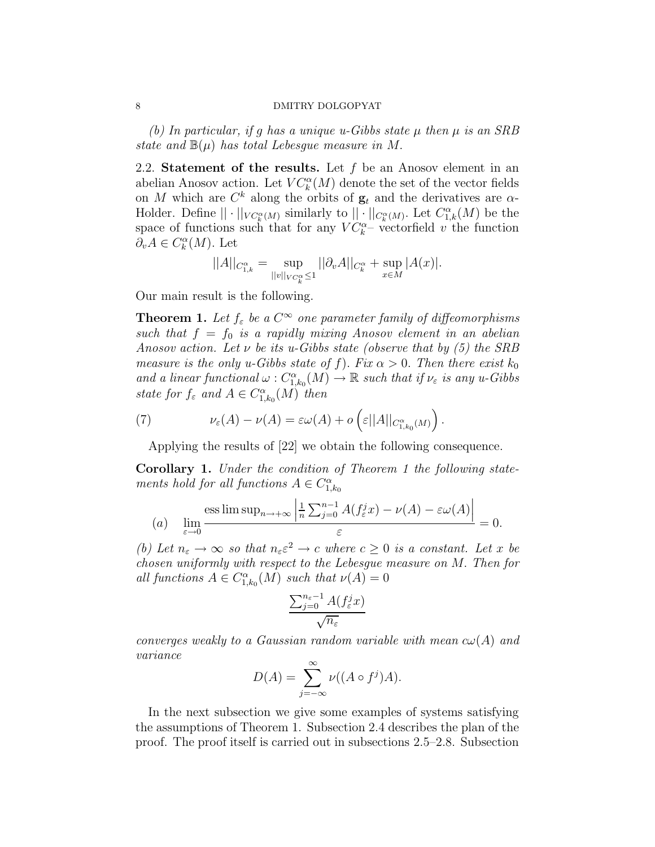(b) In particular, if g has a unique u-Gibbs state  $\mu$  then  $\mu$  is an SRB state and  $\mathbb{B}(\mu)$  has total Lebesque measure in M.

2.2. Statement of the results. Let  $f$  be an Anosov element in an abelian Anosov action. Let  $VC_k^{\alpha}(M)$  denote the set of the vector fields on M which are  $C^k$  along the orbits of  $\mathbf{g}_t$  and the derivatives are  $\alpha$ -Holder. Define  $||\cdot||_{VC_k^{\alpha}(M)}$  similarly to  $||\cdot||_{C_k^{\alpha}(M)}$ . Let  $C_{1,k}^{\alpha}(M)$  be the space of functions such that for any  $VC_k^{\alpha}$  vectorfield v the function  $\partial_v A \in C_k^{\alpha}(M)$ . Let

$$
||A||_{C^{\alpha}_{1,k}} = \sup_{||v||_{VC^{\alpha}_{k}} \le 1} ||\partial_{v}A||_{C^{\alpha}_{k}} + \sup_{x \in M} |A(x)|.
$$

Our main result is the following.

**Theorem 1.** Let  $f_{\varepsilon}$  be a  $C^{\infty}$  one parameter family of diffeomorphisms such that  $f = f_0$  is a rapidly mixing Anosov element in an abelian Anosov action. Let  $\nu$  be its u-Gibbs state (observe that by (5) the SRB measure is the only u-Gibbs state of f). Fix  $\alpha > 0$ . Then there exist  $k_0$ and a linear functional  $\omega: C^{\alpha}_{1,k_0}(M) \to \mathbb{R}$  such that if  $\nu_{\varepsilon}$  is any u-Gibbs state for  $f_{\varepsilon}$  and  $A \in C^{\alpha}_{1,k_0}(M)$  then

(7) 
$$
\nu_{\varepsilon}(A) - \nu(A) = \varepsilon \omega(A) + o\left(\varepsilon ||A||_{C^{\alpha}_{1,k_0}(M)}\right).
$$

Applying the results of [22] we obtain the following consequence.

Corollary 1. Under the condition of Theorem 1 the following statements hold for all functions  $A \in C^{\alpha}_{1,k_0}$ 

(a) 
$$
\lim_{\varepsilon \to 0} \frac{\operatorname{ess\,limsup}_{n \to +\infty} \left| \frac{1}{n} \sum_{j=0}^{n-1} A(f_{\varepsilon}^j x) - \nu(A) - \varepsilon \omega(A) \right|}{\varepsilon} = 0.
$$

(b) Let  $n_{\varepsilon} \to \infty$  so that  $n_{\varepsilon} \varepsilon^2 \to c$  where  $c \geq 0$  is a constant. Let x be chosen uniformly with respect to the Lebesgue measure on M. Then for all functions  $A \in C_{1,k_0}^{\alpha}(M)$  such that  $\nu(A) = 0$ 

$$
\frac{\sum_{j=0}^{n_{\varepsilon}-1} A(f_{\varepsilon}^j x)}{\sqrt{n_{\varepsilon}}}
$$

converges weakly to a Gaussian random variable with mean  $c\omega(A)$  and variance

$$
D(A) = \sum_{j=-\infty}^{\infty} \nu((A \circ f^{j})A).
$$

In the next subsection we give some examples of systems satisfying the assumptions of Theorem 1. Subsection 2.4 describes the plan of the proof. The proof itself is carried out in subsections 2.5–2.8. Subsection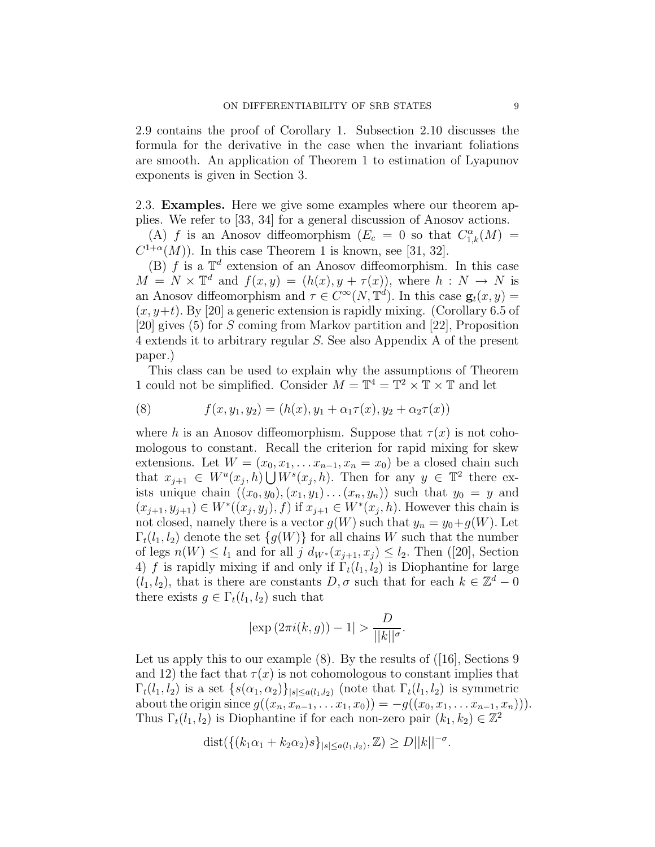2.9 contains the proof of Corollary 1. Subsection 2.10 discusses the formula for the derivative in the case when the invariant foliations are smooth. An application of Theorem 1 to estimation of Lyapunov exponents is given in Section 3.

2.3. Examples. Here we give some examples where our theorem applies. We refer to [33, 34] for a general discussion of Anosov actions.

(A) f is an Anosov diffeomorphism  $(E_c = 0$  so that  $C_{1,k}^{\alpha}(M) =$  $C^{1+\alpha}(M)$ ). In this case Theorem 1 is known, see [31, 32].

(B)  $f$  is a  $\mathbb{T}^d$  extension of an Anosov diffeomorphism. In this case  $M = N \times \mathbb{T}^d$  and  $f(x, y) = (h(x), y + \tau(x)),$  where  $h : N \to N$  is an Anosov diffeomorphism and  $\tau \in C^{\infty}(N, \mathbb{T}^d)$ . In this case  $\mathbf{g}_t(x, y) =$  $(x, y+t)$ . By [20] a generic extension is rapidly mixing. (Corollary 6.5 of [20] gives (5) for S coming from Markov partition and [22], Proposition 4 extends it to arbitrary regular S. See also Appendix A of the present paper.)

This class can be used to explain why the assumptions of Theorem 1 could not be simplified. Consider  $M = \mathbb{T}^4 = \mathbb{T}^2 \times \mathbb{T} \times \mathbb{T}$  and let

(8) 
$$
f(x, y_1, y_2) = (h(x), y_1 + \alpha_1 \tau(x), y_2 + \alpha_2 \tau(x))
$$

where h is an Anosov diffeomorphism. Suppose that  $\tau(x)$  is not cohomologous to constant. Recall the criterion for rapid mixing for skew extensions. Let  $W = (x_0, x_1, \ldots, x_{n-1}, x_n = x_0)$  be a closed chain such that  $x_{j+1} \in W^u(x_j, h) \bigcup W^s(x_j, h)$ . Then for any  $y \in \mathbb{T}^2$  there exists unique chain  $((x_0, y_0), (x_1, y_1) \dots (x_n, y_n))$  such that  $y_0 = y$  and  $(x_{j+1}, y_{j+1}) \in W^*((x_j, y_j), f)$  if  $x_{j+1} \in W^*(x_j, h)$ . However this chain is not closed, namely there is a vector  $g(W)$  such that  $y_n = y_0+g(W)$ . Let  $\Gamma_t(l_1, l_2)$  denote the set  $\{g(W)\}\$ for all chains W such that the number of legs  $n(W) \leq l_1$  and for all j  $d_{W^*}(x_{j+1}, x_j) \leq l_2$ . Then ([20], Section 4) f is rapidly mixing if and only if  $\Gamma_t(l_1, l_2)$  is Diophantine for large  $(l_1, l_2)$ , that is there are constants  $D, \sigma$  such that for each  $k \in \mathbb{Z}^d - 0$ there exists  $g \in \Gamma_t(l_1, l_2)$  such that

$$
\left|\exp\left(2\pi i(k,g)\right)-1\right|>\frac{D}{||k||^{\sigma}}.
$$

Let us apply this to our example  $(8)$ . By the results of  $(16)$ , Sections 9 and 12) the fact that  $\tau(x)$  is not cohomologous to constant implies that  $\Gamma_t(l_1, l_2)$  is a set  $\{s(\alpha_1, \alpha_2)\}_{|s| \leq a(l_1, l_2)}$  (note that  $\Gamma_t(l_1, l_2)$  is symmetric about the origin since  $g((x_n, x_{n-1}, \ldots, x_1, x_0)) = -g((x_0, x_1, \ldots, x_{n-1}, x_n))).$ Thus  $\Gamma_t(l_1, l_2)$  is Diophantine if for each non-zero pair  $(k_1, k_2) \in \mathbb{Z}^2$ 

dist(
$$
\{(k_1\alpha_1 + k_2\alpha_2)s\}_{|s| \le a(l_1, l_2)}, \mathbb{Z}
$$
)  $\ge D||k||^{-\sigma}$ .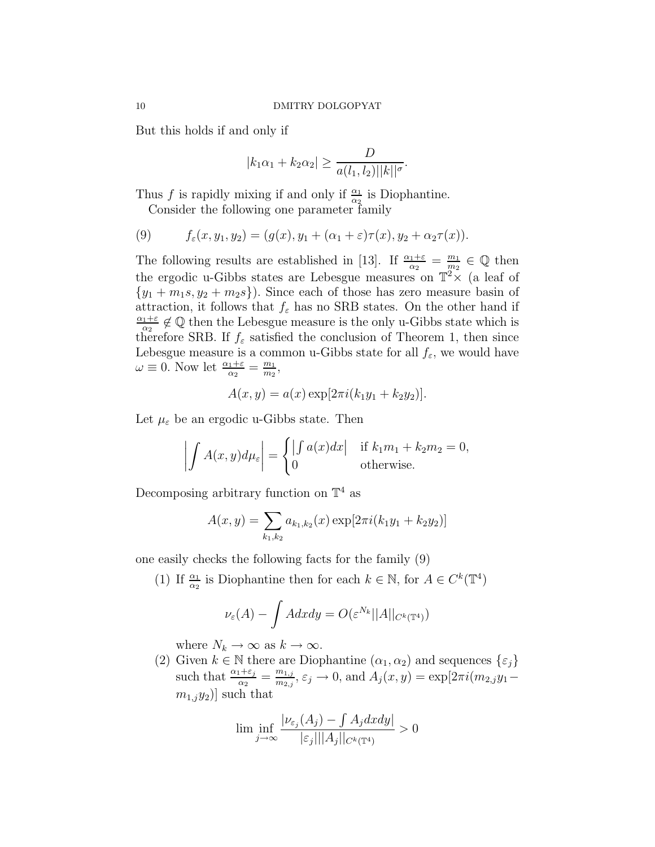But this holds if and only if

$$
|k_1\alpha_1 + k_2\alpha_2| \ge \frac{D}{a(l_1, l_2)||k||\sigma}.
$$

Thus f is rapidly mixing if and only if  $\frac{\alpha_1}{\alpha_2}$  is Diophantine.

Consider the following one parameter family

(9) 
$$
f_{\varepsilon}(x, y_1, y_2) = (g(x), y_1 + (\alpha_1 + \varepsilon)\tau(x), y_2 + \alpha_2 \tau(x)).
$$

The following results are established in [13]. If  $\frac{\alpha_1+\varepsilon}{\alpha_2} = \frac{m_1}{m_2}$  $\frac{m_1}{m_2} \in \mathbb{Q}$  then the ergodic u-Gibbs states are Lebesgue measures on  $\mathbb{T}^2 \times$  (a leaf of  $\{y_1 + m_1s, y_2 + m_2s\}$ . Since each of those has zero measure basin of attraction, it follows that  $f_{\varepsilon}$  has no SRB states. On the other hand if  $\alpha_1+\varepsilon$  $\frac{1+\varepsilon}{\alpha_2} \notin \mathbb{Q}$  then the Lebesgue measure is the only u-Gibbs state which is therefore SRB. If  $f_{\varepsilon}$  satisfied the conclusion of Theorem 1, then since Lebesgue measure is a common u-Gibbs state for all  $f_{\varepsilon}$ , we would have  $\omega \equiv 0$ . Now let  $\frac{\alpha_1 + \varepsilon}{\alpha_2} = \frac{m_1}{m_2}$  $\frac{m_1}{m_2}$ 

$$
A(x, y) = a(x) \exp[2\pi i (k_1 y_1 + k_2 y_2)].
$$

Let  $\mu_{\varepsilon}$  be an ergodic u-Gibbs state. Then

$$
\left| \int A(x,y) d\mu_{\varepsilon} \right| = \begin{cases} \left| \int a(x) dx \right| & \text{if } k_1 m_1 + k_2 m_2 = 0, \\ 0 & \text{otherwise.} \end{cases}
$$

Decomposing arbitrary function on  $\mathbb{T}^4$  as

$$
A(x, y) = \sum_{k_1, k_2} a_{k_1, k_2}(x) \exp[2\pi i (k_1 y_1 + k_2 y_2)]
$$

one easily checks the following facts for the family (9)

(1) If  $\frac{\alpha_1}{\alpha_2}$  is Diophantine then for each  $k \in \mathbb{N}$ , for  $A \in C^k(\mathbb{T}^4)$ 

$$
\nu_{\varepsilon}(A) - \int A dx dy = O(\varepsilon^{N_k} ||A||_{C^k(\mathbb{T}^4)})
$$

where  $N_k \to \infty$  as  $k \to \infty$ .

(2) Given  $k \in \mathbb{N}$  there are Diophantine  $(\alpha_1, \alpha_2)$  and sequences  $\{\varepsilon_j\}$ such that  $\frac{\alpha_1+\varepsilon_j}{\alpha_2}=\frac{m_{1,j}}{m_{2,j}}$  $\frac{m_{1,j}}{m_{2,j}}$ ,  $\varepsilon_j \to 0$ , and  $A_j(x, y) = \exp[2\pi i (m_{2,j}y_1$  $m_{1,j}y_2$ ] such that

$$
\lim \inf_{j \to \infty} \frac{|\nu_{\varepsilon_j}(A_j) - \int A_j dx dy|}{|\varepsilon_j| ||A_j||_{C^k(\mathbb{T}^4)}} > 0
$$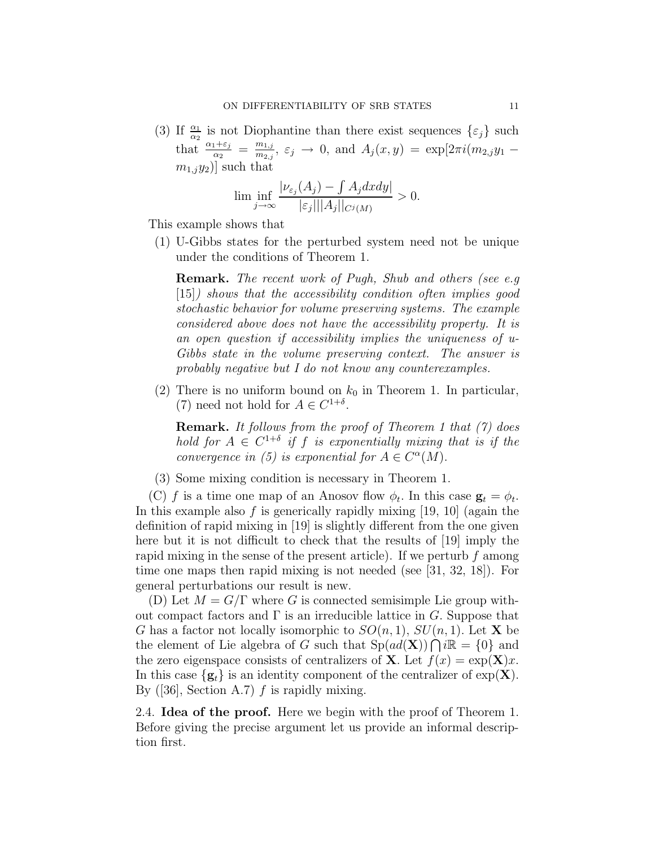(3) If  $\frac{\alpha_1}{\alpha_2}$  is not Diophantine than there exist sequences  $\{\varepsilon_j\}$  such that  $\frac{\alpha_1+\varepsilon_j}{\alpha_2} = \frac{m_{1,j}}{m_{2,j}}$  $\frac{m_{1,j}}{m_{2,j}}, \varepsilon_j \to 0$ , and  $A_j(x, y) = \exp[2\pi i (m_{2,j}y_1 - y_2)$  $m_{1,j}y_2$ ] such that

$$
\lim \inf_{j \to \infty} \frac{|\nu_{\varepsilon_j}(A_j) - \int A_j dx dy|}{|\varepsilon_j| ||A_j||_{C^j(M)}} > 0.
$$

This example shows that

(1) U-Gibbs states for the perturbed system need not be unique under the conditions of Theorem 1.

Remark. The recent work of Pugh, Shub and others (see e.g [15]) shows that the accessibility condition often implies good stochastic behavior for volume preserving systems. The example considered above does not have the accessibility property. It is an open question if accessibility implies the uniqueness of u-Gibbs state in the volume preserving context. The answer is probably negative but I do not know any counterexamples.

(2) There is no uniform bound on  $k_0$  in Theorem 1. In particular, (7) need not hold for  $A \in C^{1+\delta}$ .

Remark. It follows from the proof of Theorem 1 that (7) does hold for  $A \in C^{1+\delta}$  if f is exponentially mixing that is if the convergence in (5) is exponential for  $A \in C^{\alpha}(M)$ .

(3) Some mixing condition is necessary in Theorem 1.

(C) f is a time one map of an Anosov flow  $\phi_t$ . In this case  $\mathbf{g}_t = \phi_t$ . In this example also  $f$  is generically rapidly mixing [19, 10] (again the definition of rapid mixing in [19] is slightly different from the one given here but it is not difficult to check that the results of [19] imply the rapid mixing in the sense of the present article). If we perturb  $f$  among time one maps then rapid mixing is not needed (see [31, 32, 18]). For general perturbations our result is new.

(D) Let  $M = G/\Gamma$  where G is connected semisimple Lie group without compact factors and  $\Gamma$  is an irreducible lattice in G. Suppose that G has a factor not locally isomorphic to  $SO(n,1)$ ,  $SU(n,1)$ . Let X be the element of Lie algebra of G such that  $Sp(ad(X))\bigcap_{i\in\mathbb{N}}i\mathbb{R}=\{0\}$  and the zero eigenspace consists of centralizers of **X**. Let  $f(x) = \exp(\mathbf{X})x$ . In this case  $\{g_t\}$  is an identity component of the centralizer of  $exp(X)$ . By  $([36],$  Section A.7)  $f$  is rapidly mixing.

2.4. Idea of the proof. Here we begin with the proof of Theorem 1. Before giving the precise argument let us provide an informal description first.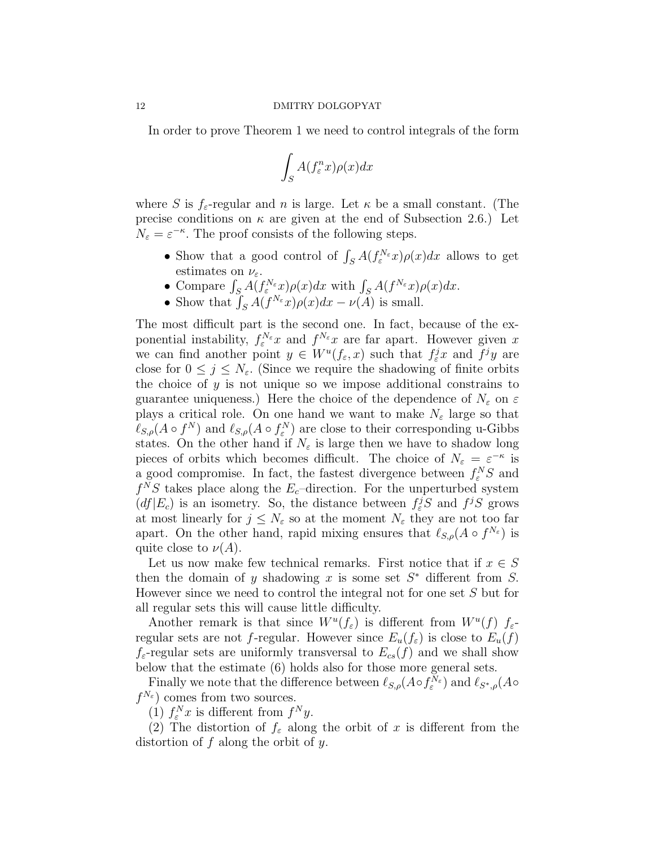In order to prove Theorem 1 we need to control integrals of the form

$$
\int_{S} A(f_{\varepsilon}^{n} x)\rho(x)dx
$$

where S is  $f_{\varepsilon}$ -regular and n is large. Let  $\kappa$  be a small constant. (The precise conditions on  $\kappa$  are given at the end of Subsection 2.6.) Let  $N_{\varepsilon} = \varepsilon^{-\kappa}$ . The proof consists of the following steps.

- Show that a good control of  $\int_{S} A(f_{\varepsilon}^{N_{\varepsilon}}x)\rho(x)dx$  allows to get estimates on  $\nu_{\varepsilon}$ .
- Compare  $\int_{S} A(f_{\varepsilon}^{N_{\varepsilon}}x)\rho(x)dx$  with  $\int_{S} A(f^{N_{\varepsilon}}x)\rho(x)dx$ .
- Show that  $\int_S A(f^{N_{\varepsilon}}x)\rho(x)dx \nu(A)$  is small.

The most difficult part is the second one. In fact, because of the exponential instability,  $f_{\varepsilon}^{N_{\varepsilon}} x$  and  $f^{N_{\varepsilon}} x$  are far apart. However given x we can find another point  $y \in W^u(f_\varepsilon, x)$  such that  $f_\varepsilon^j x$  and  $f^j y$  are close for  $0 \leq j \leq N_{\varepsilon}$ . (Since we require the shadowing of finite orbits the choice of  $y$  is not unique so we impose additional constrains to guarantee uniqueness.) Here the choice of the dependence of  $N_{\varepsilon}$  on  $\varepsilon$ plays a critical role. On one hand we want to make  $N_{\varepsilon}$  large so that  $\ell_{S,\rho}(A \circ f^N)$  and  $\ell_{S,\rho}(A \circ f^N_{\varepsilon})$  are close to their corresponding u-Gibbs states. On the other hand if  $N_{\varepsilon}$  is large then we have to shadow long pieces of orbits which becomes difficult. The choice of  $N_{\varepsilon} = \varepsilon^{-\kappa}$  is a good compromise. In fact, the fastest divergence between  $f_{\varepsilon}^{N}S$  and  $f<sup>N</sup>S$  takes place along the  $E<sub>c</sub>$ -direction. For the unperturbed system  $(df|E_c)$  is an isometry. So, the distance between  $f^j_\varepsilon S$  and  $f^jS$  grows at most linearly for  $j \leq N_{\varepsilon}$  so at the moment  $N_{\varepsilon}$  they are not too far apart. On the other hand, rapid mixing ensures that  $\ell_{S,\rho}(A \circ f^{N_{\varepsilon}})$  is quite close to  $\nu(A)$ .

Let us now make few technical remarks. First notice that if  $x \in S$ then the domain of y shadowing x is some set  $S^*$  different from S. However since we need to control the integral not for one set S but for all regular sets this will cause little difficulty.

Another remark is that since  $W^u(f_\varepsilon)$  is different from  $W^u(f)$   $f_\varepsilon$ regular sets are not f-regular. However since  $E_u(f_\varepsilon)$  is close to  $E_u(f)$  $f_{\varepsilon}$ -regular sets are uniformly transversal to  $E_{cs}(f)$  and we shall show below that the estimate (6) holds also for those more general sets.

Finally we note that the difference between  $\ell_{S,\rho}(A \circ f_{\varepsilon}^{N_{\varepsilon}})$  and  $\ell_{S^*,\rho}(A \circ f_{\varepsilon}^{N_{\varepsilon}})$  $f^{N_{\varepsilon}}$  comes from two sources.

(1)  $f_{\varepsilon}^{N}x$  is different from  $f^{N}y$ .

(2) The distortion of  $f_{\varepsilon}$  along the orbit of x is different from the distortion of  $f$  along the orbit of  $y$ .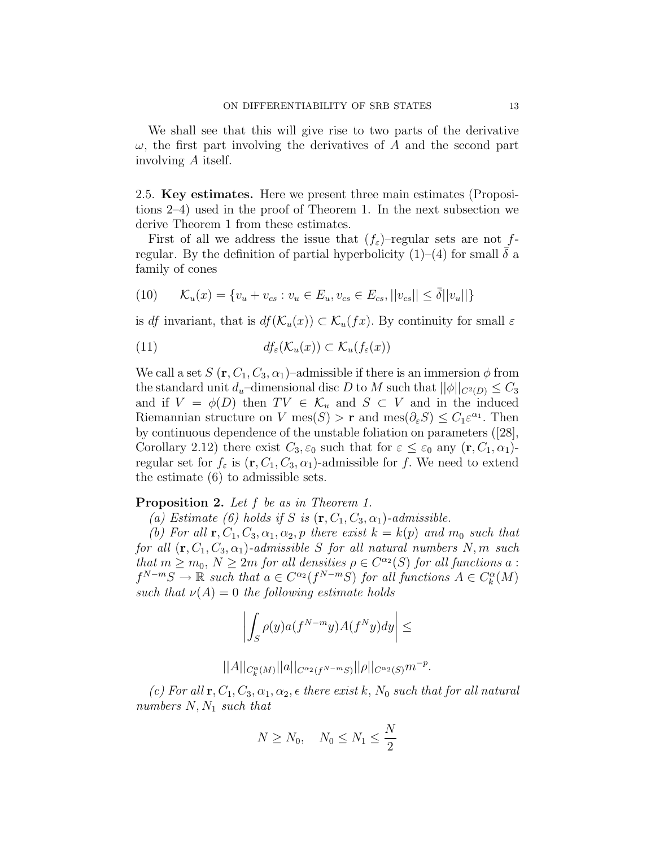We shall see that this will give rise to two parts of the derivative  $\omega$ , the first part involving the derivatives of A and the second part involving A itself.

2.5. Key estimates. Here we present three main estimates (Propositions 2–4) used in the proof of Theorem 1. In the next subsection we derive Theorem 1 from these estimates.

First of all we address the issue that  $(f_{\varepsilon})$ -regular sets are not fregular. By the definition of partial hyperbolicity (1)–(4) for small  $\bar{\delta}$  a family of cones

(10) 
$$
\mathcal{K}_u(x) = \{v_u + v_{cs} : v_u \in E_u, v_{cs} \in E_{cs}, ||v_{cs}|| \le \bar{\delta}||v_u||\}
$$

is df invariant, that is  $df(\mathcal{K}_u(x)) \subset \mathcal{K}_u(fx)$ . By continuity for small  $\varepsilon$ 

(11) 
$$
df_{\varepsilon}(\mathcal{K}_u(x)) \subset \mathcal{K}_u(f_{\varepsilon}(x))
$$

We call a set  $S(\mathbf{r}, C_1, C_3, \alpha_1)$ -admissible if there is an immersion  $\phi$  from the standard unit  $d_u$ -dimensional disc D to M such that  $||\phi||_{C^2(D)} \leq C_3$ and if  $V = \phi(D)$  then  $TV \in \mathcal{K}_u$  and  $S \subset V$  and in the induced Riemannian structure on  $V$  mes $(S) > r$  and mes $(\partial_{\varepsilon}S) \leq C_1 \varepsilon^{\alpha_1}$ . Then by continuous dependence of the unstable foliation on parameters ([28], Corollary 2.12) there exist  $C_3, \varepsilon_0$  such that for  $\varepsilon \leq \varepsilon_0$  any  $(\mathbf{r}, C_1, \alpha_1)$ regular set for  $f_{\varepsilon}$  is  $(\mathbf{r}, C_1, C_3, \alpha_1)$ -admissible for f. We need to extend the estimate (6) to admissible sets.

## Proposition 2. Let f be as in Theorem 1.

(a) Estimate (6) holds if S is  $(\mathbf{r}, C_1, C_3, \alpha_1)$ -admissible.

(b) For all  $\mathbf{r}, C_1, C_3, \alpha_1, \alpha_2, p$  there exist  $k = k(p)$  and  $m_0$  such that for all  $(r, C_1, C_3, \alpha_1)$ -admissible S for all natural numbers N, m such that  $m \geq m_0$ ,  $N \geq 2m$  for all densities  $\rho \in C^{\alpha_2}(S)$  for all functions a:  $f^{N-m}S \to \mathbb{R}$  such that  $a \in C^{\alpha_2}(f^{N-m}S)$  for all functions  $A \in C^{\alpha}_k(M)$ such that  $\nu(A) = 0$  the following estimate holds

$$
\left|\int_S \rho(y) a(f^{N-m}y) A(f^N y) dy \right| \leq
$$

$$
||A||_{C_k^{\alpha}(M)}||a||_{C^{\alpha_2}(f^{N-m}S)}||\rho||_{C^{\alpha_2}(S)}m^{-p}.
$$

(c) For all  $\mathbf{r}, C_1, C_3, \alpha_1, \alpha_2, \epsilon$  there exist k, N<sub>0</sub> such that for all natural numbers  $N, N_1$  such that

$$
N \ge N_0, \quad N_0 \le N_1 \le \frac{N}{2}
$$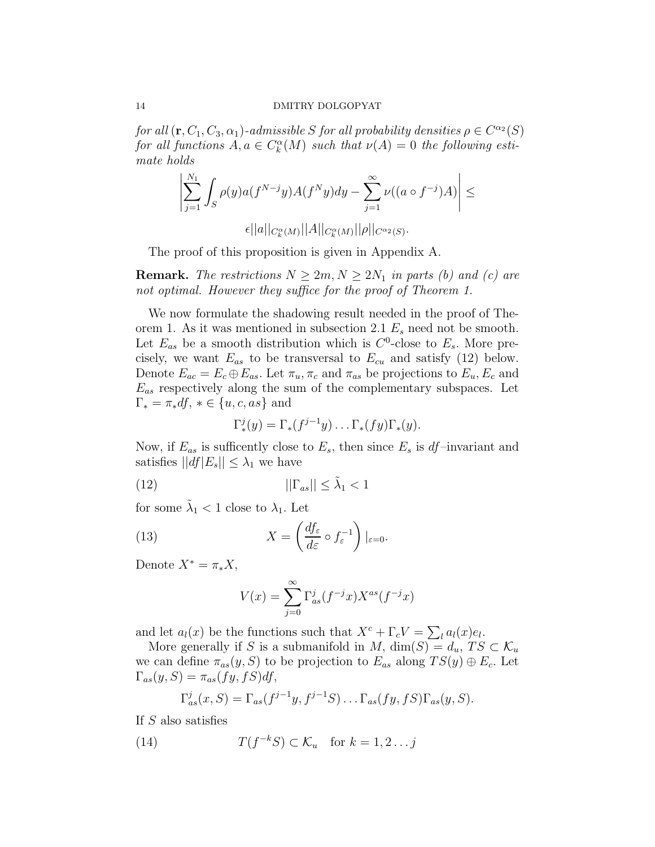for all  $(r, C_1, C_3, \alpha_1)$ -admissible S for all probability densities  $\rho \in C^{\alpha_2}(S)$ for all functions  $A, a \in C^{\alpha}_{k}(M)$  such that  $\nu(A) = 0$  the following estimate holds

$$
\left|\sum_{j=1}^{N_1} \int_S \rho(y) a(f^{N-j}y) A(f^N y) dy - \sum_{j=1}^{\infty} \nu((a \circ f^{-j}) A) \right| \le
$$
  

$$
\epsilon ||a||_{C_k^{\alpha}(M)} ||A||_{C_k^{\alpha}(M)} ||\rho||_{C^{\alpha_2}(S)}.
$$

The proof of this proposition is given in Appendix A.

**Remark.** The restrictions  $N \geq 2m, N \geq 2N_1$  in parts (b) and (c) are not optimal. However they suffice for the proof of Theorem 1.

We now formulate the shadowing result needed in the proof of Theorem 1. As it was mentioned in subsection 2.1  $E_s$  need not be smooth. Let  $E_{as}$  be a smooth distribution which is  $C^0$ -close to  $E_s$ . More precisely, we want  $E_{as}$  to be transversal to  $E_{cu}$  and satisfy (12) below. Denote  $E_{ac} = E_c \oplus E_{as}$ . Let  $\pi_u, \pi_c$  and  $\pi_{as}$  be projections to  $E_u, E_c$  and  $E_{as}$  respectively along the sum of the complementary subspaces. Let  $\Gamma_* = \pi_* df, * \in \{u, c, as\}$  and

$$
\Gamma_*^j(y) = \Gamma_*(f^{j-1}y) \dots \Gamma_*(fy) \Gamma_*(y).
$$

Now, if  $E_{as}$  is sufficently close to  $E_s$ , then since  $E_s$  is df-invariant and satisfies  $||df|E_s|| \leq \lambda_1$  we have

$$
||\Gamma_{as}|| \le \tilde{\lambda}_1 < 1
$$

for some  $\tilde{\lambda}_1 < 1$  close to  $\lambda_1$ . Let

(13) 
$$
X = \left(\frac{df_{\varepsilon}}{d\varepsilon} \circ f_{\varepsilon}^{-1}\right)|_{\varepsilon=0}.
$$

Denote  $X^* = \pi_* X$ ,

$$
V(x)=\sum_{j=0}^\infty \Gamma_{as}^j(f^{-j}x)X^{as}(f^{-j}x)
$$

and let  $a_l(x)$  be the functions such that  $X^c + \Gamma_c V = \sum_l a_l(x)e_l$ .

More generally if S is a submanifold in M,  $\dim(S) = d_u$ ,  $TS \subset \mathcal{K}_u$ we can define  $\pi_{as}(y, S)$  to be projection to  $E_{as}$  along  $TS(y) \oplus E_c$ . Let  $\Gamma_{as}(y, S) = \pi_{as}(fy, fS)df,$ 

$$
\Gamma_{as}^j(x, S) = \Gamma_{as}(f^{j-1}y, f^{j-1}S) \dots \Gamma_{as}(fy, fS) \Gamma_{as}(y, S).
$$

If S also satisfies

(14) 
$$
T(f^{-k}S) \subset \mathcal{K}_u \quad \text{for } k = 1, 2 \dots j
$$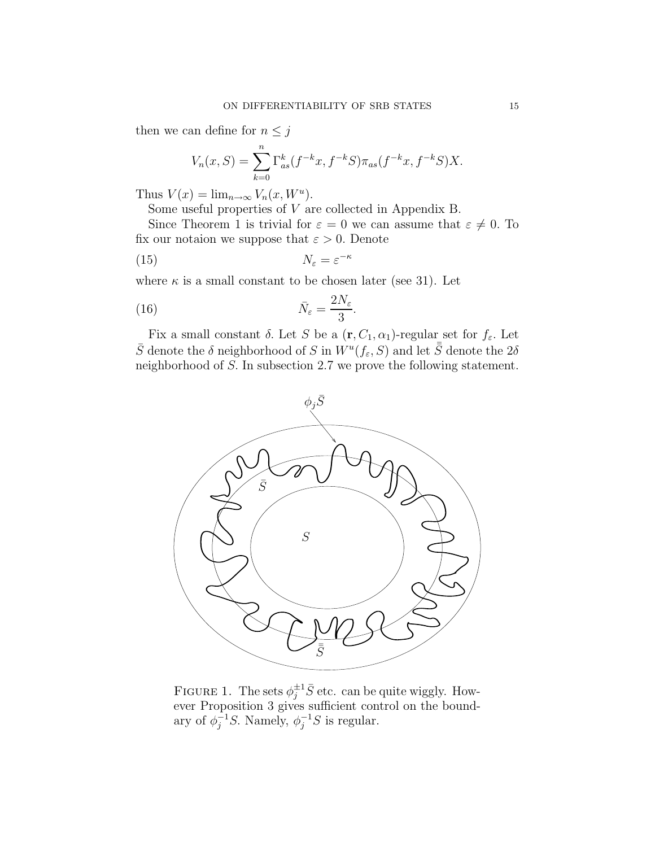then we can define for  $n \leq j$ 

$$
V_n(x, S) = \sum_{k=0}^n \Gamma_{as}^k (f^{-k}x, f^{-k}S) \pi_{as}(f^{-k}x, f^{-k}S)X.
$$

Thus  $V(x) = \lim_{n \to \infty} V_n(x, W^u)$ .

Some useful properties of  $V$  are collected in Appendix B.

Since Theorem 1 is trivial for  $\varepsilon = 0$  we can assume that  $\varepsilon \neq 0$ . To fix our notaion we suppose that  $\varepsilon > 0$ . Denote

$$
(15) \t\t N_{\varepsilon} = \varepsilon^{-\kappa}
$$

where  $\kappa$  is a small constant to be chosen later (see 31). Let

$$
\bar{N}_{\varepsilon} = \frac{2N_{\varepsilon}}{3}
$$

Fix a small constant  $\delta$ . Let S be a  $(\mathbf{r}, C_1, \alpha_1)$ -regular set for  $f_{\varepsilon}$ . Let  $\bar{S}$  denote the  $\delta$  neighborhood of S in  $\overline{W}^u(f_{\varepsilon},S)$  and let  $\bar{\bar{S}}$  denote the  $2\delta$ neighborhood of S. In subsection 2.7 we prove the following statement.

.



FIGURE 1. The sets  $\phi_j^{\pm 1} \bar{S}$  etc. can be quite wiggly. However Proposition 3 gives sufficient control on the boundary of  $\phi_j^{-1}S$ . Namely,  $\phi_j^{-1}S$  is regular.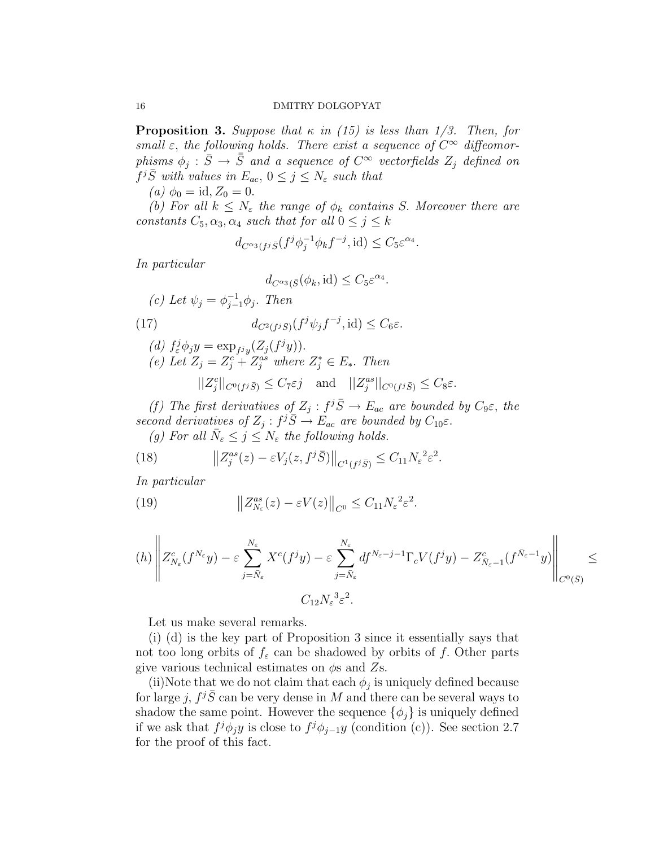**Proposition 3.** Suppose that  $\kappa$  in (15) is less than 1/3. Then, for small  $\varepsilon$ , the following holds. There exist a sequence of  $C^{\infty}$  diffeomorphisms  $\phi_j : \overline{S} \to \overline{S}$  and a sequence of  $C^{\infty}$  vectorfields  $Z_j$  defined on  $f^j \overline{S}$  with values in  $E_{ac}$ ,  $0 \le j \le N_{\varepsilon}$  such that

(a)  $\phi_0 = \text{id}, Z_0 = 0.$ 

(b) For all  $k \leq N_{\varepsilon}$  the range of  $\phi_k$  contains S. Moreover there are constants  $C_5, \alpha_3, \alpha_4$  such that for all  $0 \leq j \leq k$ 

$$
d_{C^{\alpha_3}(f^j\bar{S}}(f^j\phi_j^{-1}\phi_k f^{-j},\text{id}) \leq C_5 \varepsilon^{\alpha_4}.
$$

In particular

$$
d_{C^{\alpha_3}(\bar{S}}(\phi_k, \text{id}) \le C_5 \varepsilon^{\alpha_4}.
$$
  
(c) Let  $\psi_j = \phi_{j-1}^{-1} \phi_j$ . Then  
(17) 
$$
d_{C^2(f^j\bar{S})}(f^j \psi_j f^{-j}, \text{id}) \le C_6 \varepsilon.
$$
  
(d)  $f^j_{\varepsilon} \phi_j y = \exp_{f^j y}(Z_j(f^j y)).$   
(e) Let  $Z_j = Z_j^c + Z_j^{as}$  where  $Z_j^* \in E_*$ . Then

$$
||Z_j^c||_{C^0(f^j\bar{S})}\leq C_7\varepsilon j\quad\text{and}\quad ||Z_j^{as}||_{C^0(f^j\bar{S})}\leq C_8\varepsilon.
$$

(f) The first derivatives of  $Z_j : f^j \overline{S} \to E_{ac}$  are bounded by  $C_9 \varepsilon$ , the second derivatives of  $Z_j : f^j \overline{S} \to E_{ac}$  are bounded by  $C_{10} \varepsilon$ .

(g) For all  $\bar{N}_{\varepsilon} \leq j \leq N_{\varepsilon}$  the following holds.

(18) 
$$
\left\|Z_j^{as}(z)-\varepsilon V_j(z,f^j\bar{S})\right\|_{C^1(f^j\bar{S})}\leq C_{11}N_{\varepsilon}^2\varepsilon^2.
$$

In particular

(19) 
$$
\left\|Z_{N_{\varepsilon}}^{as}(z)-\varepsilon V(z)\right\|_{C^0}\leq C_{11}N_{\varepsilon}^2\varepsilon^2.
$$

$$
(h) \left\| Z^c_{N_{\varepsilon}}(f^{N_{\varepsilon}}y) - \varepsilon \sum_{j=\bar{N}_{\varepsilon}}^{N_{\varepsilon}} X^c(f^jy) - \varepsilon \sum_{j=\bar{N}_{\varepsilon}}^{N_{\varepsilon}} df^{N_{\varepsilon}-j-1} \Gamma_c V(f^jy) - Z^c_{\bar{N}_{\varepsilon}-1}(f^{\bar{N}_{\varepsilon}-1}y) \right\|_{C^0(\bar{S})} \leq
$$
  

$$
C_{12} N_{\varepsilon}^3 \varepsilon^2.
$$

Let us make several remarks.

(i) (d) is the key part of Proposition 3 since it essentially says that not too long orbits of  $f_{\varepsilon}$  can be shadowed by orbits of f. Other parts give various technical estimates on  $\phi$ s and  $Z$ s.

(ii)Note that we do not claim that each  $\phi_j$  is uniquely defined because for large j,  $f^jS$  can be very dense in M and there can be several ways to shadow the same point. However the sequence  $\{\phi_i\}$  is uniquely defined if we ask that  $f^j \phi_j y$  is close to  $f^j \phi_{j-1} y$  (condition (c)). See section 2.7 for the proof of this fact.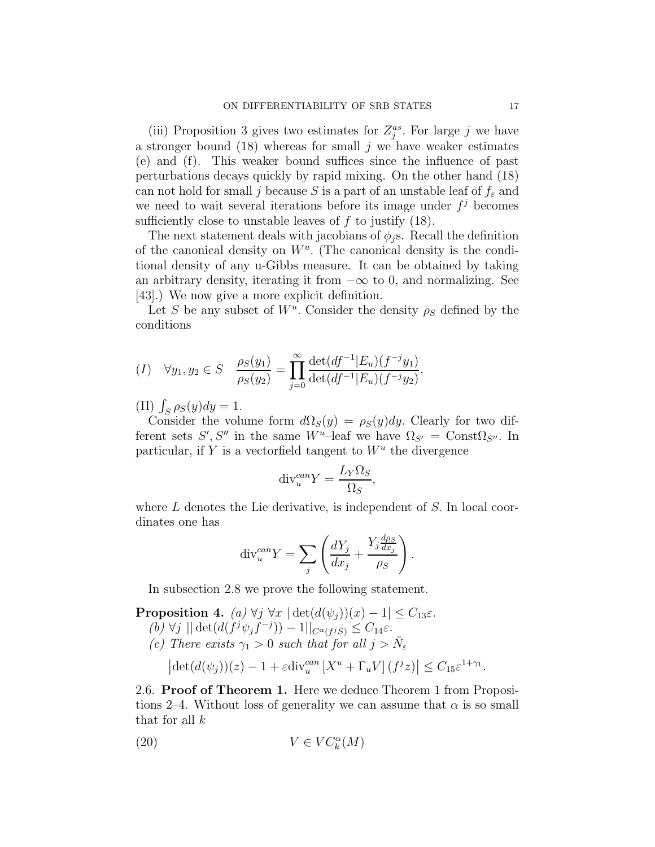(iii) Proposition 3 gives two estimates for  $Z_j^{as}$ . For large j we have a stronger bound  $(18)$  whereas for small j we have weaker estimates (e) and (f). This weaker bound suffices since the influence of past perturbations decays quickly by rapid mixing. On the other hand (18) can not hold for small j because S is a part of an unstable leaf of  $f_{\varepsilon}$  and we need to wait several iterations before its image under  $f^j$  becomes sufficiently close to unstable leaves of  $f$  to justify (18).

The next statement deals with jacobians of  $\phi_i$ s. Recall the definition of the canonical density on  $W^u$ . (The canonical density is the conditional density of any u-Gibbs measure. It can be obtained by taking an arbitrary density, iterating it from  $-\infty$  to 0, and normalizing. See [43].) We now give a more explicit definition.

Let S be any subset of  $W^u$ . Consider the density  $\rho_S$  defined by the conditions

$$
(I) \quad \forall y_1, y_2 \in S \quad \frac{\rho_S(y_1)}{\rho_S(y_2)} = \prod_{j=0}^{\infty} \frac{\det(df^{-1}|E_u)(f^{-j}y_1)}{\det(df^{-1}|E_u)(f^{-j}y_2)}.
$$

(II)  $\int_S \rho_S(y) dy = 1.$ 

Consider the volume form  $d\Omega_S(y) = \rho_S(y)dy$ . Clearly for two different sets  $S', S''$  in the same  $W^u$ -leaf we have  $\Omega_{S'} = \text{Const}\Omega_{S''}$ . In particular, if Y is a vectorfield tangent to  $W^u$  the divergence

$$
\mathrm{div}_u^{can} Y = \frac{L_Y \Omega_S}{\Omega_S},
$$

where  $L$  denotes the Lie derivative, is independent of  $S$ . In local coordinates one has

$$
\mathrm{div}_u^{can} Y = \sum_j \left( \frac{dY_j}{dx_j} + \frac{Y_j \frac{d\rho_S}{dx_j}}{\rho_S} \right).
$$

In subsection 2.8 we prove the following statement.

**Proposition 4.** (a)  $\forall j \ \forall x \ |\det(d(\psi_i))(x) - 1| \leq C_{13} \varepsilon$ . (b)  $\forall j \mid \left| \det(d(f^j \psi_j f^{-j})) - 1 \right| \right|_{C^{\alpha}(f^j \bar{S})} \leq C_{14} \varepsilon.$ (c) There exists  $\gamma_1 > 0$  such that for all  $j > \bar{N}_{\varepsilon}$  $\left|\det(d(\psi_j))(z) - 1 + \varepsilon \operatorname{div}_u^{can}[X^u + \Gamma_u V](f^j z)\right| \leq C_{15} \varepsilon^{1+\gamma_1}.$ 

2.6. Proof of Theorem 1. Here we deduce Theorem 1 from Propositions 2–4. Without loss of generality we can assume that  $\alpha$  is so small that for all  $k$ 

$$
(20) \t\t V \in VC_k^{\alpha}(M)
$$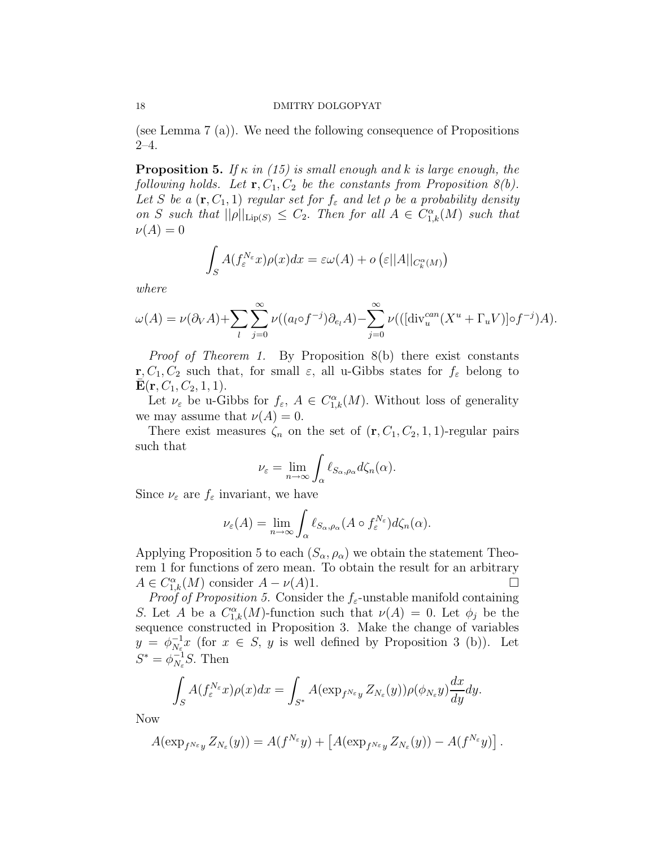(see Lemma 7 (a)). We need the following consequence of Propositions 2–4.

**Proposition 5.** If  $\kappa$  in (15) is small enough and k is large enough, the following holds. Let  $\mathbf{r}, C_1, C_2$  be the constants from Proposition 8(b). Let S be a  $(\mathbf{r}, C_1, 1)$  regular set for  $f_{\varepsilon}$  and let  $\rho$  be a probability density on S such that  $||\rho||_{\text{Lip}(S)} \leq C_2$ . Then for all  $A \in C^{\alpha}_{1,k}(M)$  such that  $\nu(A) = 0$ 

$$
\int_{S} A(f_{\varepsilon}^{N_{\varepsilon}} x)\rho(x)dx = \varepsilon\omega(A) + o\left(\varepsilon||A||_{C_{k}^{\alpha}(M)}\right)
$$

where

$$
\omega(A) = \nu(\partial_V A) + \sum_l \sum_{j=0}^{\infty} \nu((a_l \circ f^{-j})\partial_{e_l} A) - \sum_{j=0}^{\infty} \nu(([\text{div}_u^{can}(X^u + \Gamma_u V)] \circ f^{-j})A).
$$

Proof of Theorem 1. By Proposition 8(b) there exist constants r,  $C_1, C_2$  such that, for small  $\varepsilon$ , all u-Gibbs states for  $f_{\varepsilon}$  belong to  ${\bf E}({\bf r}, C_1, C_2, 1, 1).$ 

Let  $\nu_{\varepsilon}$  be u-Gibbs for  $f_{\varepsilon}$ ,  $A \in C^{\alpha}_{1,k}(M)$ . Without loss of generality we may assume that  $\nu(A) = 0$ .

There exist measures  $\zeta_n$  on the set of  $(\mathbf{r}, C_1, C_2, 1, 1)$ -regular pairs such that

$$
\nu_{\varepsilon} = \lim_{n \to \infty} \int_{\alpha} \ell_{S_{\alpha}, \rho_{\alpha}} d\zeta_n(\alpha).
$$

Since  $\nu_{\varepsilon}$  are  $f_{\varepsilon}$  invariant, we have

$$
\nu_{\varepsilon}(A) = \lim_{n \to \infty} \int_{\alpha} \ell_{S_{\alpha},\rho_{\alpha}}(A \circ f_{\varepsilon}^{N_{\varepsilon}}) d\zeta_n(\alpha).
$$

Applying Proposition 5 to each  $(S_{\alpha}, \rho_{\alpha})$  we obtain the statement Theorem 1 for functions of zero mean. To obtain the result for an arbitrary  $A \in C^{\alpha}_{1,k}(M)$  consider  $A - \nu(A)1$ .

*Proof of Proposition 5.* Consider the  $f_{\varepsilon}$ -unstable manifold containing S. Let A be a  $C_{1,k}^{\alpha}(M)$ -function such that  $\nu(A) = 0$ . Let  $\phi_j$  be the sequence constructed in Proposition 3. Make the change of variables  $y = \phi_{N_{\varepsilon}}^{-1}$  $\sum_{N\in\mathcal{X}}^{-1}$  (for  $x \in S$ , y is well defined by Proposition 3 (b)). Let  $S^* = \phi_{N_{\varepsilon}}^{-1}$  $\overline{N}_{\varepsilon}^{-1}S$ . Then

$$
\int_{S} A(f_{\varepsilon}^{N_{\varepsilon}} x)\rho(x)dx = \int_{S^*} A(\exp_{f^{N_{\varepsilon}} y} Z_{N_{\varepsilon}}(y))\rho(\phi_{N_{\varepsilon}} y)\frac{dx}{dy}dy.
$$

Now

$$
A(\exp_{f^{N_{\varepsilon}}}Z_{N_{\varepsilon}}(y))=A(f^{N_{\varepsilon}}y)+\left[A(\exp_{f^{N_{\varepsilon}}}Z_{N_{\varepsilon}}(y))-A(f^{N_{\varepsilon}}y)\right].
$$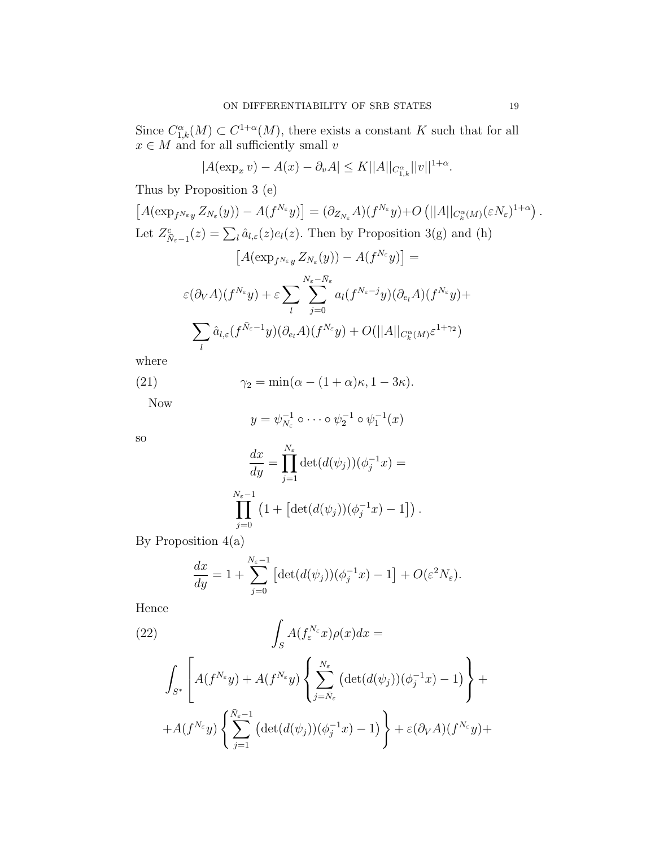Since  $C_{1,k}^{\alpha}(M) \subset C^{1+\alpha}(M)$ , there exists a constant K such that for all  $x \in M$  and for all sufficiently small v

$$
|A(\exp_x v) - A(x) - \partial_v A| \le K ||A||_{C_{1,k}^{\alpha}} ||v||^{1+\alpha}.
$$

Thus by Proposition 3 (e)

 $\left[A(\exp_{f^{N_{\varepsilon}}y}Z_{N_{\varepsilon}}(y))-A(f^{N_{\varepsilon}}y)\right]=(\partial_{Z_{N_{\varepsilon}}}A)(f^{N_{\varepsilon}}y)+O\left(||A||_{C_{k}^{\alpha}(M)}(\varepsilon N_{\varepsilon})^{1+\alpha}\right).$ Let  $Z_{\bar{N}_{\varepsilon}-1}^c(z) = \sum_l \hat{a}_{l,\varepsilon}(z) e_l(z)$ . Then by Proposition 3(g) and (h)

$$
\left[A(\exp_{f^{N_{\varepsilon}}y} Z_{N_{\varepsilon}}(y)) - A(f^{N_{\varepsilon}}y)\right] =
$$
  

$$
\varepsilon(\partial_V A)(f^{N_{\varepsilon}}y) + \varepsilon \sum_l \sum_{j=0}^{N_{\varepsilon} - \bar{N}_{\varepsilon}} a_l(f^{N_{\varepsilon}-j}y)(\partial_{e_l} A)(f^{N_{\varepsilon}}y) +
$$
  

$$
\sum_l \hat{a}_{l,\varepsilon}(f^{\bar{N}_{\varepsilon}-1}y)(\partial_{e_l} A)(f^{N_{\varepsilon}}y) + O(||A||_{C_k^{\alpha}(M)}\varepsilon^{1+\gamma_2})
$$

where

(21)  $\gamma_2 = \min(\alpha - (1 + \alpha)\kappa, 1 - 3\kappa).$ 

Now

$$
y = \psi_{N_{\varepsilon}}^{-1} \circ \cdots \circ \psi_2^{-1} \circ \psi_1^{-1}(x)
$$

so

$$
\frac{dx}{dy} = \prod_{j=1}^{N_{\varepsilon}} \det(d(\psi_j))(\phi_j^{-1}x) =
$$
  

$$
\prod_{j=0}^{N_{\varepsilon}-1} (1 + [\det(d(\psi_j))(\phi_j^{-1}x) - 1]).
$$

By Proposition  $4(a)$ 

$$
\frac{dx}{dy} = 1 + \sum_{j=0}^{N_{\varepsilon}-1} \left[ \det(d(\psi_j))(\phi_j^{-1}x) - 1 \right] + O(\varepsilon^2 N_{\varepsilon}).
$$

Hence

(22)  
\n
$$
\int_{S} A(f_{\varepsilon}^{N_{\varepsilon}}x)\rho(x)dx =
$$
\n
$$
\int_{S^*} \left[ A(f^{N_{\varepsilon}}y) + A(f^{N_{\varepsilon}}y) \left\{ \sum_{j=\bar{N}_{\varepsilon}}^{N_{\varepsilon}} \left( \det(d(\psi_j))(\phi_j^{-1}x) - 1 \right) \right\} + A(f^{N_{\varepsilon}}y) \left\{ \sum_{j=1}^{\bar{N}_{\varepsilon}-1} \left( \det(d(\psi_j))(\phi_j^{-1}x) - 1 \right) \right\} + \varepsilon(\partial_V A)(f^{N_{\varepsilon}}y) +
$$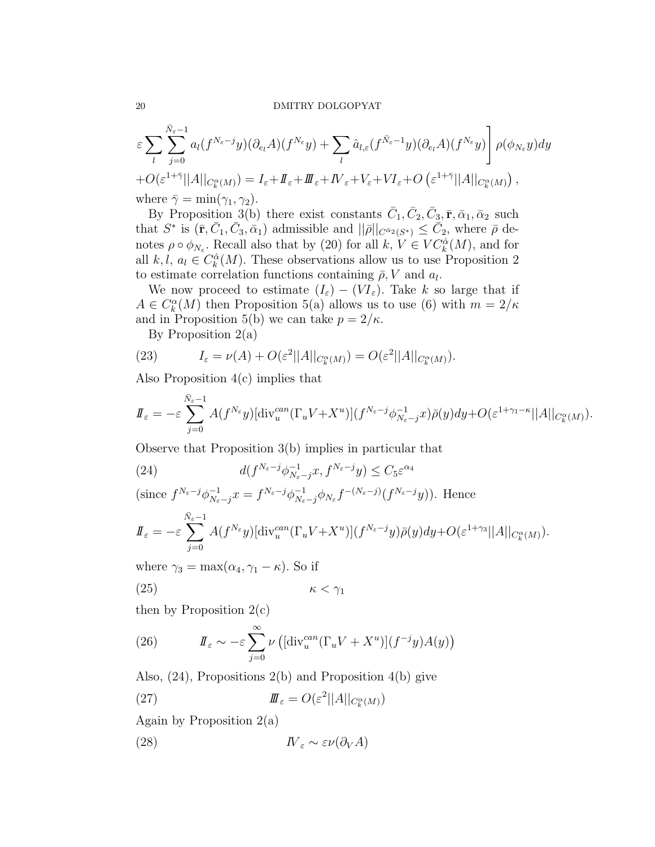$$
\varepsilon \sum_{l} \sum_{j=0}^{\bar{N}_{\varepsilon}-1} a_{l}(f^{N_{\varepsilon}-j}y)(\partial_{e_{l}}A)(f^{N_{\varepsilon}}y) + \sum_{l} \hat{a}_{l,\varepsilon}(f^{\bar{N}_{\varepsilon}-1}y)(\partial_{e_{l}}A)(f^{N_{\varepsilon}}y) \left] \rho(\phi_{N_{\varepsilon}}y)dy + O(\varepsilon^{1+\bar{\gamma}}||A||_{C_{k}^{\alpha}(M)}) = I_{\varepsilon} + I_{\varepsilon} + I_{\varepsilon} + I_{\varepsilon} + V_{\varepsilon} + V_{\varepsilon} + VI_{\varepsilon} + O(\varepsilon^{1+\bar{\gamma}}||A||_{C_{k}^{\alpha}(M)}),\nwhere \ \bar{\gamma} = \min(\gamma_{1},\gamma_{2}).
$$

By Proposition 3(b) there exist constants  $\bar{C}_1, \bar{C}_2, \bar{C}_3$ ,  $\bar{\mathbf{r}}, \bar{\alpha}_1, \bar{\alpha}_2$  such that  $S^*$  is  $(\bar{r}, \bar{C}_1, \bar{C}_3, \bar{\alpha}_1)$  admissible and  $||\bar{\rho}||_{C^{\bar{\alpha}_2}(S^*)} \leq \bar{C}_2$ , where  $\bar{\rho}$  denotes  $\rho \circ \phi_{N_{\varepsilon}}$ . Recall also that by (20) for all  $k, V \in VC_k^{\hat{\alpha}}(M)$ , and for all  $k, l, a_l \in C_k^{\hat{\alpha}}(M)$ . These observations allow us to use Proposition 2 to estimate correlation functions containing  $\bar{\rho}$ , V and  $a_l$ .

We now proceed to estimate  $(I_{\varepsilon}) - (VI_{\varepsilon})$ . Take k so large that if  $A \in C^{\alpha}_{k}(M)$  then Proposition 5(a) allows us to use (6) with  $m = 2/\kappa$ and in Proposition 5(b) we can take  $p = 2/\kappa$ .

By Proposition  $2(a)$ 

(23) 
$$
I_{\varepsilon} = \nu(A) + O(\varepsilon^2 ||A||_{C_k^{\alpha}(M)}) = O(\varepsilon^2 ||A||_{C_k^{\alpha}(M)}).
$$

Also Proposition 4(c) implies that

$$
\mathcal{I}_{\varepsilon} = -\varepsilon \sum_{j=0}^{\bar{N}_{\varepsilon}-1} A(f^{N_{\varepsilon}}y)[\text{div}_{u}^{can}(\Gamma_{u}V+X^{u})](f^{N_{\varepsilon}-j}\phi_{N_{\varepsilon}-j}^{-1}x)\bar{\rho}(y)dy + O(\varepsilon^{1+\gamma_{1}-\kappa}||A||_{C_{k}^{\alpha}(M)}).
$$

Observe that Proposition 3(b) implies in particular that

(24) 
$$
d(f^{N_{\varepsilon}-j}\phi_{N_{\varepsilon}-j}^{-1}x, f^{N_{\varepsilon}-j}y) \leq C_{5}\varepsilon^{\alpha_{4}}
$$
  
\n(since  $f^{N_{\varepsilon}-j}\phi_{N_{\varepsilon}-j}^{-1}x = f^{N_{\varepsilon}-j}\phi_{N_{\varepsilon}-j}^{-1}\phi_{N_{\varepsilon}}f^{-(N_{\varepsilon}-j)}(f^{N_{\varepsilon}-j}y)$ ). Hence  
\n
$$
I\!\!I_{\varepsilon} = -\varepsilon \sum_{j=0}^{\bar{N}_{\varepsilon}-1} A(f^{N_{\varepsilon}}y)[\text{div}_{u}^{can}(\Gamma_{u}V+X^{u})](f^{N_{\varepsilon}-j}y)\bar{\rho}(y)dy + O(\varepsilon^{1+\gamma_{3}}||A||_{C_{k}^{\alpha}(M)}).
$$

where  $\gamma_3 = \max(\alpha_4, \gamma_1 - \kappa)$ . So if

$$
\kappa < \gamma_1
$$

then by Proposition  $2(c)$ 

(26) 
$$
\mathcal{I}_{\varepsilon} \sim -\varepsilon \sum_{j=0}^{\infty} \nu \left( [\text{div}_{u}^{can} (\Gamma_{u} V + X^{u})](f^{-j}y) A(y) \right)
$$

Also, (24), Propositions 2(b) and Proposition 4(b) give

(27) 
$$
\mathbf{I}\!\mathbf{I}_{\varepsilon} = O(\varepsilon^2 ||A||_{C^{\alpha}_{k}(M)})
$$

Again by Proposition  $2(a)$ 

(28) IV <sup>ε</sup> ∼ εν(∂<sup>V</sup> A)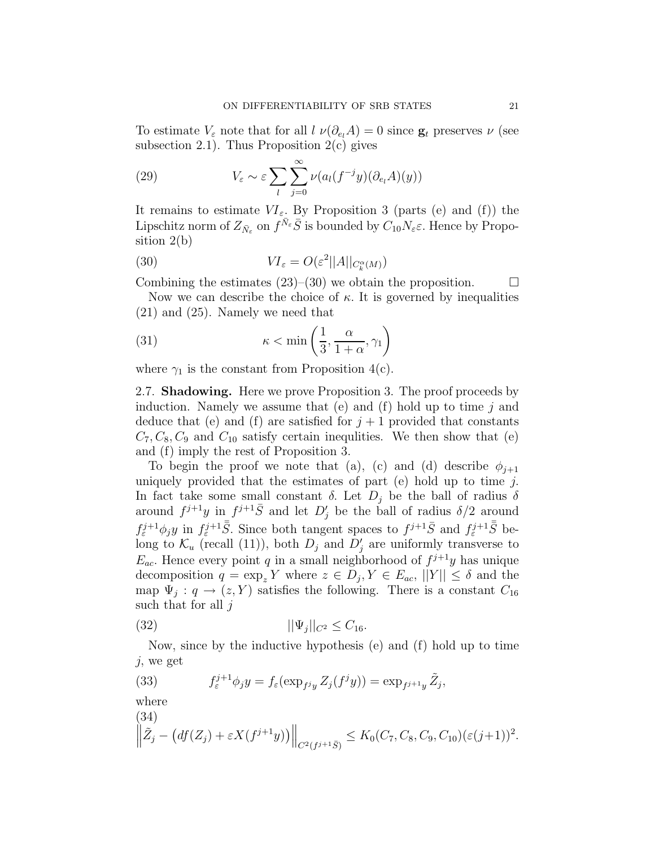To estimate  $V_{\varepsilon}$  note that for all  $l \nu(\partial_{e_i}A) = 0$  since  $\mathbf{g}_t$  preserves  $\nu$  (see subsection 2.1). Thus Proposition  $2(c)$  gives

(29) 
$$
V_{\varepsilon} \sim \varepsilon \sum_{l} \sum_{j=0}^{\infty} \nu(a_{l}(f^{-j}y)(\partial_{e_{l}}A)(y))
$$

It remains to estimate  $VI_{\varepsilon}$ . By Proposition 3 (parts (e) and (f)) the Lipschitz norm of  $Z_{\bar{N}_{\varepsilon}}$  on  $f^{\bar{N}_{\varepsilon}}\bar{S}$  is bounded by  $C_{10}N_{\varepsilon}\varepsilon$ . Hence by Proposition 2(b)

(30) 
$$
VI_{\varepsilon} = O(\varepsilon^2 ||A||_{C^{\alpha}_{k}(M)})
$$

Combining the estimates  $(23)$ – $(30)$  we obtain the proposition.

Now we can describe the choice of  $\kappa$ . It is governed by inequalities (21) and (25). Namely we need that

(31) 
$$
\kappa < \min\left(\frac{1}{3}, \frac{\alpha}{1+\alpha}, \gamma_1\right)
$$

where  $\gamma_1$  is the constant from Proposition 4(c).

2.7. Shadowing. Here we prove Proposition 3. The proof proceeds by induction. Namely we assume that (e) and (f) hold up to time  $j$  and deduce that (e) and (f) are satisfied for  $j+1$  provided that constants  $C_7, C_8, C_9$  and  $C_{10}$  satisfy certain inequlities. We then show that (e) and (f) imply the rest of Proposition 3.

To begin the proof we note that (a), (c) and (d) describe  $\phi_{i+1}$ uniquely provided that the estimates of part (e) hold up to time  $j$ . In fact take some small constant  $\delta$ . Let  $D_j$  be the ball of radius  $\delta$ around  $f^{j+1}y$  in  $f^{j+1}\overline{S}$  and let  $D'_j$  be the ball of radius  $\delta/2$  around  $f_{\varepsilon}^{j+1}\phi_j y$  in  $f_{\varepsilon}^{j+1}\overline{S}$ . Since both tangent spaces to  $f^{j+1}\overline{S}$  and  $f_{\varepsilon}^{j+1}\overline{S}$  belong to  $\mathcal{K}_u$  (recall (11)), both  $D_j$  and  $D'_j$  are uniformly transverse to  $E_{ac}$ . Hence every point q in a small neighborhood of  $f^{j+1}y$  has unique decomposition  $q = \exp_z Y$  where  $z \in D_j, Y \in E_{ac}, ||Y|| \leq \delta$  and the map  $\Psi_j: q \to (z, Y)$  satisfies the following. There is a constant  $C_{16}$ such that for all  $j$ 

(32) 
$$
||\Psi_j||_{C^2} \leq C_{16}.
$$

Now, since by the inductive hypothesis (e) and (f) hold up to time  $j$ , we get

(33) 
$$
f_{\varepsilon}^{j+1} \phi_j y = f_{\varepsilon} (\exp_{f^j y} Z_j(f^j y)) = \exp_{f^{j+1} y} \tilde{Z}_j,
$$

where

(34)  

$$
\left\|\tilde{Z}_j - (df(Z_j) + \varepsilon X(f^{j+1}y))\right\|_{C^2(f^{j+1}\bar{S})} \leq K_0(C_7, C_8, C_9, C_{10})(\varepsilon(j+1))^2.
$$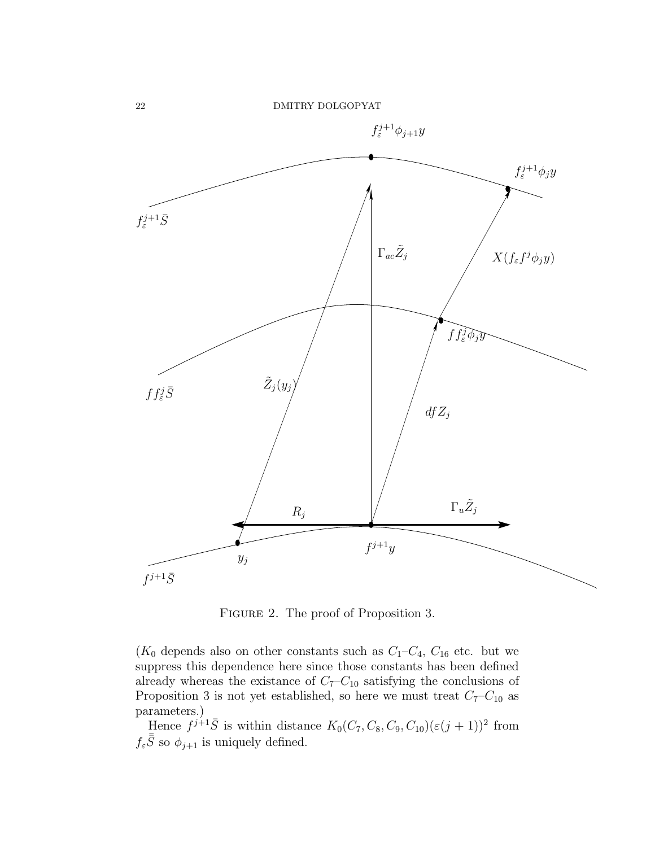

Figure 2. The proof of Proposition 3.

 $(K_0$  depends also on other constants such as  $C_1-C_4$ ,  $C_{16}$  etc. but we suppress this dependence here since those constants has been defined already whereas the existance of  $C_7-C_{10}$  satisfying the conclusions of Proposition 3 is not yet established, so here we must treat  $C_7-C_{10}$  as parameters.)

Hence  $f^{j+1}\overline{S}$  is within distance  $K_0(C_7, C_8, C_9, C_{10})(\varepsilon(j+1))^2$  from  $f_{\varepsilon}\bar{\bar{S}}$  so  $\phi_{j+1}$  is uniquely defined.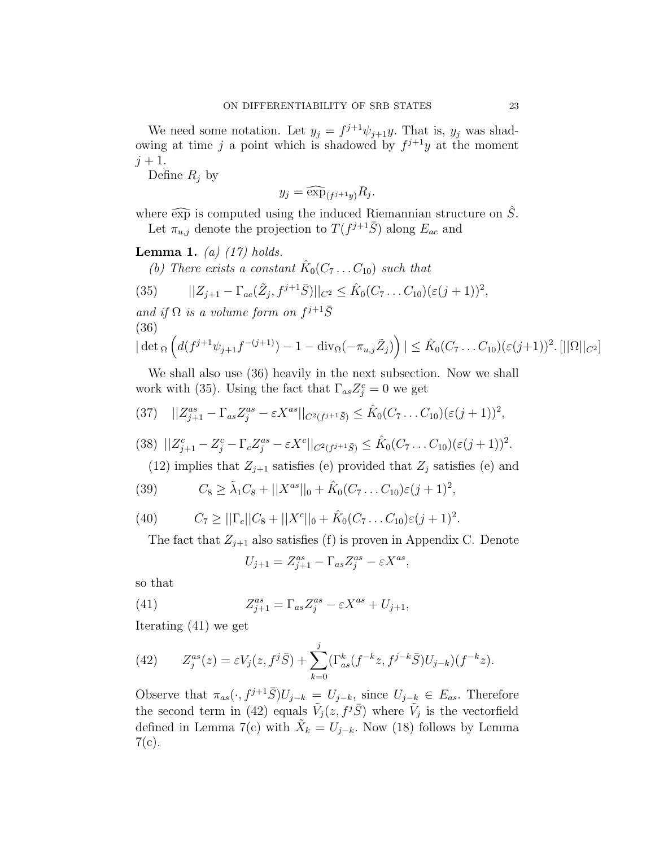We need some notation. Let  $y_j = f^{j+1} \psi_{j+1} y$ . That is,  $y_j$  was shadowing at time j a point which is shadowed by  $f^{j+1}y$  at the moment  $j + 1$ .

Define  $R_i$  by

$$
y_j = \widehat{\exp}_{(f^{j+1}y)} R_j.
$$

where  $\widehat{\exp}$  is computed using the induced Riemannian structure on  $\widehat{S}$ . Let  $\pi_{u,j}$  denote the projection to  $T(f^{j+1}\overline{S})$  along  $E_{ac}$  and

**Lemma 1.** (a)  $(17)$  holds.

(b) There exists a constant  $\hat{K}_0(C_7 \dots C_{10})$  such that

(35) 
$$
||Z_{j+1} - \Gamma_{ac}(\tilde{Z}_j, f^{j+1}\bar{S})||_{C^2} \leq \hat{K}_0(C_7 \dots C_{10})(\varepsilon(j+1))^2,
$$

and if  $\Omega$  is a volume form on  $f^{j+1}\overline{S}$ (36)

$$
|\det_{\Omega} \left( d(f^{j+1}\psi_{j+1}f^{-(j+1)}) - 1 - \text{div}_{\Omega}(-\pi_{u,j}\tilde{Z}_j) \right)| \leq \hat{K}_0(C_7 \dots C_{10})(\varepsilon(j+1))^2. [||\Omega||_{C^2}]
$$

We shall also use (36) heavily in the next subsection. Now we shall work with (35). Using the fact that  $\Gamma_{as} Z_j^c = 0$  we get

$$
(37) \quad ||Z_{j+1}^{as} - \Gamma_{as} Z_j^{as} - \varepsilon X^{as}||_{C^2(f^{j+1}\bar{S})} \leq \hat{K}_0(C_7 \dots C_{10})(\varepsilon(j+1))^2,
$$

$$
(38) \quad ||Z_{j+1}^c - Z_j^c - \Gamma_c Z_j^{as} - \varepsilon X^c||_{C^2(f^{j+1}\bar{S})} \leq \hat{K}_0(C_7 \dots C_{10})(\varepsilon(j+1))^2.
$$

(12) implies that  $Z_{j+1}$  satisfies (e) provided that  $Z_j$  satisfies (e) and

(39) 
$$
C_8 \ge \tilde{\lambda}_1 C_8 + ||X^{as}||_0 + \hat{K}_0 (C_7 ... C_{10}) \varepsilon (j+1)^2,
$$

(40) 
$$
C_7 \ge ||\Gamma_c||C_8 + ||X^c||_0 + \hat{K}_0(C_7 ... C_{10})\varepsilon(j+1)^2.
$$

The fact that  $Z_{j+1}$  also satisfies (f) is proven in Appendix C. Denote

$$
U_{j+1} = Z_{j+1}^{as} - \Gamma_{as} Z_j^{as} - \varepsilon X^{as},
$$

so that

(41) 
$$
Z_{j+1}^{as} = \Gamma_{as} Z_j^{as} - \varepsilon X^{as} + U_{j+1},
$$

Iterating (41) we get

(42) 
$$
Z_j^{as}(z) = \varepsilon V_j(z, f^j \bar{S}) + \sum_{k=0}^j (\Gamma_{as}^k (f^{-k} z, f^{j-k} \bar{S}) U_{j-k}) (f^{-k} z).
$$

Observe that  $\pi_{as}(\cdot, f^{j+1}\overline{S})U_{j-k} = U_{j-k}$ , since  $U_{j-k} \in E_{as}$ . Therefore the second term in (42) equals  $\tilde{V}_j(z, f^j\bar{S})$  where  $\tilde{V}_j$  is the vectorfield defined in Lemma 7(c) with  $\tilde{X}_k = U_{j-k}$ . Now (18) follows by Lemma 7(c).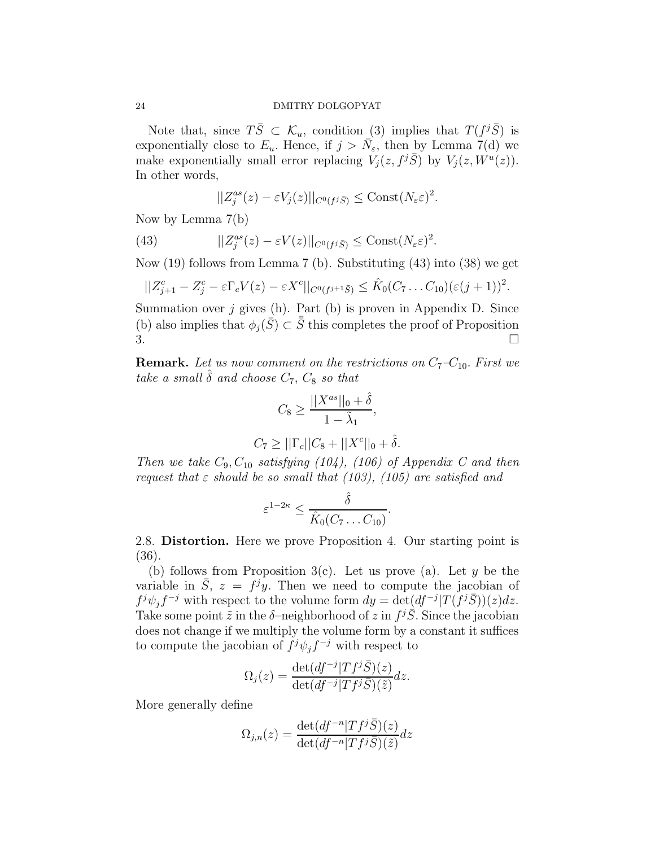Note that, since  $T\bar{S} \subset \mathcal{K}_u$ , condition (3) implies that  $T(f^j\bar{S})$  is exponentially close to  $E_u$ . Hence, if  $j > \bar{N}_{\varepsilon}$ , then by Lemma  $\tilde{7}$ (d) we make exponentially small error replacing  $V_j(z, f^j\overline{S})$  by  $V_j(z, W^u(z))$ . In other words,

$$
||Z_j^{as}(z) - \varepsilon V_j(z)||_{C^0(f^j\bar{S})} \leq \text{Const}(N_{\varepsilon}\varepsilon)^2.
$$

Now by Lemma 7(b)

(43) 
$$
||Z_j^{as}(z) - \varepsilon V(z)||_{C^0(f^j\bar{S})} \leq \text{Const}(N_{\varepsilon}\varepsilon)^2.
$$

Now (19) follows from Lemma 7 (b). Substituting (43) into (38) we get

$$
||Z_{j+1}^c - Z_j^c - \varepsilon \Gamma_c V(z) - \varepsilon X^c||_{C^0(f^{j+1}\bar{S})} \leq \hat{K}_0(C_7 \dots C_{10})(\varepsilon(j+1))^2.
$$

Summation over  $j$  gives (h). Part (b) is proven in Appendix D. Since (b) also implies that  $\phi_j(\overline{S}) \subset \overline{S}$  this completes the proof of Proposition  $3.$ 

**Remark.** Let us now comment on the restrictions on  $C_7 - C_{10}$ . First we take a small  $\hat{\delta}$  and choose  $C_7$ ,  $C_8$  so that

$$
C_8 \ge \frac{||X^{as}||_0 + \hat{\delta}}{1 - \tilde{\lambda}_1},
$$

$$
C_7 \ge ||\Gamma_c||C_8 + ||X^c||_0 + \hat{\delta}.
$$

Then we take  $C_9, C_{10}$  satisfying (104), (106) of Appendix C and then request that  $\varepsilon$  should be so small that (103), (105) are satisfied and

$$
\varepsilon^{1-2\kappa} \leq \frac{\hat{\delta}}{\hat{K}_0(C_7 \dots C_{10})}.
$$

2.8. Distortion. Here we prove Proposition 4. Our starting point is (36).

(b) follows from Proposition 3(c). Let us prove (a). Let  $\gamma$  be the variable in  $\overline{S}$ ,  $z = f^{j}y$ . Then we need to compute the jacobian of  $f^j \psi_j f^{-j}$  with respect to the volume form  $dy = \det(df^{-j}|T(f^j\overline{S}))(z)dz$ . Take some point  $\tilde{z}$  in the  $\delta$ -neighborhood of  $z$  in  $f^j\overline{S}$ . Since the jacobian does not change if we multiply the volume form by a constant it suffices to compute the jacobian of  $f^{j}\psi_{j}f^{-j}$  with respect to

$$
\Omega_j(z) = \frac{\det(df^{-j}|Tf^j\bar{S})(z)}{\det(df^{-j}|Tf^j\bar{S})(\tilde{z})}dz.
$$

More generally define

$$
\Omega_{j,n}(z) = \frac{\det(df^{-n}|Tf^j\bar{S})(z)}{\det(df^{-n}|Tf^j\bar{S})(\tilde{z})}dz
$$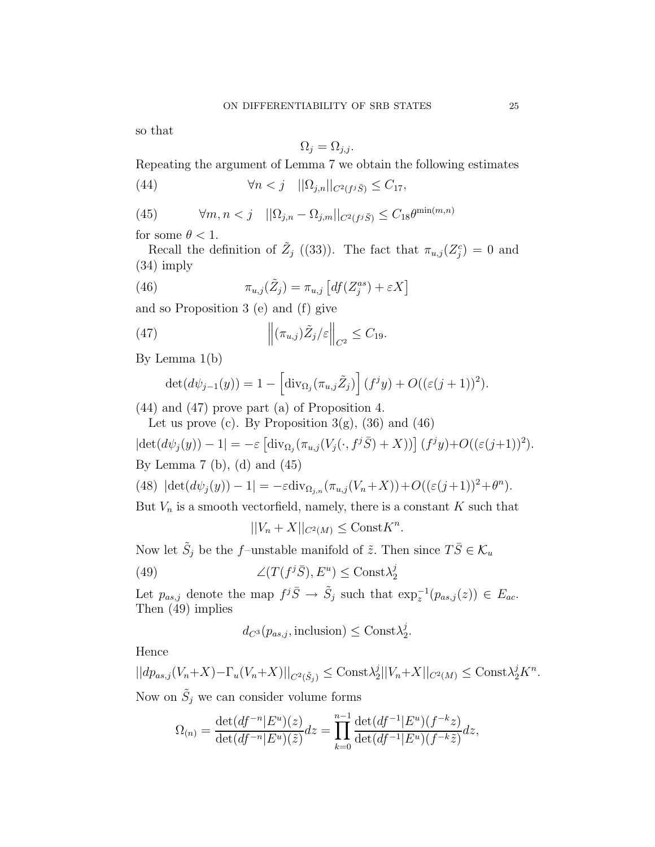so that

$$
\Omega_j = \Omega_{j,j}.
$$

Repeating the argument of Lemma 7 we obtain the following estimates

(44) 
$$
\forall n < j \quad ||\Omega_{j,n}||_{C^2(f^j\bar{S})} \leq C_{17},
$$

(45) 
$$
\forall m, n < j \quad ||\Omega_{j,n} - \Omega_{j,m}||_{C^2(f^j\bar{S})} \leq C_{18}\theta^{\min(m,n)}
$$

for some  $\theta < 1$ .

Recall the definition of  $\tilde{Z}_j$  ((33)). The fact that  $\pi_{u,j}(Z_j^c) = 0$  and (34) imply

(46) 
$$
\pi_{u,j}(\tilde{Z}_j) = \pi_{u,j} \left[ df(Z_j^{as}) + \varepsilon X \right]
$$

and so Proposition 3 (e) and (f) give

(47) 
$$
\left\| \left( \pi_{u,j} \right) \tilde{Z}_j / \varepsilon \right\|_{C^2} \leq C_{19}.
$$

By Lemma 1(b)

$$
\det(d\psi_{j-1}(y)) = 1 - \left[ \operatorname{div}_{\Omega_j}(\pi_{u,j}\tilde{Z}_j) \right] (f^j y) + O((\varepsilon(j+1))^2).
$$

(44) and (47) prove part (a) of Proposition 4.

Let us prove (c). By Proposition 3(g),  $(36)$  and  $(46)$ 

$$
|\det(d\psi_j(y)) - 1| = -\varepsilon \left[ \operatorname{div}_{\Omega_j}(\pi_{u,j}(V_j(\cdot, f^j \bar{S}) + X)) \right] (f^j y) + O((\varepsilon(j+1))^2).
$$
  
By Lomme 7 (b) (d) and (45)

By Lemma 7 (b), (d) and 
$$
(45)
$$

(48) 
$$
|\det(d\psi_j(y)) - 1| = -\varepsilon \text{div}_{\Omega_{j,n}}(\pi_{u,j}(V_n + X)) + O((\varepsilon(j+1))^2 + \theta^n).
$$

But  $V_n$  is a smooth vectorfield, namely, there is a constant  $K$  such that

$$
||V_n + X||_{C^2(M)} \leq \text{Const}K^n.
$$

Now let  $\tilde{S}_j$  be the f-unstable manifold of  $\tilde{z}$ . Then since  $T\bar{S} \in \mathcal{K}_u$ 

(49) 
$$
\angle(T(f^j\bar{S}), E^u) \leq \text{Const}\lambda_2^j
$$

Let  $p_{as,j}$  denote the map  $f^j \overline{S} \to \widetilde{S}_j$  such that  $\exp_z^{-1}(p_{as,j}(z)) \in E_{ac}$ . Then  $(49)$  implies

$$
d_{C^3}(p_{as,j},\text{inclusion}) \leq \text{Const}\lambda_2^j.
$$

Hence

$$
||dp_{as,j}(V_n+X) - \Gamma_u(V_n+X)||_{C^2(\tilde{S}_j)} \leq \text{Const}\lambda_2^j ||V_n+X||_{C^2(M)} \leq \text{Const}\lambda_2^j K^n.
$$
  
Now on  $\tilde{S}$ , we can consider volume forms

Now on  $\tilde{S}_j$  we can consider volume forms

$$
\Omega_{(n)} = \frac{\det(df^{-n}|E^u)(z)}{\det(df^{-n}|E^u)(\tilde{z})}dz = \prod_{k=0}^{n-1} \frac{\det(df^{-1}|E^u)(f^{-k}z)}{\det(df^{-1}|E^u)(f^{-k}\tilde{z})}dz,
$$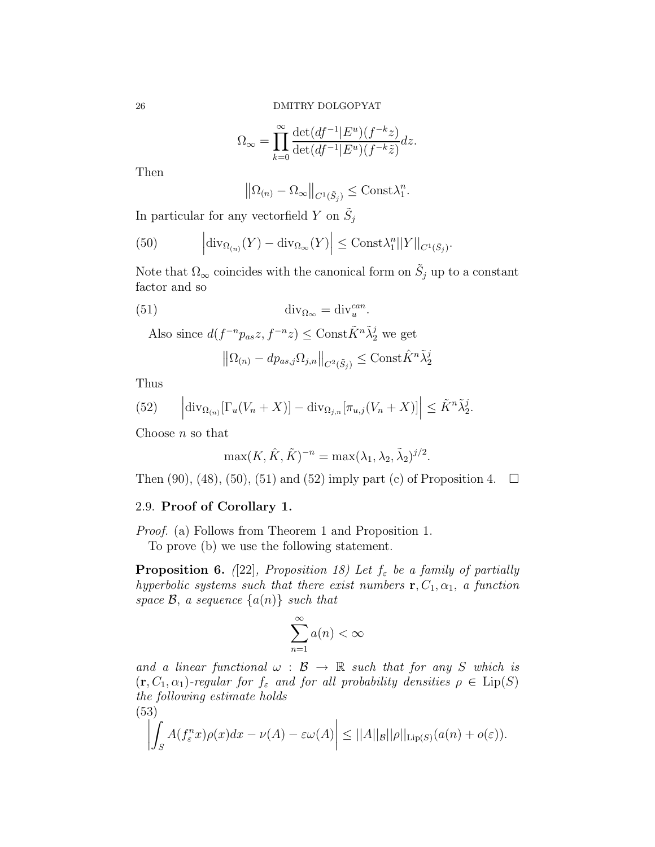$$
\Omega_{\infty} = \prod_{k=0}^{\infty} \frac{\det(df^{-1}|E^u)(f^{-k}z)}{\det(df^{-1}|E^u)(f^{-k}\tilde{z})}dz.
$$

Then

$$
\left\|\Omega_{(n)} - \Omega_{\infty}\right\|_{C^1(\tilde{S}_j)} \leq \text{Const}\lambda_1^n.
$$

In particular for any vectorfield Y on  $\tilde{S}_j$ 

(50) 
$$
\left| \operatorname{div}_{\Omega_{(n)}}(Y) - \operatorname{div}_{\Omega_{\infty}}(Y) \right| \leq \operatorname{Const} \lambda_1^n ||Y||_{C^1(\tilde{S}_j)}.
$$

Note that  $\Omega_{\infty}$  coincides with the canonical form on  $\tilde{S}_j$  up to a constant factor and so

(51) 
$$
\operatorname{div}_{\Omega_{\infty}} = \operatorname{div}_{u}^{can}.
$$

Also since  $d(f^{-n}p_{as}z, f^{-n}z) \leq \text{Const}\tilde{K}^n\tilde{\lambda}_2^j$  we get

$$
\left\|\Omega_{(n)} - dp_{as,j}\Omega_{j,n}\right\|_{C^2(\tilde{S}_j)} \leq \text{Const}\hat{K}^n\tilde{\lambda}_2^j
$$

Thus

(52) 
$$
\left| \operatorname{div}_{\Omega_{(n)}} [\Gamma_u(V_n + X)] - \operatorname{div}_{\Omega_{j,n}} [\pi_{u,j}(V_n + X)] \right| \leq \tilde{K}^n \tilde{\lambda}_2^j.
$$

Choose  $n$  so that

$$
\max(K, \hat{K}, \tilde{K})^{-n} = \max(\lambda_1, \lambda_2, \tilde{\lambda}_2)^{j/2}.
$$

Then  $(90)$ ,  $(48)$ ,  $(50)$ ,  $(51)$  and  $(52)$  imply part  $(c)$  of Proposition 4.  $\Box$ 

## 2.9. Proof of Corollary 1.

Proof. (a) Follows from Theorem 1 and Proposition 1.

To prove (b) we use the following statement.

**Proposition 6.** ([22], Proposition 18) Let  $f_{\varepsilon}$  be a family of partially hyperbolic systems such that there exist numbers  $\mathbf{r}, C_1, \alpha_1$ , a function space  $\mathcal{B}$ , a sequence  $\{a(n)\}\$  such that

$$
\sum_{n=1}^{\infty} a(n) < \infty
$$

and a linear functional  $\omega : \mathcal{B} \to \mathbb{R}$  such that for any S which is  $(\mathbf{r}, C_1, \alpha_1)$ -regular for  $f_{\varepsilon}$  and for all probability densities  $\rho \in \text{Lip}(S)$ the following estimate holds

(53)  

$$
\left| \int_{S} A(f_{\varepsilon}^{n} x) \rho(x) dx - \nu(A) - \varepsilon \omega(A) \right| \leq ||A||_{\mathcal{B}} ||\rho||_{\text{Lip}(S)} (a(n) + o(\varepsilon)).
$$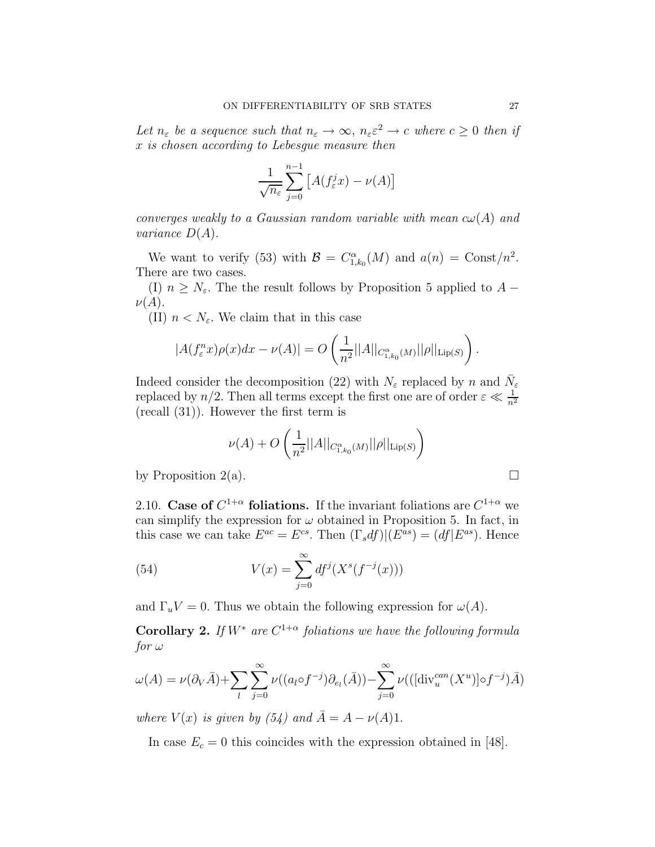Let  $n_{\varepsilon}$  be a sequence such that  $n_{\varepsilon} \to \infty$ ,  $n_{\varepsilon} \varepsilon^2 \to c$  where  $c \geq 0$  then if x is chosen according to Lebesgue measure then

$$
\frac{1}{\sqrt{n_{\varepsilon}}} \sum_{j=0}^{n-1} \left[ A(f_{\varepsilon}^j x) - \nu(A) \right]
$$

converges weakly to a Gaussian random variable with mean  $c\omega(A)$  and variance D(A).

We want to verify (53) with  $\mathcal{B} = C^{\alpha}_{1,k_0}(M)$  and  $a(n) = \text{Const}/n^2$ . There are two cases.

(I)  $n \geq N_{\varepsilon}$ . The the result follows by Proposition 5 applied to  $A \nu(A).$ 

(II)  $n < N_{\varepsilon}$ . We claim that in this case

$$
|A(f_{\varepsilon}^n x)\rho(x)dx - \nu(A)| = O\left(\frac{1}{n^2}||A||_{C_{1,k_0}^{\alpha}(M)}||\rho||_{\text{Lip}(S)}\right).
$$

Indeed consider the decomposition (22) with  $N_{\varepsilon}$  replaced by n and  $\bar{N}_{\varepsilon}$ replaced by  $n/2$ . Then all terms except the first one are of order  $\varepsilon \ll \frac{1}{n^2}$ (recall (31)). However the first term is

$$
\nu(A) + O\left(\frac{1}{n^2}||A||_{C^{\alpha}_{1,k_0}(M)}||\rho||_{{\rm Lip}(S)}\right)
$$

by Proposition 2(a).

2.10. Case of  $C^{1+\alpha}$  foliations. If the invariant foliations are  $C^{1+\alpha}$  we can simplify the expression for  $\omega$  obtained in Proposition 5. In fact, in this case we can take  $E^{ac} = E^{cs}$ . Then  $(\Gamma_s df)| (E^{as}) = (df | E^{as})$ . Hence

(54) 
$$
V(x) = \sum_{j=0}^{\infty} df^{j}(X^{s}(f^{-j}(x)))
$$

and  $\Gamma_u V = 0$ . Thus we obtain the following expression for  $\omega(A)$ .

**Corollary 2.** If  $W^*$  are  $C^{1+\alpha}$  foliations we have the following formula  $for \omega$ 

$$
\omega(A) = \nu(\partial_V \bar{A}) + \sum_{l} \sum_{j=0}^{\infty} \nu((a_l \circ f^{-j})\partial_{e_l}(\bar{A})) - \sum_{j=0}^{\infty} \nu((\text{div}_u^{can}(X^u)) \circ f^{-j})\bar{A})
$$

where  $V(x)$  is given by (54) and  $\overline{A} = A - \nu(A)1$ .

In case  $E_c = 0$  this coincides with the expression obtained in [48].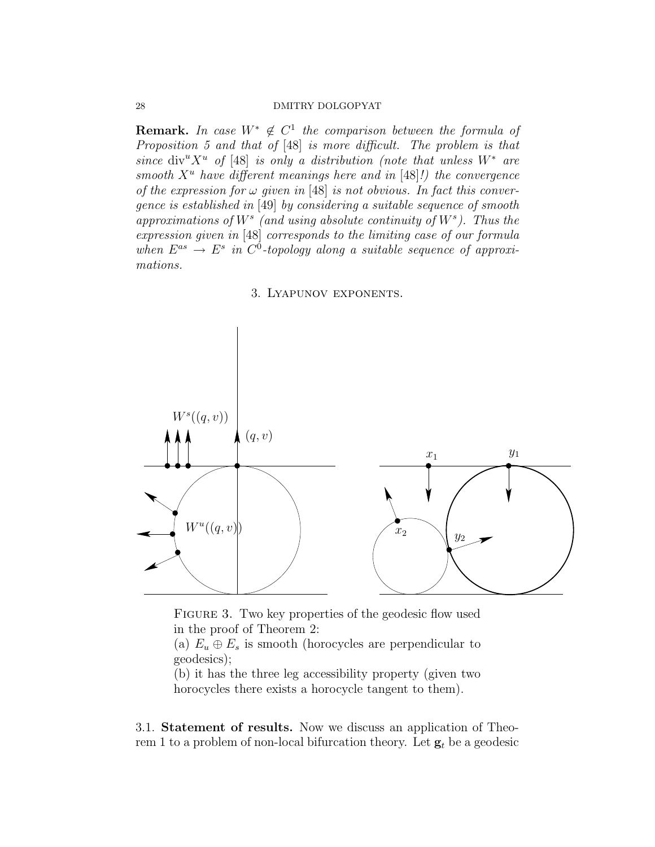**Remark.** In case  $W^* \notin C^1$  the comparison between the formula of Proposition 5 and that of [48] is more difficult. The problem is that since div<sup>u</sup>X<sup>u</sup> of [48] is only a distribution (note that unless  $W^*$  are smooth  $X^u$  have different meanings here and in [48]!) the convergence of the expression for  $\omega$  given in [48] is not obvious. In fact this convergence is established in [49] by considering a suitable sequence of smooth approximations of  $W^s$  (and using absolute continuity of  $W^s$ ). Thus the expression given in [48] corresponds to the limiting case of our formula when  $E^{as} \to E^s$  in  $C^0$ -topology along a suitable sequence of approximations.

## 3. Lyapunov exponents.



FIGURE 3. Two key properties of the geodesic flow used in the proof of Theorem 2:

(a)  $E_u \oplus E_s$  is smooth (horocycles are perpendicular to geodesics);

(b) it has the three leg accessibility property (given two horocycles there exists a horocycle tangent to them).

3.1. Statement of results. Now we discuss an application of Theorem 1 to a problem of non-local bifurcation theory. Let  $g_t$  be a geodesic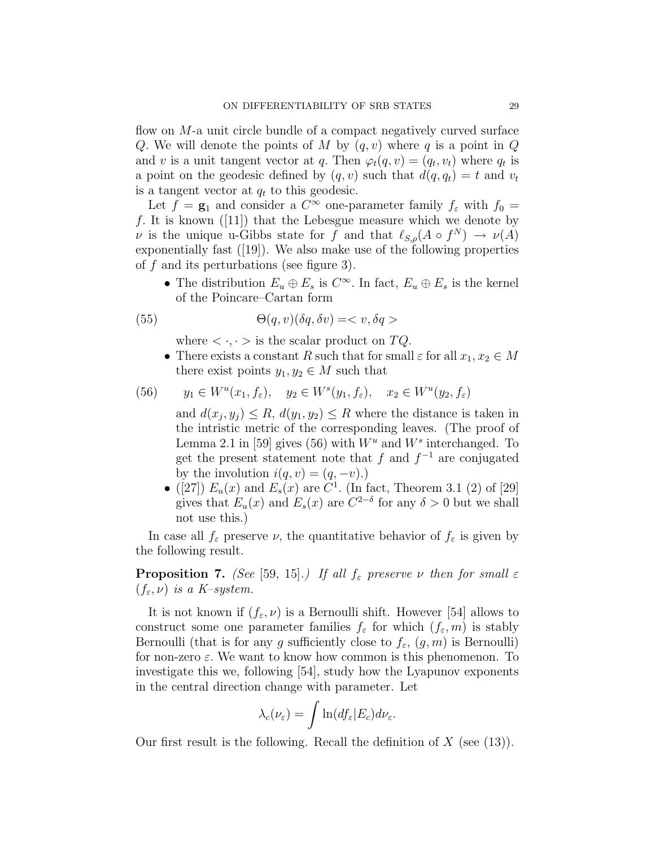flow on M-a unit circle bundle of a compact negatively curved surface Q. We will denote the points of M by  $(q, v)$  where q is a point in Q and v is a unit tangent vector at q. Then  $\varphi_t(q, v) = (q_t, v_t)$  where  $q_t$  is a point on the geodesic defined by  $(q, v)$  such that  $d(q, q_t) = t$  and  $v_t$ is a tangent vector at  $q_t$  to this geodesic.

Let  $f = g_1$  and consider a  $C^{\infty}$  one-parameter family  $f_{\varepsilon}$  with  $f_0 =$ f. It is known  $(11)$  that the Lebesgue measure which we denote by v is the unique u-Gibbs state for f and that  $\ell_{S,\rho}(A \circ f^N) \to \nu(A)$ exponentially fast ([19]). We also make use of the following properties of  $f$  and its perturbations (see figure 3).

• The distribution  $E_u \oplus E_s$  is  $C^{\infty}$ . In fact,  $E_u \oplus E_s$  is the kernel of the Poincare–Cartan form

(55) 
$$
\Theta(q, v)(\delta q, \delta v) = \langle v, \delta q \rangle
$$

where  $\langle \cdot, \cdot \rangle$  is the scalar product on  $TQ$ .

• There exists a constant R such that for small  $\varepsilon$  for all  $x_1, x_2 \in M$ there exist points  $y_1, y_2 \in M$  such that

(56) 
$$
y_1 \in W^u(x_1, f_\varepsilon), \quad y_2 \in W^s(y_1, f_\varepsilon), \quad x_2 \in W^u(y_2, f_\varepsilon)
$$

and  $d(x_j, y_j) \leq R$ ,  $d(y_1, y_2) \leq R$  where the distance is taken in the intristic metric of the corresponding leaves. (The proof of Lemma 2.1 in [59] gives (56) with  $W^u$  and  $W^s$  interchanged. To get the present statement note that f and  $f^{-1}$  are conjugated by the involution  $i(q, v) = (q, -v)$ .

• ([27])  $E_u(x)$  and  $E_s(x)$  are  $C^1$ . (In fact, Theorem 3.1 (2) of [29] gives that  $E_u(x)$  and  $E_s(x)$  are  $C^{2-\delta}$  for any  $\delta > 0$  but we shall not use this.)

In case all  $f_{\varepsilon}$  preserve  $\nu$ , the quantitative behavior of  $f_{\varepsilon}$  is given by the following result.

**Proposition 7.** (See [59, 15].) If all  $f_{\varepsilon}$  preserve  $\nu$  then for small  $\varepsilon$  $(f_{\varepsilon}, \nu)$  is a K-system.

It is not known if  $(f_{\varepsilon}, \nu)$  is a Bernoulli shift. However [54] allows to construct some one parameter families  $f_{\varepsilon}$  for which  $(f_{\varepsilon}, m)$  is stably Bernoulli (that is for any g sufficiently close to  $f_{\varepsilon}$ ,  $(g, m)$  is Bernoulli) for non-zero  $\varepsilon$ . We want to know how common is this phenomenon. To investigate this we, following [54], study how the Lyapunov exponents in the central direction change with parameter. Let

$$
\lambda_c(\nu_{\varepsilon}) = \int \ln(df_{\varepsilon}|E_c) d\nu_{\varepsilon}.
$$

Our first result is the following. Recall the definition of  $X$  (see (13)).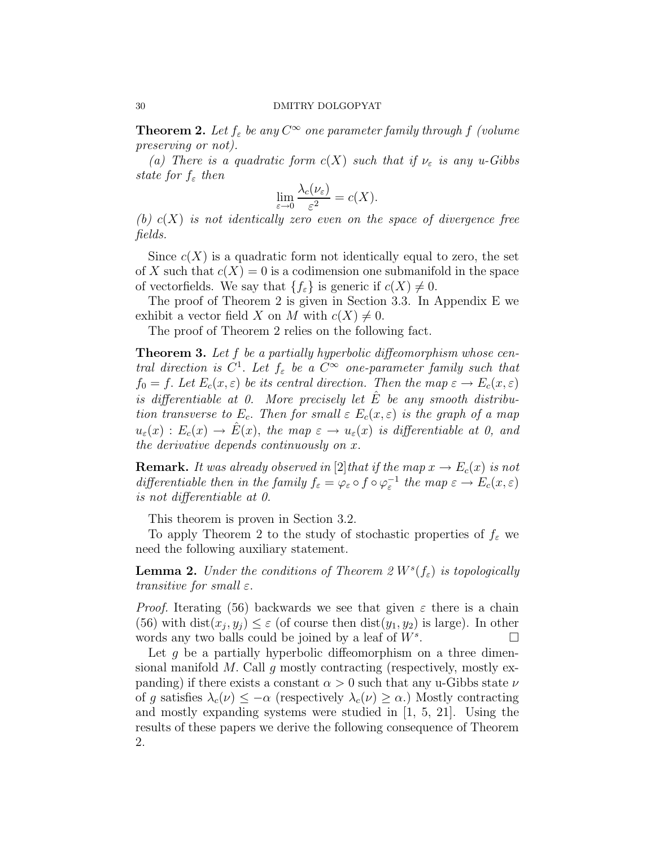**Theorem 2.** Let  $f_{\varepsilon}$  be any  $C^{\infty}$  one parameter family through f (volume preserving or not).

(a) There is a quadratic form  $c(X)$  such that if  $\nu_{\varepsilon}$  is any u-Gibbs state for  $f_{\varepsilon}$  then

$$
\lim_{\varepsilon \to 0} \frac{\lambda_c(\nu_{\varepsilon})}{\varepsilon^2} = c(X).
$$

(b)  $c(X)$  is not identically zero even on the space of divergence free fields.

Since  $c(X)$  is a quadratic form not identically equal to zero, the set of X such that  $c(X) = 0$  is a codimension one submanifold in the space of vectorfields. We say that  $\{f_{\varepsilon}\}\$ is generic if  $c(X) \neq 0$ .

The proof of Theorem 2 is given in Section 3.3. In Appendix E we exhibit a vector field X on M with  $c(X) \neq 0$ .

The proof of Theorem 2 relies on the following fact.

**Theorem 3.** Let f be a partially hyperbolic diffeomorphism whose central direction is  $C^1$ . Let  $f_{\varepsilon}$  be a  $C^{\infty}$  one-parameter family such that  $f_0 = f$ . Let  $E_c(x, \varepsilon)$  be its central direction. Then the map  $\varepsilon \to E_c(x, \varepsilon)$ is differentiable at 0. More precisely let  $E$  be any smooth distribution transverse to  $E_c$ . Then for small  $\epsilon E_c(x,\epsilon)$  is the graph of a map  $u_{\varepsilon}(x): E_c(x) \to \hat{E}(x)$ , the map  $\varepsilon \to u_{\varepsilon}(x)$  is differentiable at 0, and the derivative depends continuously on x.

**Remark.** It was already observed in [2] that if the map  $x \to E_c(x)$  is not differentiable then in the family  $f_{\varepsilon} = \varphi_{\varepsilon} \circ f \circ \varphi_{\varepsilon}^{-1}$  the map  $\varepsilon \to E_c(x, \varepsilon)$ is not differentiable at 0.

This theorem is proven in Section 3.2.

To apply Theorem 2 to the study of stochastic properties of  $f_{\varepsilon}$  we need the following auxiliary statement.

**Lemma 2.** Under the conditions of Theorem  $2 W^s(f_{\varepsilon})$  is topologically transitive for small  $\varepsilon$ .

*Proof.* Iterating (56) backwards we see that given  $\varepsilon$  there is a chain (56) with  $dist(x_j, y_j) \leq \varepsilon$  (of course then  $dist(y_1, y_2)$  is large). In other words any two balls could be joined by a leaf of  $W^s$ . . <sup>∴о у</sup> Д

Let  $g$  be a partially hyperbolic diffeomorphism on a three dimensional manifold  $M$ . Call  $q$  mostly contracting (respectively, mostly expanding) if there exists a constant  $\alpha > 0$  such that any u-Gibbs state  $\nu$ of g satisfies  $\lambda_c(\nu) \leq -\alpha$  (respectively  $\lambda_c(\nu) \geq \alpha$ .) Mostly contracting and mostly expanding systems were studied in [1, 5, 21]. Using the results of these papers we derive the following consequence of Theorem 2.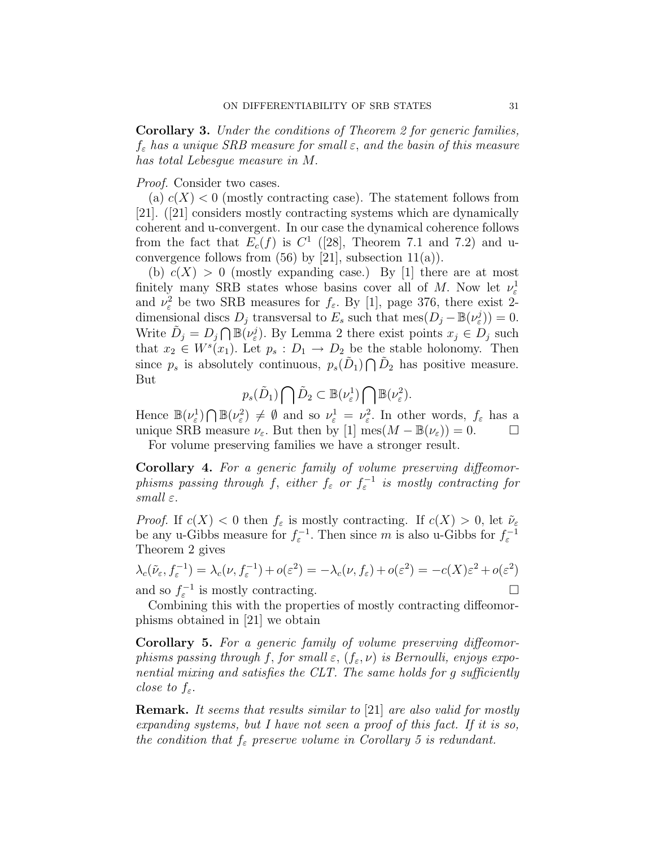Corollary 3. Under the conditions of Theorem 2 for generic families,  $f_{\varepsilon}$  has a unique SRB measure for small  $\varepsilon$ , and the basin of this measure has total Lebesgue measure in M.

## Proof. Consider two cases.

(a)  $c(X) < 0$  (mostly contracting case). The statement follows from [21]. ([21] considers mostly contracting systems which are dynamically coherent and u-convergent. In our case the dynamical coherence follows from the fact that  $E_c(f)$  is  $C^1$  ([28], Theorem 7.1 and 7.2) and uconvergence follows from  $(56)$  by  $[21]$ , subsection  $11(a)$ ).

(b)  $c(X) > 0$  (mostly expanding case.) By [1] there are at most finitely many SRB states whose basins cover all of M. Now let  $\nu_{\varepsilon}^1$ and  $\nu_{\varepsilon}^2$  be two SRB measures for  $f_{\varepsilon}$ . By [1], page 376, there exist 2dimensional discs  $D_j$  transversal to  $E_s$  such that  $\text{mes}(D_j - \mathbb{B}(\nu_\varepsilon^j)) = 0$ . Write  $\tilde{D}_j = D_j \cap \mathbb{B}(\nu_{\varepsilon}^j)$ . By Lemma 2 there exist points  $x_j \in D_j$  such that  $x_2 \in W^s(x_1)$ . Let  $p_s: D_1 \to D_2$  be the stable holonomy. Then since  $p_s$  is absolutely continuous,  $p_s(\tilde{D}_1) \cap \tilde{D}_2$  has positive measure. But

$$
p_s(\tilde{D}_1) \bigcap \tilde{D}_2 \subset \mathbb{B}(\nu_{\varepsilon}^1) \bigcap \mathbb{B}(\nu_{\varepsilon}^2).
$$

Hence  $\mathbb{B}(\nu_{\varepsilon}^1) \cap \mathbb{B}(\nu_{\varepsilon}^2) \neq \emptyset$  and so  $\nu_{\varepsilon}^1 = \nu_{\varepsilon}^2$ . In other words,  $f_{\varepsilon}$  has a unique SRB measure  $\nu_{\varepsilon}$ . But then by [1] mes $(M - \mathbb{B}(\nu_{\varepsilon})) = 0$ .

For volume preserving families we have a stronger result.

Corollary 4. For a generic family of volume preserving diffeomorphisms passing through f, either  $f_{\varepsilon}$  or  $f_{\varepsilon}^{-1}$  is mostly contracting for small  $\varepsilon$ .

*Proof.* If  $c(X) < 0$  then  $f_{\varepsilon}$  is mostly contracting. If  $c(X) > 0$ , let  $\tilde{\nu}_{\varepsilon}$ be any u-Gibbs measure for  $f_{\varepsilon}^{-1}$ . Then since m is also u-Gibbs for  $f_{\varepsilon}^{-1}$ Theorem 2 gives

$$
\lambda_c(\tilde{\nu}_{\varepsilon}, f_{\varepsilon}^{-1}) = \lambda_c(\nu, f_{\varepsilon}^{-1}) + o(\varepsilon^2) = -\lambda_c(\nu, f_{\varepsilon}) + o(\varepsilon^2) = -c(X)\varepsilon^2 + o(\varepsilon^2)
$$
  
and so  $f_{\varepsilon}^{-1}$  is mostly contracting.

Combining this with the properties of mostly contracting diffeomorphisms obtained in [21] we obtain

Corollary 5. For a generic family of volume preserving diffeomorphisms passing through f, for small  $\varepsilon$ ,  $(f_{\varepsilon}, \nu)$  is Bernoulli, enjoys exponential mixing and satisfies the CLT. The same holds for g sufficiently close to  $f_{\varepsilon}$ .

Remark. It seems that results similar to [21] are also valid for mostly expanding systems, but I have not seen a proof of this fact. If it is so, the condition that  $f_{\varepsilon}$  preserve volume in Corollary 5 is redundant.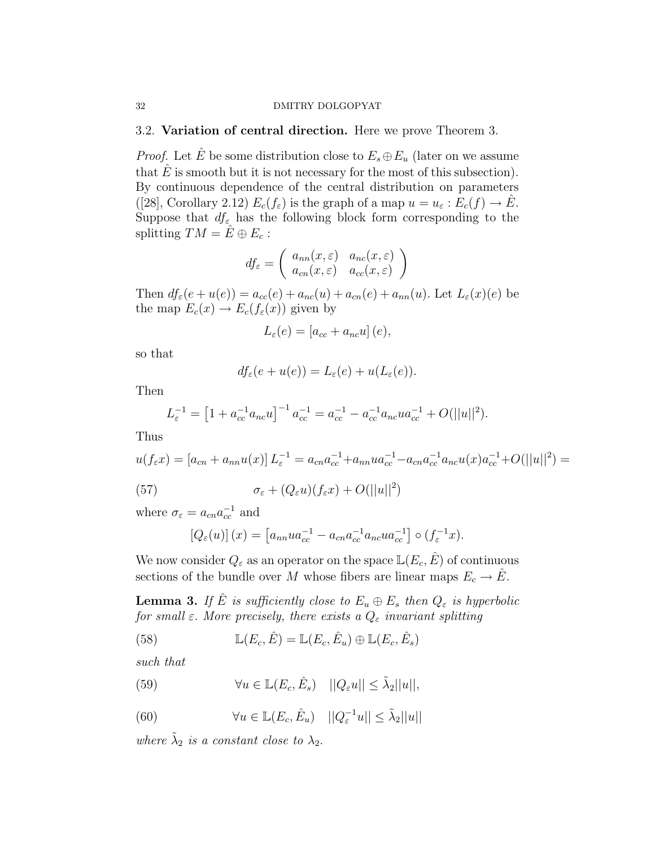## 3.2. Variation of central direction. Here we prove Theorem 3.

*Proof.* Let  $\hat{E}$  be some distribution close to  $E_s \oplus E_u$  (later on we assume that  $E$  is smooth but it is not necessary for the most of this subsection). By continuous dependence of the central distribution on parameters ([28], Corollary 2.12)  $E_c(f_\varepsilon)$  is the graph of a map  $u = u_\varepsilon : E_c(f) \to \hat{E}$ . Suppose that  $df_{\varepsilon}$  has the following block form corresponding to the splitting  $TM = E \oplus E_c$ :

$$
df_{\varepsilon} = \left( \begin{array}{cc} a_{nn}(x,\varepsilon) & a_{nc}(x,\varepsilon) \\ a_{cn}(x,\varepsilon) & a_{cc}(x,\varepsilon) \end{array} \right)
$$

Then  $df_{\varepsilon}(e+u(e)) = a_{cc}(e) + a_{nc}(u) + a_{cn}(e) + a_{nn}(u)$ . Let  $L_{\varepsilon}(x)(e)$  be the map  $E_c(x) \to E_c(f_{\varepsilon}(x))$  given by

$$
L_{\varepsilon}(e) = [a_{cc} + a_{nc}u](e),
$$

so that

$$
df_{\varepsilon}(e+u(e))=L_{\varepsilon}(e)+u(L_{\varepsilon}(e)).
$$

Then

$$
L_{\varepsilon}^{-1} = \left[1 + a_{cc}^{-1} a_{nc} u\right]^{-1} a_{cc}^{-1} = a_{cc}^{-1} - a_{cc}^{-1} a_{nc} u a_{cc}^{-1} + O(||u||^2).
$$

Thus

$$
u(f_{\varepsilon}x) = [a_{cn} + a_{nn}u(x)] L_{\varepsilon}^{-1} = a_{cn}a_{cc}^{-1} + a_{nn}ua_{cc}^{-1} - a_{cn}a_{cc}^{-1}a_{nc}u(x)a_{cc}^{-1} + O(||u||^2) =
$$
  
(57) 
$$
\sigma_{\varepsilon} + (Q_{\varepsilon}u)(f_{\varepsilon}x) + O(||u||^2)
$$

where  $\sigma_{\varepsilon} = a_{cn} a_{cc}^{-1}$  and

$$
[Q_{\varepsilon}(u)](x) = \left[a_{nn}ua_{cc}^{-1} - a_{cn}a_{cc}^{-1}a_{nc}ua_{cc}^{-1}\right] \circ (f_{\varepsilon}^{-1}x).
$$

We now consider  $Q_{\varepsilon}$  as an operator on the space  $\mathbb{L}(E_c, \hat{E})$  of continuous sections of the bundle over M whose fibers are linear maps  $E_c \to \hat{E}$ .

**Lemma 3.** If  $\hat{E}$  is sufficiently close to  $E_u \oplus E_s$  then  $Q_{\varepsilon}$  is hyperbolic for small  $\varepsilon$ . More precisely, there exists a  $Q_{\varepsilon}$  invariant splitting

(58)  $\mathbb{L}(E_c, \hat{E}) = \mathbb{L}(E_c, \hat{E}_u) \oplus \mathbb{L}(E_c, \hat{E}_s)$ 

such that

- (59)  $\forall u \in \mathbb{L}(E_c, \hat{E}_s) \quad ||Q_\varepsilon u|| \leq \tilde{\lambda}_2 ||u||,$
- (60)  $\forall u \in \mathbb{L}(E_c, \hat{E}_u) \quad ||Q_{\varepsilon}^{-1}u|| \leq \tilde{\lambda}_2||u||$

where  $\tilde{\lambda}_2$  is a constant close to  $\lambda_2$ .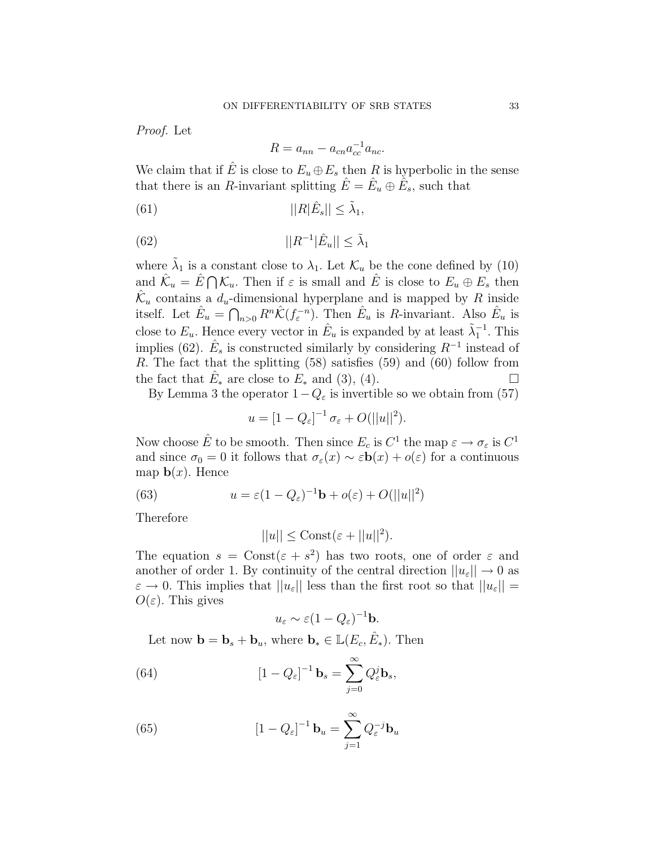Proof. Let

$$
R = a_{nn} - a_{cn}a_{cc}^{-1}a_{nc}.
$$

We claim that if  $\hat{E}$  is close to  $E_u \oplus E_s$  then R is hyperbolic in the sense that there is an R-invariant splitting  $\hat{E} = \hat{E}_u \oplus \hat{E}_s$ , such that

(61) 
$$
||R|\hat{E}_s|| \leq \tilde{\lambda}_1,
$$

(62) 
$$
||R^{-1}|\hat{E}_u|| \leq \tilde{\lambda}_1
$$

where  $\tilde{\lambda}_1$  is a constant close to  $\lambda_1$ . Let  $\mathcal{K}_u$  be the cone defined by (10) and  $\mathcal{K}_u = \hat{E} \bigcap \mathcal{K}_u$ . Then if  $\varepsilon$  is small and  $\hat{E}$  is close to  $E_u \oplus E_s$  then  $\hat{\mathcal{K}}_u$  contains a  $d_u$ -dimensional hyperplane and is mapped by R inside itself. Let  $\hat{E}_u = \bigcap_{n>0} R^n \hat{\mathcal{K}}(f_{\varepsilon}^{-n})$ . Then  $\hat{E}_u$  is R-invariant. Also  $\hat{E}_u$  is close to  $E_u$ . Hence every vector in  $\hat{E}_u$  is expanded by at least  $\tilde{\lambda}_1^{-1}$ . This implies (62).  $\hat{E}_s$  is constructed similarly by considering  $R^{-1}$  instead of R. The fact that the splitting (58) satisfies (59) and (60) follow from the fact that  $\hat{E}_*$  are close to  $E_*$  and (3), (4).

By Lemma 3 the operator  $1-Q_{\varepsilon}$  is invertible so we obtain from (57)

$$
u = [1 - Q_{\varepsilon}]^{-1} \sigma_{\varepsilon} + O(||u||^2).
$$

Now choose  $\hat{E}$  to be smooth. Then since  $E_c$  is  $C^1$  the map  $\varepsilon \to \sigma_{\varepsilon}$  is  $C^1$ and since  $\sigma_0 = 0$  it follows that  $\sigma_{\varepsilon}(x) \sim \varepsilon \mathbf{b}(x) + o(\varepsilon)$  for a continuous map  $\mathbf{b}(x)$ . Hence

(63) 
$$
u = \varepsilon (1 - Q_{\varepsilon})^{-1} \mathbf{b} + o(\varepsilon) + O(||u||^2)
$$

Therefore

$$
||u|| \leq \text{Const}(\varepsilon + ||u||^2).
$$

The equation  $s = \text{Const}(\varepsilon + s^2)$  has two roots, one of order  $\varepsilon$  and another of order 1. By continuity of the central direction  $||u_{\varepsilon}|| \to 0$  as  $\varepsilon \to 0$ . This implies that  $||u_{\varepsilon}||$  less than the first root so that  $||u_{\varepsilon}|| =$  $O(\varepsilon)$ . This gives

$$
u_{\varepsilon} \sim \varepsilon (1 - Q_{\varepsilon})^{-1} \mathbf{b}.
$$

Let now  $\mathbf{b} = \mathbf{b}_s + \mathbf{b}_u$ , where  $\mathbf{b}_* \in \mathbb{L}(E_c, \hat{E}_*)$ . Then

(64) 
$$
\left[1 - Q_{\varepsilon}\right]^{-1} \mathbf{b}_s = \sum_{j=0}^{\infty} Q_{\varepsilon}^j \mathbf{b}_s,
$$

(65) 
$$
\left[1 - Q_{\varepsilon}\right]^{-1} \mathbf{b}_u = \sum_{j=1}^{\infty} Q_{\varepsilon}^{-j} \mathbf{b}_u
$$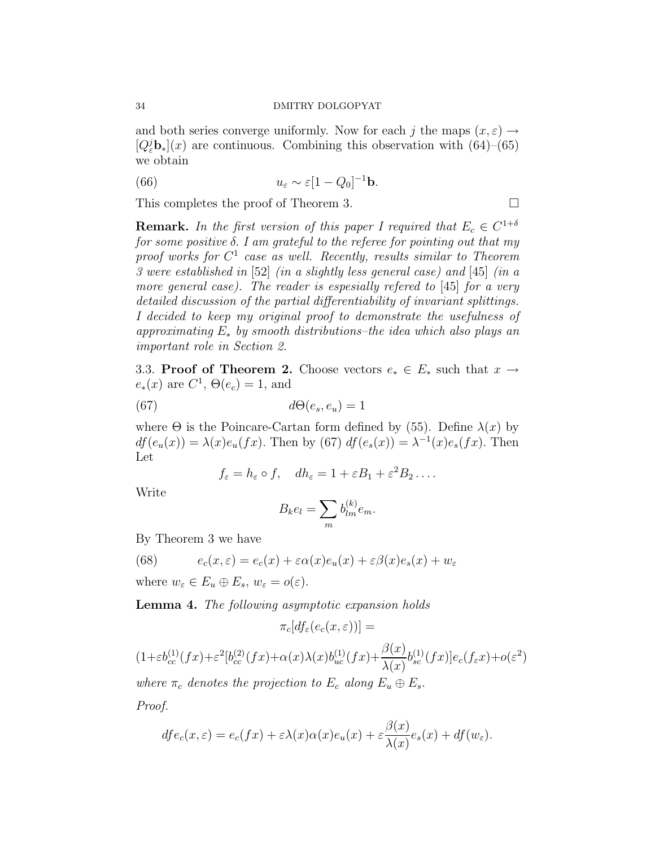and both series converge uniformly. Now for each j the maps  $(x, \varepsilon) \rightarrow$  $[Q_{\varepsilon}^{j} \mathbf{b}_{*}](x)$  are continuous. Combining this observation with  $(64)-(65)$ we obtain

(66) 
$$
u_{\varepsilon} \sim \varepsilon [1 - Q_0]^{-1} \mathbf{b}.
$$

This completes the proof of Theorem 3.

**Remark.** In the first version of this paper I required that  $E_c \in C^{1+\delta}$ for some positive  $\delta$ . I am grateful to the referee for pointing out that my proof works for  $C^1$  case as well. Recently, results similar to Theorem 3 were established in [52] (in a slightly less general case) and [45] (in a more general case). The reader is espesially refered to [45] for a very detailed discussion of the partial differentiability of invariant splittings. I decided to keep my original proof to demonstrate the usefulness of approximating  $E_*$  by smooth distributions–the idea which also plays an important role in Section 2.

3.3. Proof of Theorem 2. Choose vectors  $e_* \in E_*$  such that  $x \to$  $e_*(x)$  are  $C^1$ ,  $\Theta(e_c) = 1$ , and

(67) 
$$
d\Theta(e_s, e_u) = 1
$$

where  $\Theta$  is the Poincare-Cartan form defined by (55). Define  $\lambda(x)$  by  $df(e_u(x)) = \lambda(x)e_u(fx)$ . Then by (67)  $df(e_s(x)) = \lambda^{-1}(x)e_s(fx)$ . Then Let

$$
f_{\varepsilon} = h_{\varepsilon} \circ f, \quad dh_{\varepsilon} = 1 + \varepsilon B_1 + \varepsilon^2 B_2 \dots
$$

Write

$$
B_k e_l = \sum_m b_{lm}^{(k)} e_m.
$$

By Theorem 3 we have

(68) 
$$
e_c(x,\varepsilon) = e_c(x) + \varepsilon \alpha(x)e_u(x) + \varepsilon \beta(x)e_s(x) + w_{\varepsilon}
$$

where  $w_{\varepsilon} \in E_u \oplus E_s$ ,  $w_{\varepsilon} = o(\varepsilon)$ .

Lemma 4. The following asymptotic expansion holds

$$
\pi_c[df_\varepsilon(e_c(x,\varepsilon))]=
$$

 $(1+\varepsilon b_{cc}^{(1)}(fx)+\varepsilon^2[b_{cc}^{(2)}(fx)+\alpha(x)\lambda(x)b_{uc}^{(1)}(fx)+\frac{\beta(x)}{\lambda(x)}$  $b_{sc}^{(1)}(fx)]e_c(f_\varepsilon x)+o(\varepsilon^2)$ 

where  $\pi_c$  denotes the projection to  $E_c$  along  $E_u \oplus E_s$ .

Proof.

$$
df e_c(x,\varepsilon) = e_c(fx) + \varepsilon \lambda(x)\alpha(x)e_u(x) + \varepsilon \frac{\beta(x)}{\lambda(x)}e_s(x) + df(w_{\varepsilon}).
$$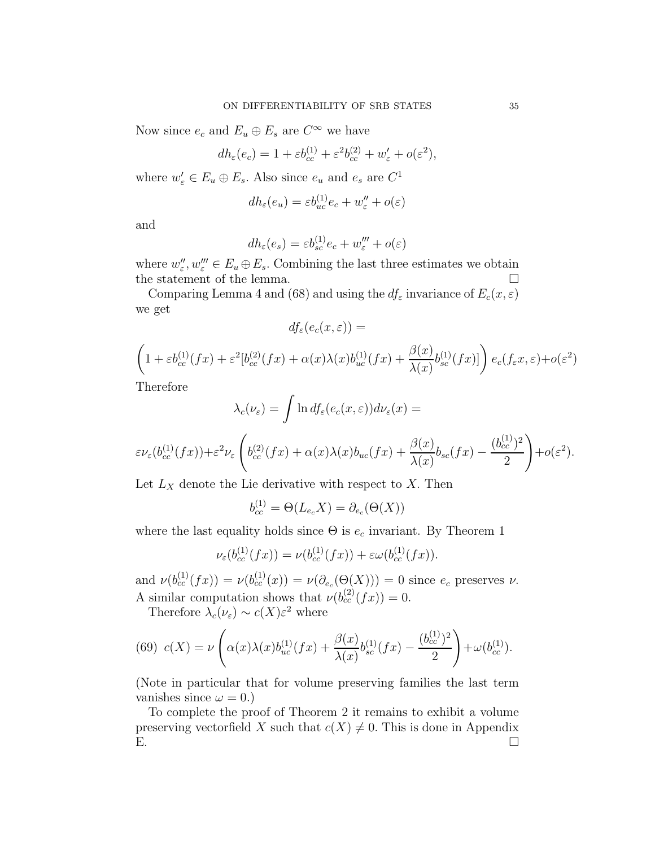Now since  $e_c$  and  $E_u \oplus E_s$  are  $C^{\infty}$  we have

$$
dh_{\varepsilon}(e_c) = 1 + \varepsilon b_{cc}^{(1)} + \varepsilon^2 b_{cc}^{(2)} + w'_{\varepsilon} + o(\varepsilon^2),
$$

where  $w'_{\varepsilon} \in E_u \oplus E_s$ . Also since  $e_u$  and  $e_s$  are  $C^1$ 

$$
dh_{\varepsilon}(e_u) = \varepsilon b_{uc}^{(1)} e_c + w_{\varepsilon}'' + o(\varepsilon)
$$

and

$$
dh_{\varepsilon}(e_s) = \varepsilon b_{sc}^{(1)} e_c + w_{\varepsilon}''' + o(\varepsilon)
$$

where  $w''_{\varepsilon}, w'''_{\varepsilon} \in E_u \oplus E_s$ . Combining the last three estimates we obtain the statement of the lemma.  $\Box$ 

Comparing Lemma 4 and (68) and using the  $df_{\varepsilon}$  invariance of  $E_c(x,\varepsilon)$ we get

$$
df_{\varepsilon}(e_c(x,\varepsilon))=
$$

$$
\left(1+\varepsilon b_{cc}^{(1)}(fx)+\varepsilon^2[b_{cc}^{(2)}(fx)+\alpha(x)\lambda(x)b_{uc}^{(1)}(fx)+\frac{\beta(x)}{\lambda(x)}b_{sc}^{(1)}(fx)]\right)e_c(f_{\varepsilon}x,\varepsilon)+o(\varepsilon^2)
$$

Therefore

$$
\lambda_c(\nu_{\varepsilon}) = \int \ln df_{\varepsilon}(e_c(x,\varepsilon)) d\nu_{\varepsilon}(x) =
$$

$$
\varepsilon \nu_{\varepsilon}(b_{cc}^{(1)}(fx)) + \varepsilon^2 \nu_{\varepsilon} \left( b_{cc}^{(2)}(fx) + \alpha(x)\lambda(x)b_{uc}(fx) + \frac{\beta(x)}{\lambda(x)}b_{sc}(fx) - \frac{(b_{cc}^{(1)})^2}{2} \right) + o(\varepsilon^2).
$$

Let  $L_X$  denote the Lie derivative with respect to X. Then

$$
b_{cc}^{(1)} = \Theta(L_{e_c}X) = \partial_{e_c}(\Theta(X))
$$

where the last equality holds since  $\Theta$  is  $e_c$  invariant. By Theorem 1

$$
\nu_{\varepsilon}(b_{cc}^{(1)}(fx)) = \nu(b_{cc}^{(1)}(fx)) + \varepsilon \omega(b_{cc}^{(1)}(fx)).
$$

and  $\nu(b_{cc}^{(1)}(fx)) = \nu(b_{cc}^{(1)}(x)) = \nu(\partial_{e_c}(\Theta(X))) = 0$  since  $e_c$  preserves  $\nu$ . A similar computation shows that  $\nu(b_{cc}^{(2)}(fx)) = 0$ .

Therefore  $\lambda_c(\nu_{\varepsilon}) \sim c(X) \varepsilon^2$  where

(69) 
$$
c(X) = \nu \left( \alpha(x) \lambda(x) b_{uc}^{(1)}(fx) + \frac{\beta(x)}{\lambda(x)} b_{sc}^{(1)}(fx) - \frac{(b_{cc}^{(1)})^2}{2} \right) + \omega(b_{cc}^{(1)}).
$$

(Note in particular that for volume preserving families the last term vanishes since  $\omega = 0.$ )

To complete the proof of Theorem 2 it remains to exhibit a volume preserving vectorfield X such that  $c(X) \neq 0$ . This is done in Appendix E. E.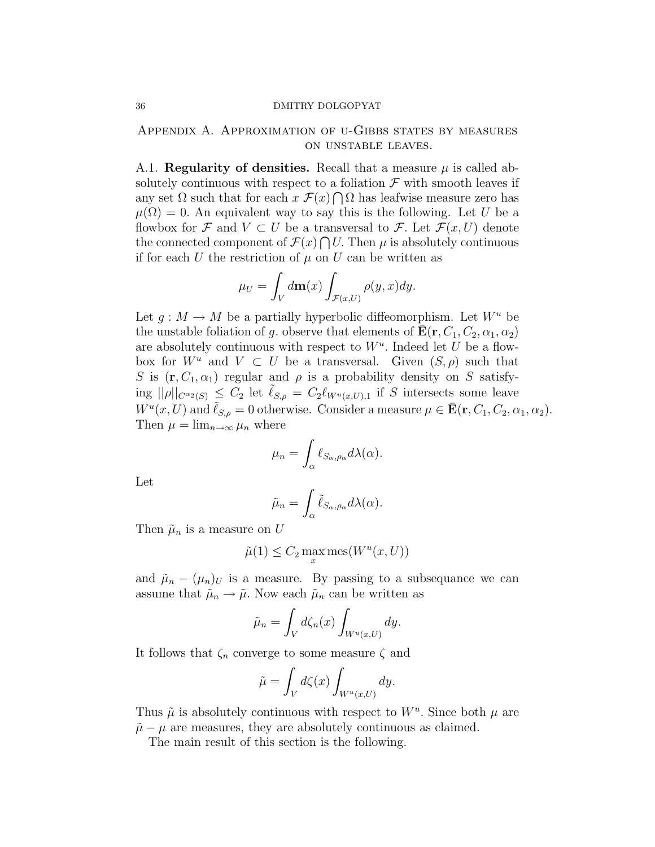# Appendix A. Approximation of u-Gibbs states by measures on unstable leaves.

A.1. **Regularity of densities.** Recall that a measure  $\mu$  is called absolutely continuous with respect to a foliation  $\mathcal F$  with smooth leaves if any set  $\Omega$  such that for each  $x \mathcal{F}(x) \bigcap \Omega$  has leafwise measure zero has  $\mu(\Omega) = 0$ . An equivalent way to say this is the following. Let U be a flowbox for F and  $V \subset U$  be a transversal to F. Let  $\mathcal{F}(x, U)$  denote the connected component of  $\mathcal{F}(x) \cap U$ . Then  $\mu$  is absolutely continuous if for each U the restriction of  $\mu$  on U can be written as

$$
\mu_U = \int_V d\mathbf{m}(x) \int_{\mathcal{F}(x,U)} \rho(y,x) dy.
$$

Let  $q: M \to M$  be a partially hyperbolic diffeomorphism. Let  $W^u$  be the unstable foliation of g. observe that elements of  $\mathbf{E}(\mathbf{r}, C_1, C_2, \alpha_1, \alpha_2)$ are absolutely continuous with respect to  $W^u$ . Indeed let U be a flowbox for  $W^u$  and  $V \subset U$  be a transversal. Given  $(S, \rho)$  such that S is  $(r, C_1, \alpha_1)$  regular and  $\rho$  is a probability density on S satisfying  $||\rho||_{C^{\alpha_2}(S)} \leq C_2$  let  $\ell_{S,\rho} = C_2 \ell_{W^u(x,U),1}$  if S intersects some leave  $W^u(x,U)$  and  $\tilde{\ell}_{S,\rho} = 0$  otherwise. Consider a measure  $\mu \in \mathbf{\bar{E}}(\mathbf{r}, C_1, C_2, \alpha_1, \alpha_2)$ . Then  $\mu = \lim_{n \to \infty} \mu_n$  where

$$
\mu_n = \int_{\alpha} \ell_{S_{\alpha}, \rho_{\alpha}} d\lambda(\alpha).
$$

Let

$$
\tilde{\mu}_n = \int_{\alpha} \tilde{\ell}_{S_{\alpha},\rho_{\alpha}} d\lambda(\alpha).
$$

Then  $\tilde{\mu}_n$  is a measure on U

$$
\tilde{\mu}(1) \le C_2 \max_x \text{mes}(W^u(x, U))
$$

and  $\tilde{\mu}_n - (\mu_n)_U$  is a measure. By passing to a subsequance we can assume that  $\tilde{\mu}_n \to \tilde{\mu}$ . Now each  $\tilde{\mu}_n$  can be written as

$$
\tilde{\mu}_n = \int_V d\zeta_n(x) \int_{W^u(x,U)} dy.
$$

It follows that  $\zeta_n$  converge to some measure  $\zeta$  and

$$
\tilde{\mu} = \int_{V} d\zeta(x) \int_{W^u(x,U)} dy.
$$

Thus  $\tilde{\mu}$  is absolutely continuous with respect to  $W^u$ . Since both  $\mu$  are  $\tilde{\mu} - \mu$  are measures, they are absolutely continuous as claimed.

The main result of this section is the following.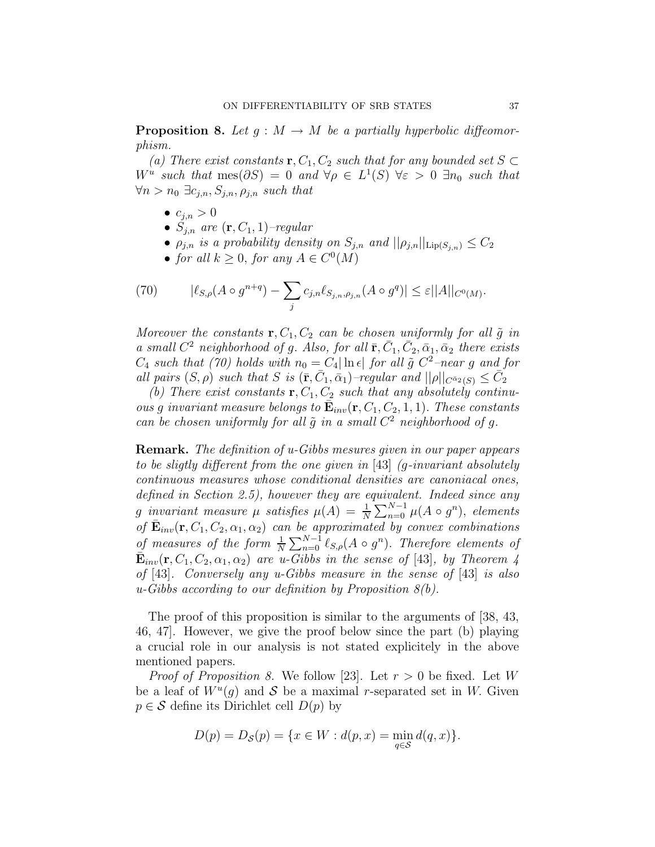**Proposition 8.** Let  $g : M \to M$  be a partially hyperbolic diffeomorphism.

(a) There exist constants  $\mathbf{r}, C_1, C_2$  such that for any bounded set  $S \subset$  $W^u$  such that  $\text{mes}(\partial S) = 0$  and  $\forall \rho \in L^1(S)$   $\forall \varepsilon > 0$   $\exists n_0$  such that  $\forall n > n_0 \ \exists c_{j,n}, S_{j,n}, \rho_{j,n} \ \text{such that}$ 

- $\bullet \ c_{i,n} > 0$
- $S_{j,n}$  are  $(\mathbf{r}, C_1, 1)$ -regular
- $\rho_{j,n}$  is a probability density on  $S_{j,n}$  and  $||\rho_{j,n}||_{\text{Lip}(S_{j,n})} \leq C_2$
- for all  $k \geq 0$ , for any  $A \in C^{0}(M)$

(70) 
$$
|\ell_{S,\rho}(A \circ g^{n+q}) - \sum_{j} c_{j,n} \ell_{S_{j,n},\rho_{j,n}}(A \circ g^{q})| \leq \varepsilon ||A||_{C^{0}(M)}.
$$

Moreover the constants  $r, C_1, C_2$  can be chosen uniformly for all  $\tilde{g}$  in a small  $C^2$  neighborhood of g. Also, for all  $\bar{\mathbf{r}}, \bar{C}_1, \bar{C}_2, \bar{\alpha}_1, \bar{\alpha}_2$  there exists  $C_4$  such that (70) holds with  $n_0 = C_4 |\ln \epsilon|$  for all  $\tilde{g}$   $C^2$ -near g and for all pairs  $(S, \rho)$  such that S is  $(\bar{\mathbf{r}}, \bar{C}_1, \bar{\alpha}_1)$ -regular and  $||\rho||_{C^{\bar{\alpha}_2}(S)} \leq \bar{C}_2$ 

(b) There exist constants  $\mathbf{r}, C_1, C_2$  such that any absolutely continuous g invariant measure belongs to  $\bar{\mathbf{E}}_{inv}(\mathbf{r},C_1,C_2,1,1)$ . These constants can be chosen uniformly for all  $\tilde{g}$  in a small  $C^2$  neighborhood of g.

Remark. The definition of u-Gibbs mesures given in our paper appears to be sligtly different from the one given in [43] (g-invariant absolutely continuous measures whose conditional densities are canoniacal ones, defined in Section 2.5), however they are equivalent. Indeed since any g invariant measure  $\mu$  satisfies  $\mu(A) = \frac{1}{N} \sum_{n=0}^{N-1} \mu(A \circ g^n)$ , elements of  $\mathbf{\bar{E}}_{inv}(\mathbf{r}, C_1, C_2, \alpha_1, \alpha_2)$  can be approximated by convex combinations of measures of the form  $\frac{1}{N} \sum_{n=0}^{N-1} \ell_{S,\rho}(A \circ g^n)$ . Therefore elements of  $\bar{\mathbf{E}}_{inv}(\mathbf{r},C_1,C_2,\alpha_1,\alpha_2)$  are u-Gibbs in the sense of [43], by Theorem 4 of [43]. Conversely any u-Gibbs measure in the sense of [43] is also u-Gibbs according to our definition by Proposition  $8(b)$ .

The proof of this proposition is similar to the arguments of [38, 43, 46, 47]. However, we give the proof below since the part (b) playing a crucial role in our analysis is not stated explicitely in the above mentioned papers.

*Proof of Proposition 8.* We follow [23]. Let  $r > 0$  be fixed. Let W be a leaf of  $W^u(g)$  and S be a maximal r-separated set in W. Given  $p \in \mathcal{S}$  define its Dirichlet cell  $D(p)$  by

$$
D(p) = D_{\mathcal{S}}(p) = \{ x \in W : d(p, x) = \min_{q \in \mathcal{S}} d(q, x) \}.
$$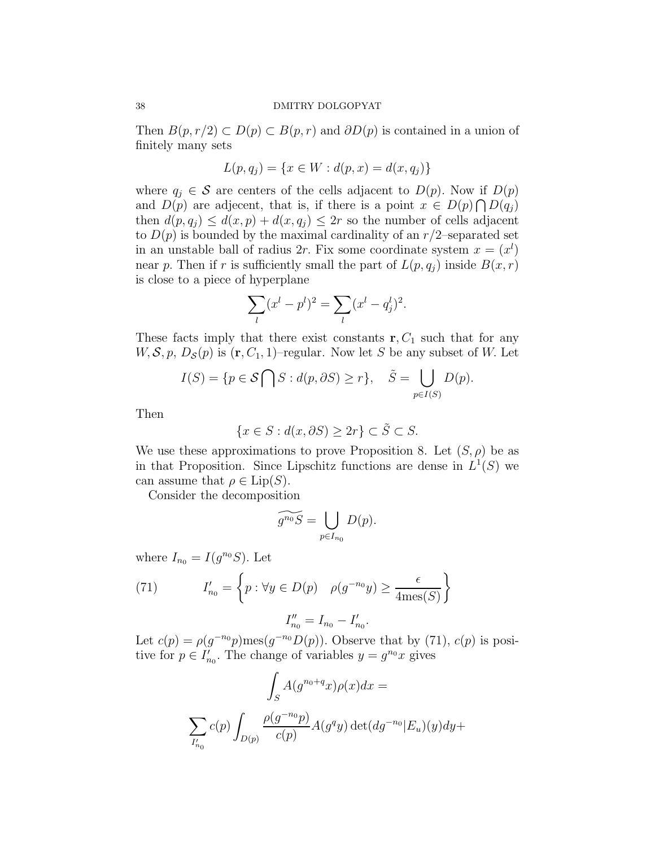Then  $B(p, r/2) \subset D(p) \subset B(p, r)$  and  $\partial D(p)$  is contained in a union of finitely many sets

$$
L(p, q_j) = \{x \in W : d(p, x) = d(x, q_j)\}\
$$

where  $q_j \in \mathcal{S}$  are centers of the cells adjacent to  $D(p)$ . Now if  $D(p)$ and  $D(p)$  are adjecent, that is, if there is a point  $x \in D(p) \cap D(q_j)$ then  $d(p, q_i) \leq d(x, p) + d(x, q_i) \leq 2r$  so the number of cells adjacent to  $D(p)$  is bounded by the maximal cardinality of an  $r/2$ –separated set in an unstable ball of radius 2r. Fix some coordinate system  $x = (x^l)$ near p. Then if r is sufficiently small the part of  $L(p, q_j)$  inside  $B(x, r)$ is close to a piece of hyperplane

$$
\sum_{l} (x^{l} - p^{l})^{2} = \sum_{l} (x^{l} - q_{j}^{l})^{2}.
$$

These facts imply that there exist constants  $r, C_1$  such that for any  $W, \mathcal{S}, p, D_{\mathcal{S}}(p)$  is  $(\mathbf{r}, C_1, 1)$ -regular. Now let S be any subset of W. Let

$$
I(S) = \{ p \in \mathcal{S} \cap S : d(p, \partial S) \ge r \}, \quad \tilde{S} = \bigcup_{p \in I(S)} D(p).
$$

Then

$$
\{x \in S : d(x, \partial S) \ge 2r\} \subset \tilde{S} \subset S.
$$

We use these approximations to prove Proposition 8. Let  $(S, \rho)$  be as in that Proposition. Since Lipschitz functions are dense in  $L^1(S)$  we can assume that  $\rho \in \text{Lip}(S)$ .

Consider the decomposition

$$
\widetilde{g^{n_0}S} = \bigcup_{p \in I_{n_0}} D(p).
$$

where  $I_{n_0} = I(g^{n_0}S)$ . Let

(71) 
$$
I'_{n_0} = \left\{ p : \forall y \in D(p) \quad \rho(g^{-n_0}y) \ge \frac{\epsilon}{4\text{mes}(S)} \right\}
$$

$$
I''_{n_0} = I_{n_0} - I'_{n_0}.
$$

Let 
$$
c(p) = \rho(g^{-n_0}p) \operatorname{mes}(g^{-n_0}D(p))
$$
. Observe that by (71),  $c(p)$  is positive for  $p \in I'_{n_0}$ . The change of variables  $y = g^{n_0}x$  gives

$$
\int_{S} A(g^{n_0+q}x)\rho(x)dx =
$$
\n
$$
\sum_{I'_{n_0}} c(p) \int_{D(p)} \frac{\rho(g^{-n_0}p)}{c(p)} A(g^q y) \det(dg^{-n_0}|E_u)(y)dy +
$$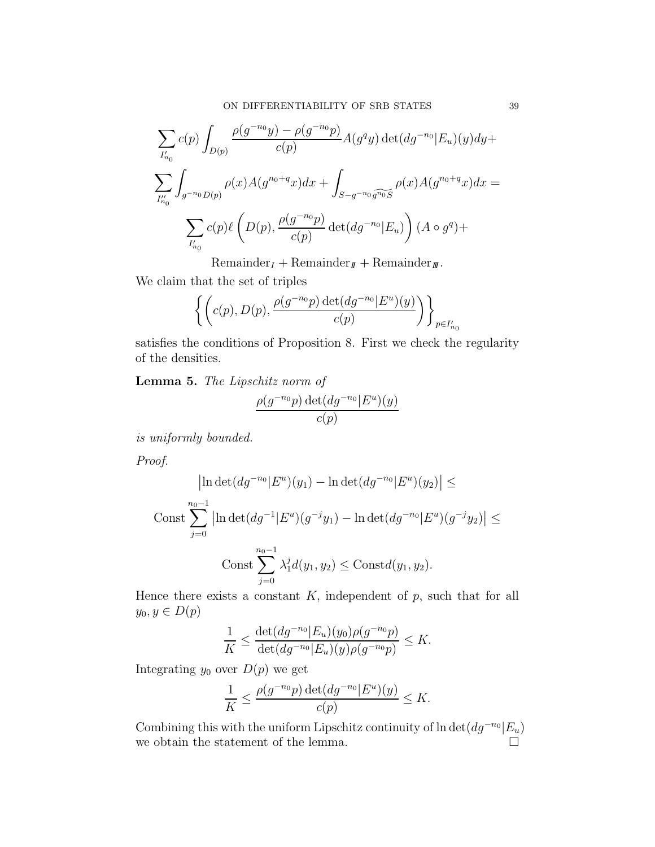$$
\sum_{I'_{n_0}} c(p) \int_{D(p)} \frac{\rho(g^{-n_0}y) - \rho(g^{-n_0}p)}{c(p)} A(g^q y) \det(dg^{-n_0}|E_u)(y) dy +
$$
  

$$
\sum_{I''_{n_0}} \int_{g^{-n_0}D(p)} \rho(x) A(g^{n_0+q}x) dx + \int_{S-g^{-n_0}g^{\widetilde{n_0}S}} \rho(x) A(g^{n_0+q}x) dx =
$$
  

$$
\sum_{I'_{n_0}} c(p) \ell\left(D(p), \frac{\rho(g^{-n_0}p)}{c(p)} \det(dg^{-n_0}|E_u)\right) (A \circ g^q) +
$$

Remainder<sub>I</sub> + Remainder<sub>II</sub> + Remainder<sub>III</sub>.

We claim that the set of triples

$$
\left\{ \left( c(p), D(p), \frac{\rho(g^{-n_0}p) \det(dg^{-n_0}|E^u)(y)}{c(p)} \right) \right\}_{p \in I'_{n_0}}
$$

satisfies the conditions of Proposition 8. First we check the regularity of the densities.

Lemma 5. The Lipschitz norm of

$$
\frac{\rho(g^{-n_0}p) \det(dg^{-n_0}|E^u)(y)}{c(p)}
$$

is uniformly bounded.

Proof.

$$
\left| \ln \det(dg^{-n_0}|E^u)(y_1) - \ln \det(dg^{-n_0}|E^u)(y_2) \right| \le
$$
  
Const 
$$
\sum_{j=0}^{n_0-1} \left| \ln \det(dg^{-1}|E^u)(g^{-j}y_1) - \ln \det(dg^{-n_0}|E^u)(g^{-j}y_2) \right| \le
$$
  
Const 
$$
\sum_{j=0}^{n_0-1} \lambda_1^j d(y_1, y_2) \le \text{Const} d(y_1, y_2).
$$

Hence there exists a constant  $K$ , independent of  $p$ , such that for all  $y_0, y \in D(p)$ 

$$
\frac{1}{K} \le \frac{\det(dg^{-n_0}|E_u)(y_0)\rho(g^{-n_0}p)}{\det(dg^{-n_0}|E_u)(y)\rho(g^{-n_0}p)} \le K.
$$

Integrating  $y_0$  over  $D(p)$  we get

$$
\frac{1}{K} \le \frac{\rho(g^{-n_0}p) \det(dg^{-n_0}|E^u)(y)}{c(p)} \le K.
$$

Combining this with the uniform Lipschitz continuity of  $\ln \det(dg^{-n_0}|E_u)$ we obtain the statement of the lemma.  $\Box$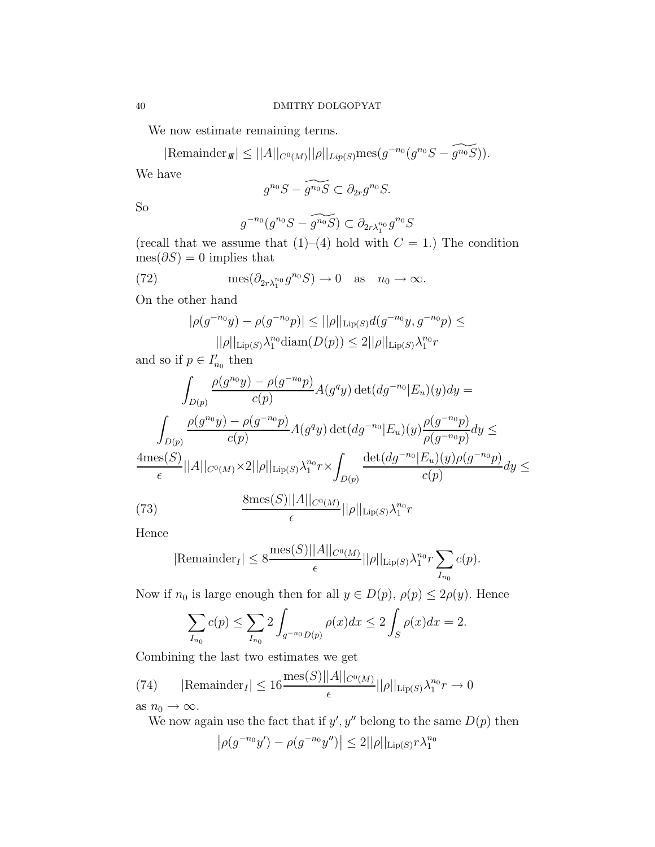We now estimate remaining terms.

 $|\text{Remainder}_m| \leq ||A||_{C^0(M)}||\rho||_{Lip(S)} \text{mes}(g^{-n_0}(g^{n_0}S - \widetilde{g^{n_0}S})).$ 

We have

$$
g^{n_0}S - \widetilde{g^{n_0}S} \subset \partial_{2r}g^{n_0}S.
$$

So

$$
g^{-n_0}(g^{n_0}S - \widetilde{g^{n_0}S}) \subset \partial_{2r\lambda_1^{n_0}}g^{n_0}S
$$

(recall that we assume that  $(1)–(4)$  hold with  $C = 1$ .) The condition  $mes(\partial S) = 0$  implies that

(72) 
$$
\text{mes}(\partial_{2r\lambda_1^{n_0}}g^{n_0}S)\to 0 \quad \text{as} \quad n_0\to\infty.
$$

On the other hand

$$
|\rho(g^{-n_0}y) - \rho(g^{-n_0}p)| \le ||\rho||_{\text{Lip}(S)} d(g^{-n_0}y, g^{-n_0}p) \le ||\rho||_{\text{Lip}(S)} \lambda_1^{n_0} \text{diam}(D(p)) \le 2||\rho||_{\text{Lip}(S)} \lambda_1^{n_0}r
$$

and so if  $p \in I'_{n_0}$  then

$$
\int_{D(p)} \frac{\rho(g^{n_0}y) - \rho(g^{-n_0}p)}{c(p)} A(g^qy) \det(dg^{-n_0}|E_u)(y) dy =
$$
\n
$$
\int_{D(p)} \frac{\rho(g^{n_0}y) - \rho(g^{-n_0}p)}{c(p)} A(g^qy) \det(dg^{-n_0}|E_u)(y) \frac{\rho(g^{-n_0}p)}{\rho(g^{-n_0}p)} dy \le
$$
\n
$$
\frac{\text{4mes}(S)}{\epsilon} ||A||_{C^0(M)} \times 2||\rho||_{\text{Lip}(S)} \lambda_1^{n_0} r \times \int_{D(p)} \frac{\det(dg^{-n_0}|E_u)(y)\rho(g^{-n_0}p)}{c(p)} dy \le
$$
\n(73)\n
$$
\frac{\text{8mes}(S)||A||_{C^0(M)}}{\epsilon} ||\rho||_{\text{Lip}(S)} \lambda_1^{n_0} r
$$

$$
\rm Hence
$$

$$
|\text{Remainder}_I| \leq 8 \frac{\text{mes}(S)||A||_{C^0(M)}}{\epsilon} ||\rho||_{\text{Lip}(S)} \lambda_1^{n_0} r \sum_{I_{n_0}} c(p).
$$

Now if  $n_0$  is large enough then for all  $y \in D(p)$ ,  $\rho(p) \leq 2\rho(y)$ . Hence

$$
\sum_{I_{n_0}} c(p) \le \sum_{I_{n_0}} 2 \int_{g^{-n_0}D(p)} \rho(x) dx \le 2 \int_S \rho(x) dx = 2.
$$

Combining the last two estimates we get

(74) 
$$
|\text{Remainder}_I| \le 16 \frac{\text{mes}(S)||A||_{C^0(M)}}{\epsilon} ||\rho||_{\text{Lip}(S)} \lambda_1^{n_0} r \to 0
$$

as  $n_0 \rightarrow \infty$ .

We now again use the fact that if  $y', y''$  belong to the same  $D(p)$  then

$$
\left| \rho(g^{-n_0}y') - \rho(g^{-n_0}y'') \right| \le 2||\rho||_{\text{Lip}(S)} r \lambda_1^{n_0}
$$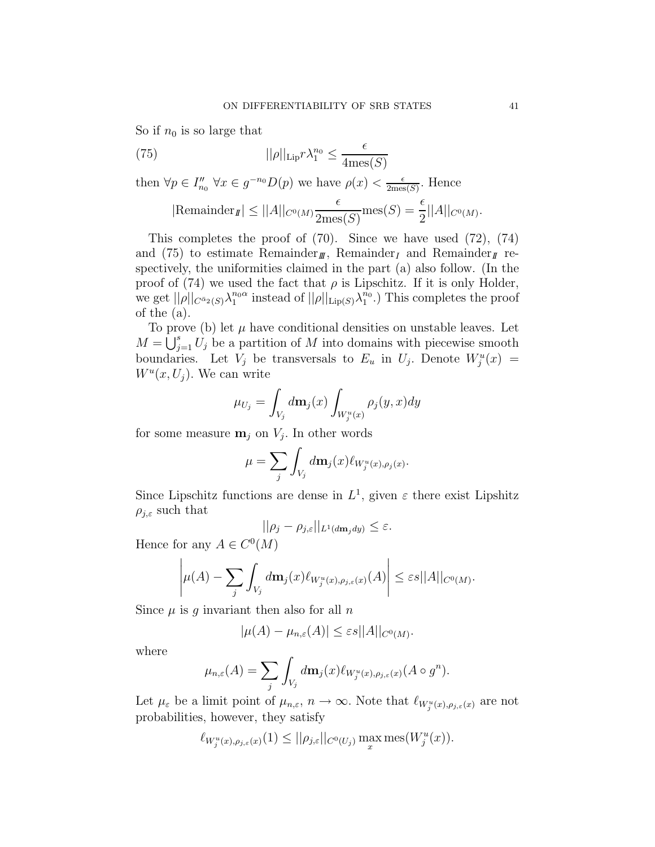So if  $n_0$  is so large that

(75) 
$$
||\rho||_{\text{Lip}} r \lambda_1^{n_0} \leq \frac{\epsilon}{4 \text{mes}(S)}
$$

then  $\forall p \in I''_{n_0}$   $\forall x \in g^{-n_0}D(p)$  we have  $\rho(x) < \frac{\epsilon}{2m}$  $\frac{\epsilon}{2\text{mes}(S)}$ . Hence

$$
|\text{Remainder}_I| \leq ||A||_{C^0(M)} \frac{\epsilon}{2 \text{mes}(S)} \text{mes}(S) = \frac{\epsilon}{2} ||A||_{C^0(M)}.
$$

This completes the proof of  $(70)$ . Since we have used  $(72)$ ,  $(74)$ and (75) to estimate Remainder<sub>II</sub>, Remainder<sub>I</sub> and Remainder<sub>II</sub> respectively, the uniformities claimed in the part (a) also follow. (In the proof of (74) we used the fact that  $\rho$  is Lipschitz. If it is only Holder, we get  $||\rho||_{C^{\bar{\alpha}_2}(S)} \lambda_1^{n_0\alpha}$  instead of  $||\rho||_{\text{Lip}(S)} \lambda_1^{n_0}$ .) This completes the proof of the (a).

To prove (b) let  $\mu$  have conditional densities on unstable leaves. Let  $M = \bigcup_{j=1}^{s} U_j$  be a partition of M into domains with piecewise smooth boundaries. Let  $V_j$  be transversals to  $E_u$  in  $U_j$ . Denote  $W_j^u(x) =$  $W^u(x, U_j)$ . We can write

$$
\mu_{U_j} = \int_{V_j} d\mathbf{m}_j(x) \int_{W_j^u(x)} \rho_j(y,x) dy
$$

for some measure  $\mathbf{m}_j$  on  $V_j$ . In other words

$$
\mu = \sum_j \int_{V_j} d\mathbf{m}_j(x) \ell_{W_j^u(x), \rho_j(x)}.
$$

Since Lipschitz functions are dense in  $L^1$ , given  $\varepsilon$  there exist Lipshitz  $\rho_{j,\varepsilon}$  such that

$$
||\rho_j - \rho_{j,\varepsilon}||_{L^1(d\mathbf{m}_j dy)} \leq \varepsilon.
$$

Hence for any  $A \in C^0(M)$ 

$$
\left|\mu(A) - \sum_{j} \int_{V_j} d\mathbf{m}_j(x) \ell_{W_j^u(x), \rho_{j,\varepsilon}(x)}(A)\right| \leq \varepsilon s ||A||_{C^0(M)}.
$$

Since  $\mu$  is g invariant then also for all n

$$
|\mu(A) - \mu_{n,\varepsilon}(A)| \leq \varepsilon s ||A||_{C^0(M)}.
$$

where

$$
\mu_{n,\varepsilon}(A) = \sum_j \int_{V_j} d\mathbf{m}_j(x) \ell_{W_j^u(x), \rho_{j,\varepsilon}(x)}(A \circ g^n).
$$

Let  $\mu_{\varepsilon}$  be a limit point of  $\mu_{n,\varepsilon}$ ,  $n \to \infty$ . Note that  $\ell_{W_j^u(x),\rho_{j,\varepsilon}(x)}$  are not probabilities, however, they satisfy

$$
\ell_{W_j^u(x),\rho_{j,\varepsilon}(x)}(1) \leq ||\rho_{j,\varepsilon}||_{C^0(U_j)} \max_x \operatorname{mes}(W_j^u(x)).
$$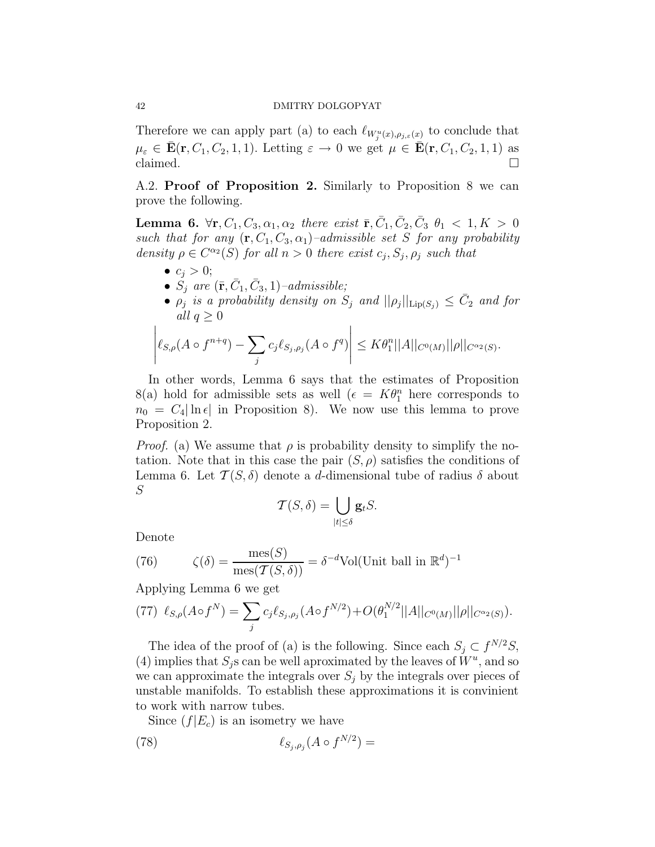Therefore we can apply part (a) to each  $\ell_{W_j^u(x),\rho_{j,\varepsilon}(x)}$  to conclude that  $\mu_{\varepsilon} \in \bar{\mathbf{E}}(\mathbf{r}, C_1, C_2, 1, 1)$ . Letting  $\varepsilon \to 0$  we get  $\mu \in \bar{\mathbf{E}}(\mathbf{r}, C_1, C_2, 1, 1)$  as claimed.  $\Box$ claimed.  $\Box$ 

A.2. Proof of Proposition 2. Similarly to Proposition 8 we can prove the following.

**Lemma 6.**  $\forall$ r,  $C_1, C_3, \alpha_1, \alpha_2$  there exist **r**,  $\bar{C}_1, \bar{C}_2, \bar{C}_3$   $\theta_1 < 1, K > 0$ such that for any  $(\mathbf{r}, C_1, C_3, \alpha_1)$ -admissible set S for any probability density  $\rho \in C^{\alpha_2}(S)$  for all  $n > 0$  there exist  $c_j, S_j, \rho_j$  such that

- $c_i > 0;$
- $\check{S}_j$  are  $(\bar{\mathbf{r}}, \bar{C}_1, \bar{C}_3, 1)$ -admissible;
- $\rho_j$  is a probability density on  $S_j$  and  $||\rho_j||_{\text{Lip}(S_j)} \leq \bar{C}_2$  and for all  $q \geq 0$

$$
\left| \ell_{S,\rho}(A \circ f^{n+q}) - \sum_{j} c_j \ell_{S_j,\rho_j}(A \circ f^q) \right| \leq K \theta_1^n ||A||_{C^0(M)} ||\rho||_{C^{\alpha_2}(S)}.
$$

In other words, Lemma 6 says that the estimates of Proposition 8(a) hold for admissible sets as well  $(\epsilon = K\theta_1^n)$  here corresponds to  $n_0 = C_4 |\ln \epsilon|$  in Proposition 8). We now use this lemma to prove Proposition 2.

*Proof.* (a) We assume that  $\rho$  is probability density to simplify the notation. Note that in this case the pair  $(S, \rho)$  satisfies the conditions of Lemma 6. Let  $\mathcal{T}(S,\delta)$  denote a d-dimensional tube of radius  $\delta$  about S

$$
\mathcal{T}(S,\delta) = \bigcup_{|t| \le \delta} \mathbf{g}_t S.
$$

Denote

(76) 
$$
\zeta(\delta) = \frac{\text{mes}(S)}{\text{mes}(\mathcal{T}(S,\delta))} = \delta^{-d} \text{Vol}(\text{Unit ball in } \mathbb{R}^d)^{-1}
$$

Applying Lemma 6 we get

(77) 
$$
\ell_{S,\rho}(A \circ f^N) = \sum_j c_j \ell_{S_j,\rho_j}(A \circ f^{N/2}) + O(\theta_1^{N/2} ||A||_{C^0(M)} ||\rho||_{C^{\alpha_2}(S)}).
$$

The idea of the proof of (a) is the following. Since each  $S_j \subset f^{N/2}S$ , (4) implies that  $S_j$ s can be well aproximated by the leaves of  $W^u$ , and so we can approximate the integrals over  $S_i$  by the integrals over pieces of unstable manifolds. To establish these approximations it is convinient to work with narrow tubes.

Since  $(f|E_c)$  is an isometry we have

$$
(78) \qquad \qquad \ell_{S_j,\rho_j}(A \circ f^{N/2}) =
$$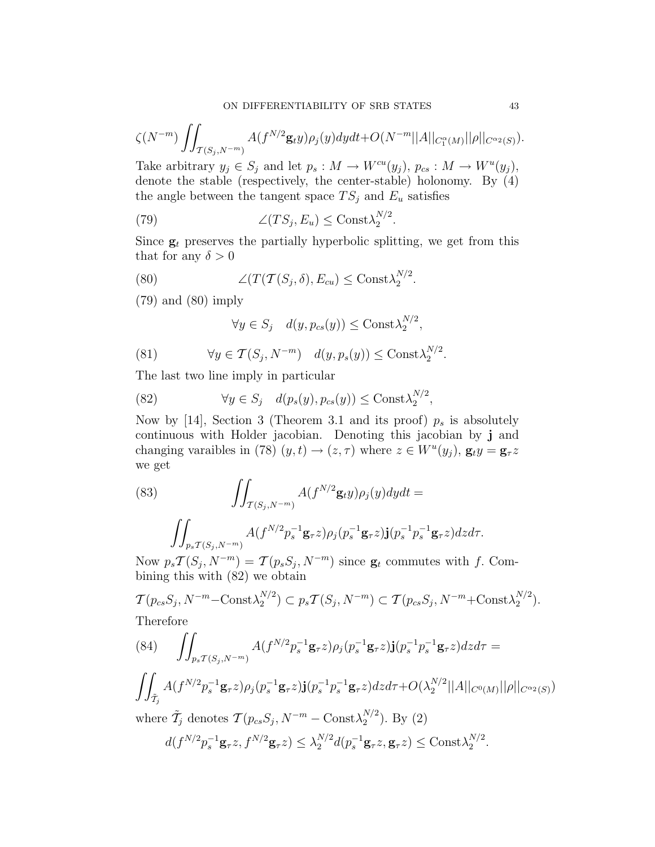$$
\zeta(N^{-m})\iint_{\mathcal{T}(S_j, N^{-m})} A(f^{N/2} \mathbf{g}_t y)\rho_j(y) dy dt + O(N^{-m}||A||_{C_1^{\alpha}(M)}||\rho||_{C^{\alpha_2}(S)}).
$$

Take arbitrary  $y_j \in S_j$  and let  $p_s : M \to W^{cu}(y_j)$ ,  $p_{cs} : M \to W^{u}(y_j)$ , denote the stable (respectively, the center-stable) holonomy. By (4) the angle between the tangent space  $TS_j$  and  $E_u$  satisfies

(79) 
$$
\angle (TS_j, E_u) \leq \text{Const}\lambda_2^{N/2}.
$$

Since  $g_t$  preserves the partially hyperbolic splitting, we get from this that for any  $\delta > 0$ 

(80) 
$$
\angle(T(\mathcal{T}(S_j,\delta),E_{cu})\leq \text{Const}\lambda_2^{N/2}.
$$

(79) and (80) imply

$$
\forall y \in S_j \quad d(y, p_{cs}(y)) \leq \text{Const}\lambda_2^{N/2},
$$

(81) 
$$
\forall y \in \mathcal{T}(S_j, N^{-m}) \quad d(y, p_s(y)) \leq \text{Const}\lambda_2^{N/2}.
$$

The last two line imply in particular

(82) 
$$
\forall y \in S_j \quad d(p_s(y), p_{cs}(y)) \leq \text{Const}\lambda_2^{N/2},
$$

Now by [14], Section 3 (Theorem 3.1 and its proof)  $p_s$  is absolutely continuous with Holder jacobian. Denoting this jacobian by j and changing varaibles in (78)  $(y, t) \rightarrow (z, \tau)$  where  $z \in W^u(y_j)$ ,  $\mathbf{g}_t y = \mathbf{g}_\tau z$ we get

(83) 
$$
\iint_{\mathcal{T}(S_j, N^{-m})} A(f^{N/2} \mathbf{g}_t y) \rho_j(y) dy dt =
$$

$$
\iint_{p_s \mathcal{T}(S_j, N^{-m})} A(f^{N/2} p_s^{-1} \mathbf{g}_\tau z) \rho_j(p_s^{-1} \mathbf{g}_\tau z) \mathbf{j}(p_s^{-1} p_s^{-1} \mathbf{g}_\tau z) dz d\tau.
$$

Now  $p_s \mathcal{T}(S_j, N^{-m}) = \mathcal{T}(p_s S_j, N^{-m})$  since  $\mathbf{g}_t$  commutes with f. Combining this with (82) we obtain

$$
\mathcal{T}(p_{cs}S_j, N^{-m}-\text{Const}\lambda_2^{N/2}) \subset p_s \mathcal{T}(S_j, N^{-m}) \subset \mathcal{T}(p_{cs}S_j, N^{-m}+\text{Const}\lambda_2^{N/2}).
$$
  
Therefore

Therefore

(84) 
$$
\iint_{p_s \mathcal{T}(S_j, N^{-m})} A(f^{N/2} p_s^{-1} \mathbf{g}_{\tau} z) \rho_j(p_s^{-1} \mathbf{g}_{\tau} z) \mathbf{j}(p_s^{-1} p_s^{-1} \mathbf{g}_{\tau} z) dz d\tau =
$$
  

$$
\iint_{\tilde{\mathcal{T}}_j} A(f^{N/2} p_s^{-1} \mathbf{g}_{\tau} z) \rho_j(p_s^{-1} \mathbf{g}_{\tau} z) \mathbf{j}(p_s^{-1} p_s^{-1} \mathbf{g}_{\tau} z) dz d\tau + O(\lambda_2^{N/2} ||A||_{C^0(M)} ||\rho||_{C^{\alpha_2}(S)})
$$
  
where  $\tilde{\mathcal{T}}_j$  denotes  $\mathcal{T}(p_{cs} S_j, N^{-m} - \text{Const}\lambda_2^{N/2})$ . By (2)  

$$
d(f^{N/2} p_s^{-1} \mathbf{g}_{\tau} z, f^{N/2} \mathbf{g}_{\tau} z) \le \lambda_2^{N/2} d(p_s^{-1} \mathbf{g}_{\tau} z, \mathbf{g}_{\tau} z) \le \text{Const}\lambda_2^{N/2}.
$$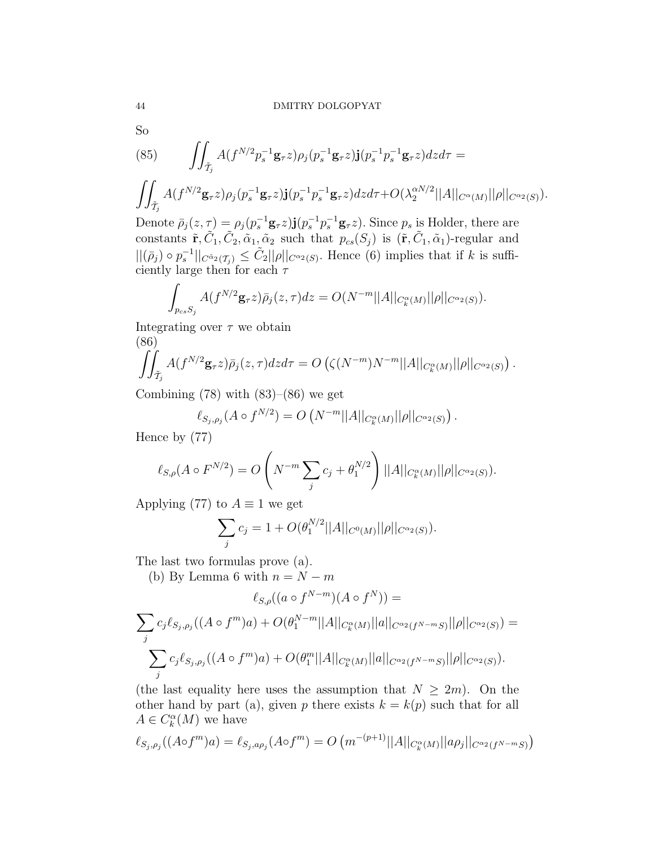So

(85) 
$$
\iint_{\tilde{\mathcal{I}}_j} A(f^{N/2} p_s^{-1} \mathbf{g}_{\tau} z) \rho_j(p_s^{-1} \mathbf{g}_{\tau} z) \mathbf{j}(p_s^{-1} p_s^{-1} \mathbf{g}_{\tau} z) dz d\tau =
$$

$$
\iint_{\tilde{\mathcal{T}}_j} A(f^{N/2}\mathbf{g}_\tau z)\rho_j(p_s^{-1}\mathbf{g}_\tau z)\mathbf{j}(p_s^{-1}p_s^{-1}\mathbf{g}_\tau z)dzd\tau + O(\lambda_2^{\alpha N/2}||A||_{C^\alpha(M)}||\rho||_{C^{\alpha_2}(S)}).
$$

Denote  $\bar{\rho}_j(z,\tau) = \rho_j(p_s^{-1}\mathbf{g}_\tau z)\mathbf{j}(p_s^{-1}p_s^{-1}\mathbf{g}_\tau z)$ . Since  $p_s$  is Holder, there are constants  $\tilde{\mathbf{r}}, \tilde{C}_1, \tilde{C}_2, \tilde{\alpha}_1, \tilde{\alpha}_2$  such that  $p_{cs}(S_j)$  is  $(\tilde{\mathbf{r}}, \tilde{C}_1, \tilde{\alpha}_1)$ -regular and  $||(\bar{\rho}_j) \circ p_s^{-1}||_{C^{\tilde{\alpha}_2}(\mathcal{T}_j)} \leq \tilde{C}_2 ||\rho||_{C^{\alpha_2}(S)}$ . Hence (6) implies that if k is sufficiently large then for each  $\tau$ 

$$
\int_{p_{cs}S_j} A(f^{N/2}\mathbf{g}_{\tau}z)\bar{\rho}_j(z,\tau)dz = O(N^{-m}||A||_{C_k^{\alpha}(M)}||\rho||_{C^{\alpha_2}(S)}).
$$

Integrating over  $\tau$  we obtain  $(86)$ 

$$
\iint_{\tilde{\mathcal{I}}_j} A(f^{N/2} \mathbf{g}_{\tau} z) \bar{\rho}_j(z,\tau) dz d\tau = O\left( \zeta(N^{-m}) N^{-m} ||A||_{C_k^{\alpha}(M)} ||\rho||_{C^{\alpha_2}(S)} \right).
$$

Combining  $(78)$  with  $(83)–(86)$  we get

$$
\ell_{S_j,\rho_j}(A \circ f^{N/2}) = O\left(N^{-m}||A||_{C_k^{\alpha}(M)}||\rho||_{C^{\alpha_2}(S)}\right).
$$

Hence by (77)

$$
\ell_{S,\rho}(A \circ F^{N/2}) = O\left(N^{-m} \sum_j c_j + \theta_1^{N/2}\right) ||A||_{C_k^{\alpha}(M)} ||\rho||_{C^{\alpha_2}(S)}).
$$

Applying (77) to  $A \equiv 1$  we get

$$
\sum_{j} c_j = 1 + O(\theta_1^{N/2} ||A||_{C^0(M)} ||\rho||_{C^{\alpha_2}(S)}).
$$

The last two formulas prove (a).

(b) By Lemma 6 with  $n = N - m$ 

$$
\ell_{S,\rho}((a \circ f^{N-m})(A \circ f^N)) =
$$
  

$$
\sum_{j} c_j \ell_{S_j,\rho_j}((A \circ f^m)a) + O(\theta_1^{N-m}||A||_{C_k^{\alpha}(M)}||a||_{C^{\alpha_2}(f^{N-m}S)}||\rho||_{C^{\alpha_2}(S)}) =
$$
  

$$
\sum_{j} c_j \ell_{S_j,\rho_j}((A \circ f^m)a) + O(\theta_1^m||A||_{C_k^{\alpha}(M)}||a||_{C^{\alpha_2}(f^{N-m}S)}||\rho||_{C^{\alpha_2}(S)}).
$$

(the last equality here uses the assumption that  $N \geq 2m$ ). On the other hand by part (a), given p there exists  $k = k(p)$  such that for all  $A \in C_k^{\alpha}(M)$  we have

$$
\ell_{S_j,\rho_j}((A \circ f^m)a) = \ell_{S_j,a\rho_j}(A \circ f^m) = O\left(m^{-(p+1)}||A||_{C_k^{\alpha}(M)}||a\rho_j||_{C^{\alpha_2}(f^{N-m}S)}\right)
$$

$$
4\frac{1}{2}
$$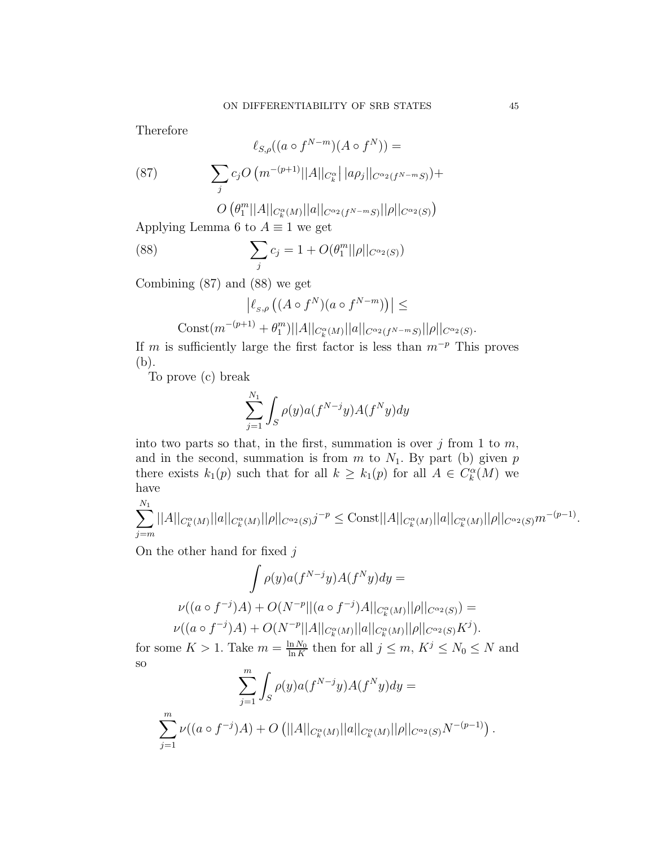Therefore

$$
\ell_{S,\rho}((a\circ f^{N-m})(A\circ f^N)) =
$$

(87) 
$$
\sum_{j} c_j O\left(m^{-(p+1)}||A||_{C_k^{\alpha}}||a\rho_j||_{C^{\alpha_2}(f^{N-m}S)}\right)+
$$

 $O\left(\theta_1^m||A||_{C_k^{\alpha}(M)}||a||_{C^{\alpha_2}(f^{N-m}S)}||\rho||_{C^{\alpha_2}(S)}\right)$ 

Applying Lemma 6 to  $A \equiv 1$  we get

(88) 
$$
\sum_{j} c_j = 1 + O(\theta_1^m || \rho ||_{C^{\alpha_2}(S)})
$$

Combining (87) and (88) we get

$$
\left|\ell_{s,\rho}\left((A\circ f^N)(a\circ f^{N-m})\right)\right|\leq
$$

$$
Const(m^{-(p+1)} + \theta_1^m)||A||_{C_k^{\alpha}(M)}||a||_{C^{\alpha_2}(f^{N-m}S)}||\rho||_{C^{\alpha_2}(S)}.
$$

If m is sufficiently large the first factor is less than  $m^{-p}$  This proves (b).

To prove (c) break

$$
\sum_{j=1}^{N_1} \int_S \rho(y) a(f^{N-j}y) A(f^N y) dy
$$

into two parts so that, in the first, summation is over  $j$  from 1 to  $m$ , and in the second, summation is from  $m$  to  $N_1$ . By part (b) given  $p$ there exists  $k_1(p)$  such that for all  $k \geq k_1(p)$  for all  $A \in C^{\alpha}_k(M)$  we have

$$
\sum_{j=m}^{N_1} ||A||_{C_k^{\alpha}(M)} ||a||_{C_k^{\alpha}(M)} ||\rho||_{C^{\alpha_2}(S)} j^{-p} \leq \text{Const} ||A||_{C_k^{\alpha}(M)} ||a||_{C_k^{\alpha}(M)} ||\rho||_{C^{\alpha_2}(S)} m^{-(p-1)}.
$$

On the other hand for fixed  $j$ 

$$
\int \rho(y)a(f^{N-j}y)A(f^Ny)dy =
$$
  

$$
\nu((a \circ f^{-j})A) + O(N^{-p}||(a \circ f^{-j})A||_{C_\kappa^{\alpha}(M)}||\rho||_{C^{\alpha_2}(S)}) =
$$
  

$$
\nu((a \circ f^{-j})A) + O(N^{-p}||A||_{C_\kappa^{\alpha}(M)}||a||_{C_\kappa^{\alpha}(M)}||\rho||_{C^{\alpha_2}(S)}K^j).
$$

for some  $K > 1$ . Take  $m = \frac{\ln N_0}{\ln K}$  $\frac{\ln N_0}{\ln K}$  then for all  $j \leq m$ ,  $K^j \leq N_0 \leq N$  and so

$$
\sum_{j=1}^{m} \int_{S} \rho(y) a(f^{N-j}y) A(f^{N}y) dy =
$$
  

$$
\sum_{j=1}^{m} \nu((a \circ f^{-j}) A) + O(|A||_{C_{k}^{\alpha}(M)} ||a||_{C_{k}^{\alpha}(M)} ||\rho||_{C^{\alpha_{2}}(S)} N^{-(p-1)})
$$

.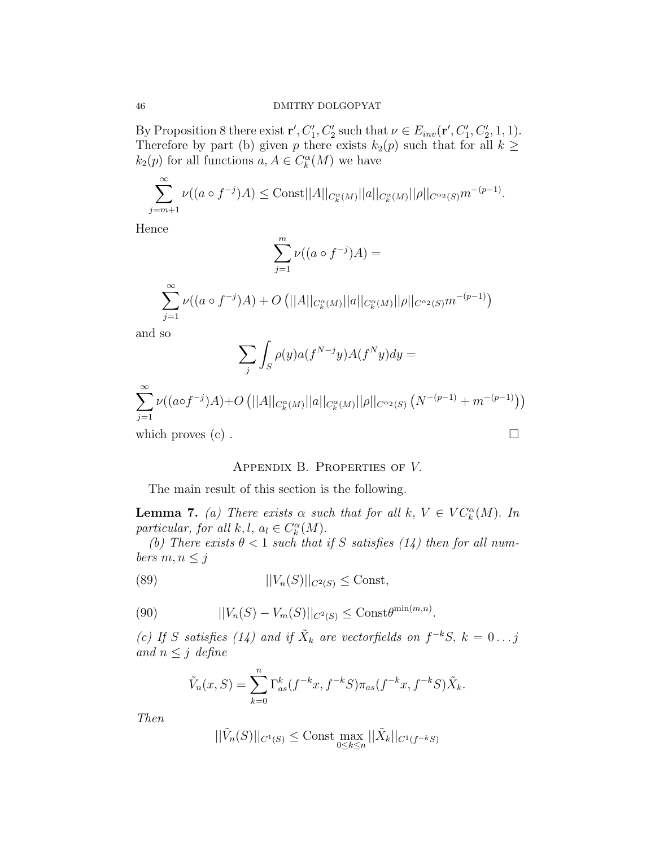By Proposition 8 there exist  $\mathbf{r}'$ ,  $C'_1$ ,  $C'_2$  such that  $\nu \in E_{inv}(\mathbf{r}', C'_1, C'_2, 1, 1)$ . Therefore by part (b) given p there exists  $k_2(p)$  such that for all  $k \geq$  $k_2(p)$  for all functions  $a, A \in C_k^{\alpha}(M)$  we have

$$
\sum_{j=m+1}^{\infty} \nu((a \circ f^{-j})A) \leq \text{Const} ||A||_{C_k^{\alpha}(M)} ||a||_{C_k^{\alpha}(M)} ||\rho||_{C^{\alpha_2}(S)} m^{-(p-1)}
$$

.

Hence

$$
\sum_{j=1}^m \nu((a \circ f^{-j})A) =
$$

$$
\sum_{j=1}^{\infty} \nu((a \circ f^{-j})A) + O(|A||_{C_k^{\alpha}(M)}||a||_{C_k^{\alpha}(M)}||\rho||_{C^{\alpha_2}(S)}m^{-(p-1)})
$$

and so

$$
\sum_j \int_S \rho(y) a(f^{N-j}y) A(f^N y) dy =
$$

$$
\sum_{j=1}^{\infty} \nu((a \circ f^{-j})A) + O\left(||A||_{C_k^{\alpha}(M)}||a||_{C_k^{\alpha}(M)}||\rho||_{C^{\alpha_2}(S)}\left(N^{-(p-1)} + m^{-(p-1)}\right)\right)
$$

which proves  $(c)$ .

## Appendix B. Properties of V.

The main result of this section is the following.

**Lemma 7.** (a) There exists  $\alpha$  such that for all  $k, V \in VC_k^{\alpha}(M)$ . In particular, for all  $k, l, a_l \in C_k^{\alpha}(M)$ .

(b) There exists  $\theta < 1$  such that if S satisfies (14) then for all numbers  $m, n \leq j$ 

$$
||V_n(S)||_{C^2(S)} \leq \text{Const},
$$

(90) 
$$
||V_n(S) - V_m(S)||_{C^2(S)} \leq \text{Const}\theta^{\min(m,n)}.
$$

(c) If S satisfies (14) and if  $\tilde{X}_k$  are vectorfields on  $f^{-k}S$ ,  $k = 0...j$ and  $n \leq j$  define

$$
\tilde{V}_n(x, S) = \sum_{k=0}^n \Gamma_{as}^k (f^{-k}x, f^{-k}S) \pi_{as}(f^{-k}x, f^{-k}S) \tilde{X}_k.
$$

Then

$$
||\tilde{V}_n(S)||_{C^1(S)} \leq \text{Const} \max_{0 \leq k \leq n} ||\tilde{X}_k||_{C^1(f^{-k}S)}
$$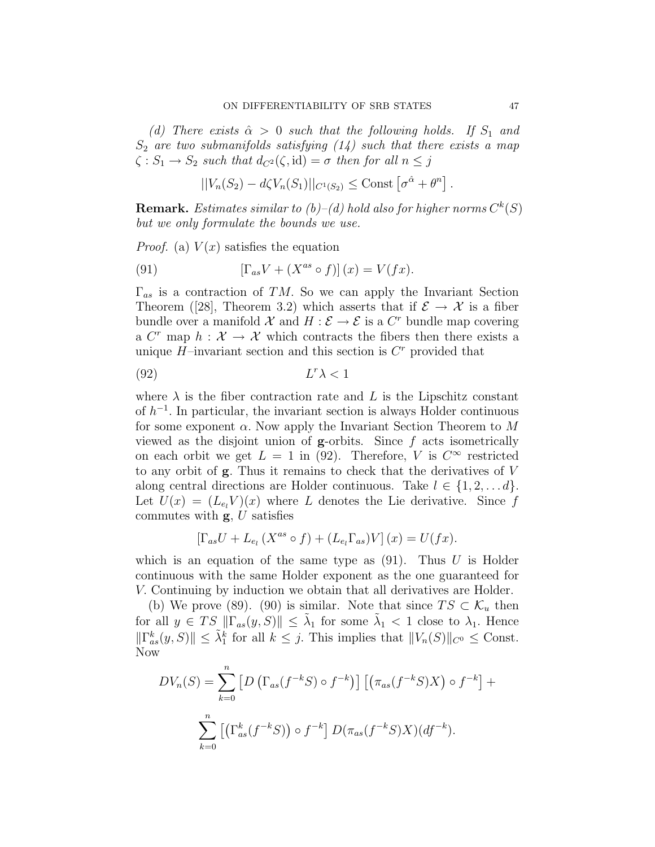(d) There exists  $\hat{\alpha} > 0$  such that the following holds. If  $S_1$  and  $S_2$  are two submanifolds satisfying  $(14)$  such that there exists a map  $\zeta : S_1 \to S_2$  such that  $d_{C^2}(\zeta, id) = \sigma$  then for all  $n \leq j$ 

$$
||V_n(S_2) - d\zeta V_n(S_1)||_{C^1(S_2)} \leq \text{Const}\left[\sigma^{\hat{\alpha}} + \theta^n\right].
$$

**Remark.** Estimates similar to (b)–(d) hold also for higher norms  $C^k(S)$ but we only formulate the bounds we use.

*Proof.* (a)  $V(x)$  satisfies the equation

(91) 
$$
\left[\Gamma_{as}V + (X^{as} \circ f)\right](x) = V(fx).
$$

 $\Gamma_{as}$  is a contraction of TM. So we can apply the Invariant Section Theorem ([28], Theorem 3.2) which asserts that if  $\mathcal{E} \to \mathcal{X}$  is a fiber bundle over a manifold  $\mathcal{X}$  and  $H : \mathcal{E} \to \mathcal{E}$  is a  $C<sup>r</sup>$  bundle map covering a  $C^r$  map  $h: \mathcal{X} \to \mathcal{X}$  which contracts the fibers then there exists a unique  $H$ -invariant section and this section is  $C<sup>r</sup>$  provided that

$$
(92) \t\t\t L^r \lambda < 1
$$

where  $\lambda$  is the fiber contraction rate and L is the Lipschitz constant of  $h^{-1}$ . In particular, the invariant section is always Holder continuous for some exponent  $\alpha$ . Now apply the Invariant Section Theorem to M viewed as the disjoint union of  $g$ -orbits. Since  $f$  acts isometrically on each orbit we get  $L = 1$  in (92). Therefore, V is  $C^{\infty}$  restricted to any orbit of g. Thus it remains to check that the derivatives of V along central directions are Holder continuous. Take  $l \in \{1, 2, \ldots d\}$ . Let  $U(x) = (L_{e_i}V)(x)$  where L denotes the Lie derivative. Since f commutes with  $\mathbf{g}, U$  satisfies

$$
\left[\Gamma_{as}U + L_{e_l}(X^{as} \circ f) + (L_{e_l}\Gamma_{as})V\right](x) = U(fx).
$$

which is an equation of the same type as  $(91)$ . Thus U is Holder continuous with the same Holder exponent as the one guaranteed for V. Continuing by induction we obtain that all derivatives are Holder.

(b) We prove (89). (90) is similar. Note that since  $TS \subset \mathcal{K}_u$  then for all  $y \in TS$   $\|\Gamma_{as}(y, S)\| \leq \tilde{\lambda}_1$  for some  $\tilde{\lambda}_1 < 1$  close to  $\lambda_1$ . Hence  $||\Gamma^k_{as}(y, S)|| \leq \tilde{\lambda}_1^k$  for all  $k \leq j$ . This implies that  $||V_n(S)||_{C^0} \leq \text{Const.}$ Now

$$
DV_n(S) = \sum_{k=0}^n \left[ D\left(\Gamma_{as}(f^{-k}S) \circ f^{-k}\right) \right] \left[ \left(\pi_{as}(f^{-k}S)X\right) \circ f^{-k} \right] +
$$

$$
\sum_{k=0}^n \left[ \left(\Gamma_{as}^k(f^{-k}S)\right) \circ f^{-k} \right] D\left(\pi_{as}(f^{-k}S)X\right) (df^{-k}).
$$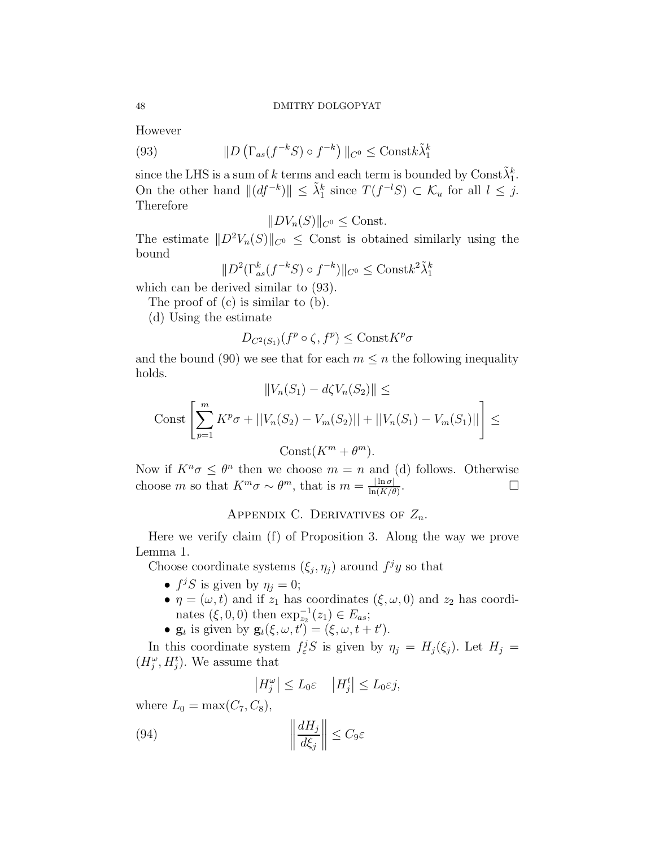However

(93) 
$$
||D (\Gamma_{as}(f^{-k}S) \circ f^{-k})||_{C^0} \leq \text{Const} k \tilde{\lambda}_1^k
$$

since the LHS is a sum of k terms and each term is bounded by  $\text{Const}\tilde{\lambda}_1^k$ . On the other hand  $||(df^{-k})|| \leq \tilde{\lambda}_1^k$  since  $T(f^{-l}S) \subset \mathcal{K}_u$  for all  $l \leq j$ . Therefore

$$
||DV_n(S)||_{C^0} \leq \text{Const.}
$$

The estimate  $||D^2V_n(S)||_{C^0} \leq$  Const is obtained similarly using the bound

$$
||D^2(\Gamma^k_{as}(f^{-k}S) \circ f^{-k})||_{C^0} \leq \text{Const}k^2 \tilde{\lambda}_1^k
$$

which can be derived similar to (93).

The proof of (c) is similar to (b).

(d) Using the estimate

$$
D_{C^2(S_1)}(f^p \circ \zeta, f^p) \le \text{Const} K^p \sigma
$$

and the bound (90) we see that for each  $m \leq n$  the following inequality holds.  $\mathcal{L}(\alpha) = \text{IETZ}(\alpha)$ 

$$
||V_n(S_1) - d\zeta V_n(S_2)|| \le
$$
  
Const  $\left[\sum_{p=1}^m K^p \sigma + ||V_n(S_2) - V_m(S_2)|| + ||V_n(S_1) - V_m(S_1)||\right] \le$   
Const $(K^m + \theta^m)$ .

Now if  $K^n \sigma \leq \theta^n$  then we choose  $m = n$  and (d) follows. Otherwise choose m so that  $K^m \sigma \sim \theta^m$ , that is  $m = \frac{|\ln \sigma|}{\ln(K/\theta)}$  $\ln(K/\theta)$ .

APPENDIX C. DERIVATIVES OF  $Z_n$ .

Here we verify claim (f) of Proposition 3. Along the way we prove Lemma 1.

Choose coordinate systems  $(\xi_j, \eta_j)$  around  $f^j y$  so that

- $f^jS$  is given by  $\eta_j = 0$ ;
- $\eta = (\omega, t)$  and if  $z_1$  has coordinates  $(\xi, \omega, 0)$  and  $z_2$  has coordinates  $(\xi, 0, 0)$  then  $\exp_{z_2}^{-1}(z_1) \in E_{as};$
- $\mathbf{g}_t$  is given by  $\mathbf{g}_t(\xi, \omega, t') = (\xi, \omega, t + t')$ .

In this coordinate system  $f_{\varepsilon}^{j}S$  is given by  $\eta_{j} = H_{j}(\xi_{j})$ . Let  $H_{j} =$  $(H_j^{\omega}, H_j^t)$ . We assume that

$$
\left|H_j^{\omega}\right| \le L_0 \varepsilon \quad \left|H_j^t\right| \le L_0 \varepsilon j,
$$

where  $L_0 = \max(C_7, C_8)$ ,

(94) 
$$
\left\| \frac{dH_j}{d\xi_j} \right\| \leq C_9 \varepsilon
$$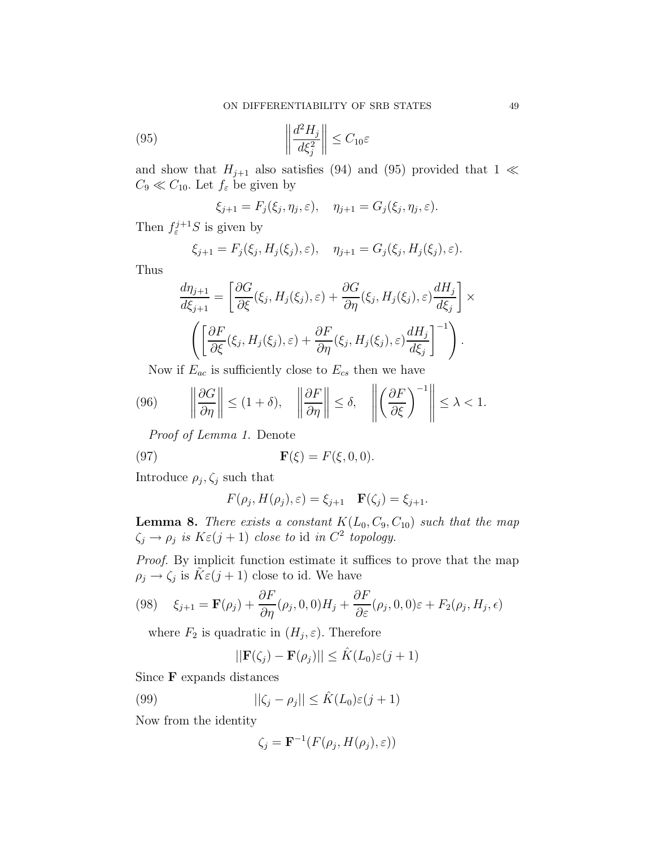(95) 
$$
\left\|\frac{d^2H_j}{d\xi_j^2}\right\| \leq C_{10}\varepsilon
$$

and show that  $H_{j+1}$  also satisfies (94) and (95) provided that  $1 \ll$  $C_9 \ll C_{10}$ . Let  $f_{\varepsilon}$  be given by

$$
\xi_{j+1} = F_j(\xi_j, \eta_j, \varepsilon), \quad \eta_{j+1} = G_j(\xi_j, \eta_j, \varepsilon).
$$

Then  $f_{\varepsilon}^{j+1}S$  is given by

$$
\xi_{j+1} = F_j(\xi_j, H_j(\xi_j), \varepsilon), \quad \eta_{j+1} = G_j(\xi_j, H_j(\xi_j), \varepsilon).
$$

Thus

$$
\frac{d\eta_{j+1}}{d\xi_{j+1}} = \left[\frac{\partial G}{\partial \xi}(\xi_j, H_j(\xi_j), \varepsilon) + \frac{\partial G}{\partial \eta}(\xi_j, H_j(\xi_j), \varepsilon) \frac{dH_j}{d\xi_j}\right] \times \left(\left[\frac{\partial F}{\partial \xi}(\xi_j, H_j(\xi_j), \varepsilon) + \frac{\partial F}{\partial \eta}(\xi_j, H_j(\xi_j), \varepsilon) \frac{dH_j}{d\xi_j}\right]^{-1}\right).
$$

Now if  $E_{ac}$  is sufficiently close to  $E_{cs}$  then we have

(96) 
$$
\left\|\frac{\partial G}{\partial \eta}\right\| \le (1+\delta), \quad \left\|\frac{\partial F}{\partial \eta}\right\| \le \delta, \quad \left\|\left(\frac{\partial F}{\partial \xi}\right)^{-1}\right\| \le \lambda < 1.
$$

Proof of Lemma 1. Denote

(97) 
$$
\mathbf{F}(\xi) = F(\xi, 0, 0).
$$

Introduce  $\rho_j, \zeta_j$  such that

$$
F(\rho_j, H(\rho_j), \varepsilon) = \xi_{j+1} \quad \mathbf{F}(\zeta_j) = \xi_{j+1}.
$$

**Lemma 8.** There exists a constant  $K(L_0, C_9, C_{10})$  such that the map  $\zeta_j \to \rho_j$  is  $K\varepsilon(j+1)$  close to id in  $C^2$  topology.

Proof. By implicit function estimate it suffices to prove that the map  $\rho_j \rightarrow \zeta_j$  is  $\tilde{K} \varepsilon(j+1)$  close to id. We have

(98) 
$$
\xi_{j+1} = \mathbf{F}(\rho_j) + \frac{\partial F}{\partial \eta}(\rho_j, 0, 0)H_j + \frac{\partial F}{\partial \varepsilon}(\rho_j, 0, 0)\varepsilon + F_2(\rho_j, H_j, \epsilon)
$$

where  $F_2$  is quadratic in  $(H_j, \varepsilon)$ . Therefore

$$
||\mathbf{F}(\zeta_j) - \mathbf{F}(\rho_j)|| \leq \hat{K}(L_0)\varepsilon(j+1)
$$

Since F expands distances

(99) 
$$
||\zeta_j - \rho_j|| \leq \hat{K}(L_0)\varepsilon(j+1)
$$

Now from the identity

$$
\zeta_j = \mathbf{F}^{-1}(F(\rho_j, H(\rho_j), \varepsilon))
$$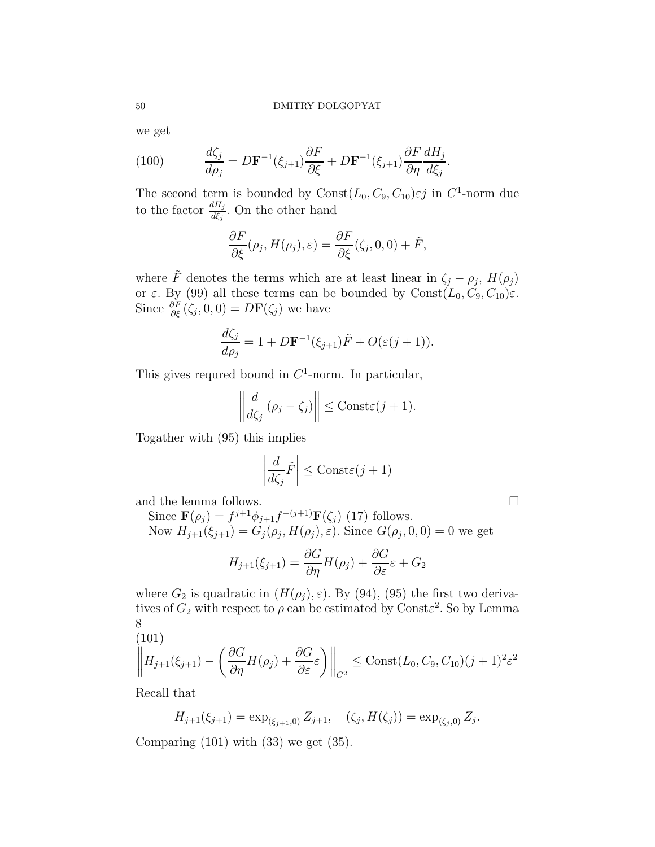we get

(100) 
$$
\frac{d\zeta_j}{d\rho_j} = D\mathbf{F}^{-1}(\xi_{j+1})\frac{\partial F}{\partial \xi} + D\mathbf{F}^{-1}(\xi_{j+1})\frac{\partial F}{\partial \eta}\frac{dH_j}{d\xi_j}
$$

The second term is bounded by  $Const(L_0, C_9, C_{10})\varepsilon j$  in  $C^1$ -norm due to the factor  $\frac{dH_j}{d\xi_j}$ . On the other hand

.

$$
\frac{\partial F}{\partial \xi}(\rho_j, H(\rho_j), \varepsilon) = \frac{\partial F}{\partial \xi}(\zeta_j, 0, 0) + \tilde{F},
$$

where  $\tilde{F}$  denotes the terms which are at least linear in  $\zeta_j - \rho_j$ ,  $H(\rho_j)$ or  $\varepsilon$ . By (99) all these terms can be bounded by  $Const(L_0, C_9, C_{10})\varepsilon$ . Since  $\frac{\partial F}{\partial \xi}(\zeta_j, 0, 0) = D \mathbf{F}(\zeta_j)$  we have

$$
\frac{d\zeta_j}{d\rho_j} = 1 + D\mathbf{F}^{-1}(\xi_{j+1})\tilde{F} + O(\varepsilon(j+1)).
$$

This gives requred bound in  $C<sup>1</sup>$ -norm. In particular,

$$
\left\|\frac{d}{d\zeta_j}(\rho_j-\zeta_j)\right\|\leq \mathrm{Const}\varepsilon(j+1).
$$

Togather with (95) this implies

$$
\left| \frac{d}{d\zeta_j} \tilde{F} \right| \leq \text{Const}\varepsilon(j+1)
$$

and the lemma follows.  $\hfill \square$ 

Since  $\mathbf{F}(\rho_j) = f^{j+1}\phi_{j+1}f^{-(j+1)}\mathbf{F}(\zeta_j)$  (17) follows. Now  $H_{j+1}(\xi_{j+1}) = G_j(\rho_j, H(\rho_j), \varepsilon)$ . Since  $G(\rho_j, 0, 0) = 0$  we get

$$
H_{j+1}(\xi_{j+1}) = \frac{\partial G}{\partial \eta}H(\rho_j) + \frac{\partial G}{\partial \varepsilon}\varepsilon + G_2
$$

where  $G_2$  is quadratic in  $(H(\rho_j), \varepsilon)$ . By (94), (95) the first two derivatives of  $G_2$  with respect to  $\rho$  can be estimated by Const $\varepsilon^2$ . So by Lemma 8  $(101)$ 

$$
\left\| H_{j+1}(\xi_{j+1}) - \left( \frac{\partial G}{\partial \eta} H(\rho_j) + \frac{\partial G}{\partial \varepsilon} \varepsilon \right) \right\|_{C^2} \le \text{Const}(L_0, C_9, C_{10})(j+1)^2 \varepsilon^2
$$

Recall that

$$
H_{j+1}(\xi_{j+1}) = \exp_{(\xi_{j+1},0)} Z_{j+1}, \quad (\zeta_j, H(\zeta_j)) = \exp_{(\zeta_j,0)} Z_j.
$$

Comparing  $(101)$  with  $(33)$  we get  $(35)$ .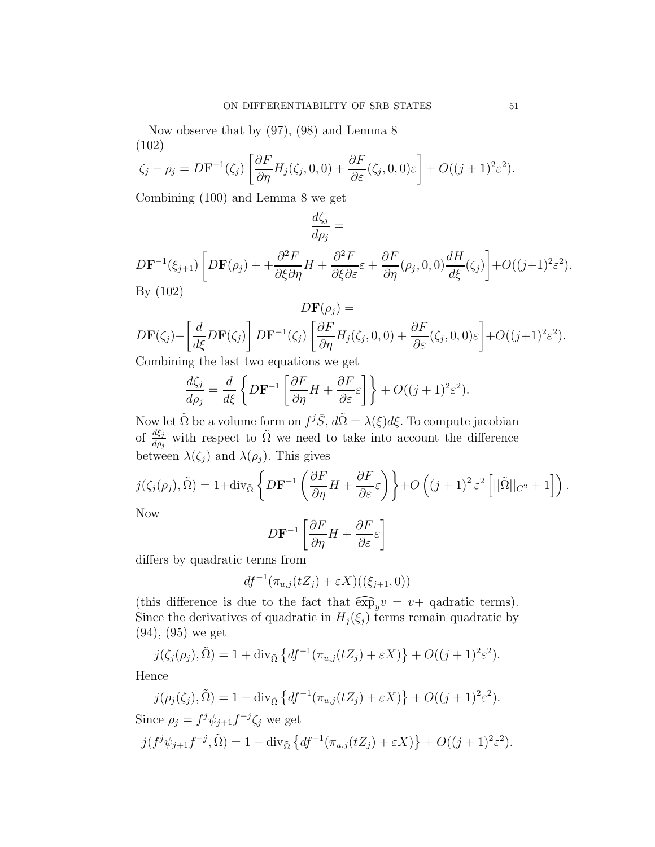Now observe that by (97), (98) and Lemma 8 (102)

$$
\zeta_j - \rho_j = D\mathbf{F}^{-1}(\zeta_j) \left[ \frac{\partial F}{\partial \eta} H_j(\zeta_j, 0, 0) + \frac{\partial F}{\partial \varepsilon}(\zeta_j, 0, 0) \varepsilon \right] + O((j+1)^2 \varepsilon^2).
$$

Combining (100) and Lemma 8 we get

$$
\frac{d\zeta_j}{d\rho_j} =
$$

 $D\textbf{F}^{-1}(\xi_{j+1})$  $\int \! {\cal D} {\bf F}(\rho_j) + + \frac{\partial^2 {\cal F}}{\partial {\bf \hat{c}} \, \partial {\bf \hat{c}}}$  $\frac{\partial^2}{\partial \xi \partial \eta} H +$  $\partial^2 F$  $rac{\partial}{\partial \xi \partial \varepsilon}$ ε + ∂F  $rac{\partial \mathbf{p}}{\partial \eta}(\rho_j)$  $, 0, 0$  $\frac{dH}{d\epsilon}$  $\frac{\partial H}{\partial \xi}(\zeta_j)$ 1  $+O((j+1)^2\varepsilon^2).$ By (102)  $DF(\rho_i) =$ 

$$
D\mathbf{F}(\zeta_j) + \left[\frac{d}{d\xi}D\mathbf{F}(\zeta_j)\right]D\mathbf{F}^{-1}(\zeta_j)\left[\frac{\partial F}{\partial \eta}H_j(\zeta_j, 0, 0) + \frac{\partial F}{\partial \varepsilon}(\zeta_j, 0, 0)\varepsilon\right] + O((j+1)^2\varepsilon^2).
$$
 Combining the last two equations we get

Combining the last two equations we get

$$
\frac{d\zeta_j}{d\rho_j} = \frac{d}{d\xi} \left\{ D\mathbf{F}^{-1} \left[ \frac{\partial F}{\partial \eta} H + \frac{\partial F}{\partial \varepsilon} \varepsilon \right] \right\} + O((j+1)^2 \varepsilon^2).
$$

Now let  $\tilde{\Omega}$  be a volume form on  $f^j \bar{S}, d\tilde{\Omega} = \lambda(\xi)d\xi$ . To compute jacobian of  $\frac{d\xi_j}{d\rho_j}$  with respect to  $\tilde{\Omega}$  we need to take into account the difference between  $\lambda(\zeta_i)$  and  $\lambda(\rho_i)$ . This gives

$$
j(\zeta_j(\rho_j), \tilde{\Omega}) = 1 + \text{div}_{\tilde{\Omega}} \left\{ D \mathbf{F}^{-1} \left( \frac{\partial F}{\partial \eta} H + \frac{\partial F}{\partial \varepsilon} \varepsilon \right) \right\} + O \left( (j+1)^2 \varepsilon^2 \left[ ||\tilde{\Omega}||_{C^2} + 1 \right] \right).
$$
  
Now

Now

$$
D\mathbf{F}^{-1}\left[\frac{\partial F}{\partial \eta}H + \frac{\partial F}{\partial \varepsilon}\varepsilon\right]
$$

differs by quadratic terms from

$$
df^{-1}(\pi_{u,j}(tZ_j)+\varepsilon X)((\xi_{j+1},0))
$$

(this difference is due to the fact that  $\widehat{\exp}_y v = v +$  qadratic terms). Since the derivatives of quadratic in  $H_j(\xi_j)$  terms remain quadratic by (94), (95) we get

$$
j(\zeta_j(\rho_j), \tilde{\Omega}) = 1 + \text{div}_{\tilde{\Omega}} \left\{ df^{-1}(\pi_{u,j}(tZ_j) + \varepsilon X) \right\} + O((j+1)^2 \varepsilon^2).
$$

Hence

$$
j(\rho_j(\zeta_j), \tilde{\Omega}) = 1 - \operatorname{div}_{\tilde{\Omega}} \left\{ df^{-1}(\pi_{u,j}(tZ_j) + \varepsilon X) \right\} + O((j+1)^2 \varepsilon^2).
$$

Since 
$$
\rho_j = f^j \psi_{j+1} f^{-j} \zeta_j
$$
 we get  
\n
$$
j(f^j \psi_{j+1} f^{-j}, \tilde{\Omega}) = 1 - \text{div}_{\tilde{\Omega}} \left\{ df^{-1} (\pi_{u,j}(tZ_j) + \varepsilon X) \right\} + O((j+1)^2 \varepsilon^2).
$$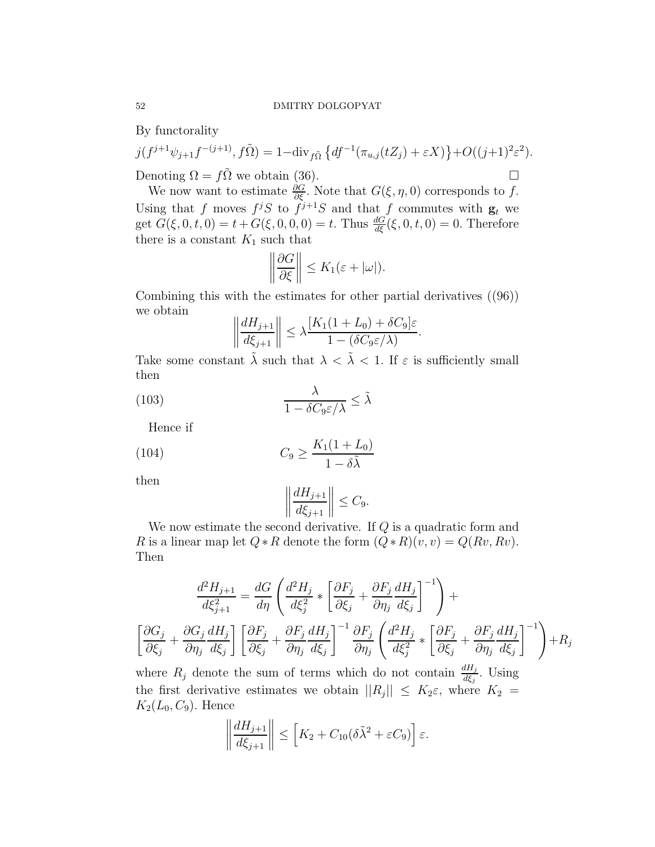By functorality

 $j(f^{j+1}\psi_{j+1}f^{-(j+1)}, f\tilde{\Omega}) = 1 - \text{div}_{f\tilde{\Omega}}\left\{df^{-1}(\pi_{u,j}(tZ_j) + \varepsilon X)\right\} + O((j+1)^2\varepsilon^2).$ Denoting  $\Omega = f\tilde{\Omega}$  we obtain (36).

We now want to estimate  $\frac{\partial G}{\partial \xi}$ . Note that  $G(\xi, \eta, 0)$  corresponds to f. Using that f moves  $f^jS$  to  $f^{j+1}S$  and that f commutes with  $g_t$  we get  $G(\xi, 0, t, 0) = t + G(\xi, 0, 0, 0) = t$ . Thus  $\frac{dG}{d\xi}(\xi, 0, t, 0) = 0$ . Therefore there is a constant  $K_1$  such that

$$
\left\|\frac{\partial G}{\partial \xi}\right\| \leq K_1(\varepsilon + |\omega|).
$$

Combining this with the estimates for other partial derivatives ((96)) we obtain

$$
\left\|\frac{dH_{j+1}}{d\xi_{j+1}}\right\| \leq \lambda \frac{[K_1(1+L_0) + \delta C_9]\varepsilon}{1 - (\delta C_9 \varepsilon/\lambda)}.
$$

Take some constant  $\tilde{\lambda}$  such that  $\lambda < \tilde{\lambda} < 1$ . If  $\varepsilon$  is sufficiently small then

(103) 
$$
\frac{\lambda}{1 - \delta C_9 \varepsilon / \lambda} \leq \tilde{\lambda}
$$

Hence if

$$
(104) \t C_9 \ge \frac{K_1(1+L_0)}{1-\delta\tilde{\lambda}}
$$

then

$$
\left\|\frac{dH_{j+1}}{d\xi_{j+1}}\right\| \leq C_9.
$$

We now estimate the second derivative. If Q is a quadratic form and R is a linear map let  $Q * R$  denote the form  $(Q * R)(v, v) = Q(Rv, Rv)$ . Then

$$
\frac{d^2 H_{j+1}}{d\xi_{j+1}^2} = \frac{dG}{d\eta} \left( \frac{d^2 H_j}{d\xi_j^2} * \left[ \frac{\partial F_j}{\partial \xi_j} + \frac{\partial F_j}{\partial \eta_j} \frac{dH_j}{d\xi_j} \right]^{-1} \right) +
$$
  

$$
\left[ \frac{\partial G_j}{\partial \xi_j} + \frac{\partial G_j}{\partial \eta_j} \frac{dH_j}{d\xi_j} \right] \left[ \frac{\partial F_j}{\partial \xi_j} + \frac{\partial F_j}{\partial \eta_j} \frac{dH_j}{d\xi_j} \right]^{-1} \frac{\partial F_j}{\partial \eta_j} \left( \frac{d^2 H_j}{d\xi_j^2} * \left[ \frac{\partial F_j}{\partial \xi_j} + \frac{\partial F_j}{\partial \eta_j} \frac{dH_j}{d\xi_j} \right]^{-1} \right) + R_j
$$

where  $R_j$  denote the sum of terms which do not contain  $\frac{dH_j}{d\xi_j}$ . Using the first derivative estimates we obtain  $||R_j|| \leq K_2 \varepsilon$ , where  $K_2 =$  $K_2(L_0, C_9)$ . Hence

$$
\left\|\frac{dH_{j+1}}{d\xi_{j+1}}\right\| \le \left[K_2 + C_{10}(\delta\tilde{\lambda}^2 + \varepsilon C_9)\right]\varepsilon.
$$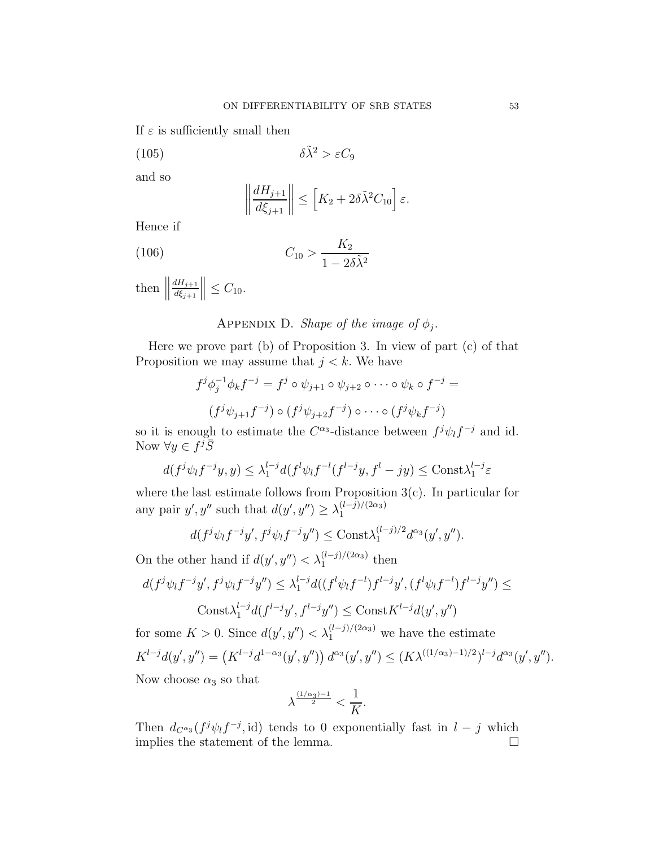If  $\varepsilon$  is sufficiently small then

(105)  $\delta \tilde{\lambda}^2 > \varepsilon C_9$ 

and so

$$
\left\|\frac{dH_{j+1}}{d\xi_{j+1}}\right\| \le \left[K_2 + 2\delta\tilde{\lambda}^2 C_{10}\right]\varepsilon.
$$

Hence if

$$
(106)\qquad \qquad C_{10} > \frac{K_2}{1 - 2\delta\tilde{\lambda}^2}
$$

then  $\parallel$  $dH_{j+1}$  $d\xi_{j+1}$  $\Big\| \leq C_{10}.$ 

# APPENDIX D. Shape of the image of  $\phi_j$ .

Here we prove part (b) of Proposition 3. In view of part (c) of that Proposition we may assume that  $j < k$ . We have

$$
f^j \phi_j^{-1} \phi_k f^{-j} = f^j \circ \psi_{j+1} \circ \psi_{j+2} \circ \cdots \circ \psi_k \circ f^{-j} =
$$
  

$$
(f^j \psi_{j+1} f^{-j}) \circ (f^j \psi_{j+2} f^{-j}) \circ \cdots \circ (f^j \psi_k f^{-j})
$$

so it is enough to estimate the  $C^{\alpha}$ -distance between  $f^{j}\psi_{l}f^{-j}$  and id. Now  $\forall y \in f^j \overline{S}$ 

$$
d(f^j \psi_l f^{-j} y, y) \le \lambda_1^{l-j} d(f^l \psi_l f^{-l}(f^{l-j} y, f^l - jy) \le \text{Const}\lambda_1^{l-j}\varepsilon
$$

where the last estimate follows from Proposition 3(c). In particular for any pair  $y', y''$  such that  $d(y', y'') \geq \lambda_1^{(l-j)/(2\alpha_3)}$ 1

$$
d(f^j\psi_l f^{-j}y', f^j\psi_l f^{-j}y'') \leq \text{Const}\lambda_1^{(l-j)/2}d^{\alpha_3}(y', y'').
$$

On the other hand if  $d(y', y'') < \lambda_1^{(l-j)/(2\alpha_3)}$  then

$$
d(f^{j}\psi_{l}f^{-j}y',f^{j}\psi_{l}f^{-j}y'') \leq \lambda_{1}^{l-j}d((f^{l}\psi_{l}f^{-l})f^{l-j}y',(f^{l}\psi_{l}f^{-l})f^{l-j}y'') \leq
$$
  

$$
Const\lambda_{1}^{l-j}d(f^{l-j}y',f^{l-j}y'') \leq Const K^{l-j}d(y',y'')
$$

for some  $K > 0$ . Since  $d(y', y'') < \lambda_1^{(l-j)/(2\alpha_3)}$  we have the estimate  $K^{l-j}d(y', y'') = (K^{l-j}d^{1-\alpha_3}(y', y'')) d^{\alpha_3}(y', y'') \le (K\lambda^{((1/\alpha_3)-1)/2})^{l-j}d^{\alpha_3}(y', y'').$ Now choose  $\alpha_3$  so that

$$
\lambda^{\frac{(1/\alpha_3)-1}{2}} < \frac{1}{K}.
$$

Then  $d_{C^{\alpha_3}}(f^j\psi_l f^{-j}, id)$  tends to 0 exponentially fast in  $l - j$  which implies the statement of the lemma.  $\Box$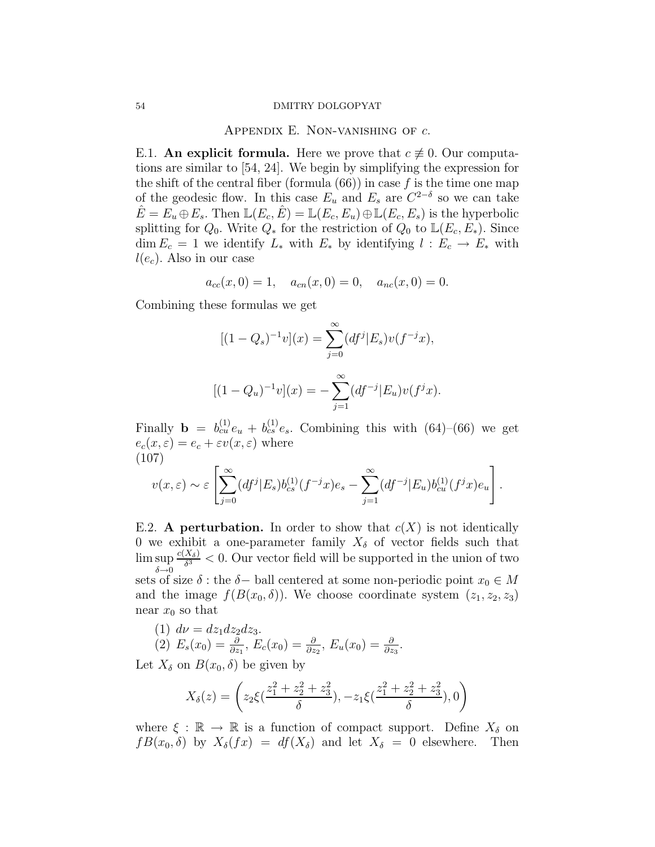APPENDIX E. NON-VANISHING OF  $c$ .

E.1. An explicit formula. Here we prove that  $c \neq 0$ . Our computations are similar to [54, 24]. We begin by simplifying the expression for the shift of the central fiber (formula  $(66)$ ) in case f is the time one map of the geodesic flow. In this case  $E_u$  and  $E_s$  are  $C^{2-\delta}$  so we can take  $\hat{E} = E_u \oplus E_s$ . Then  $\mathbb{L}(E_c, \hat{E}) = \mathbb{L}(E_c, E_u) \oplus \mathbb{L}(E_c, E_s)$  is the hyperbolic splitting for  $Q_0$ . Write  $Q_*$  for the restriction of  $Q_0$  to  $\mathbb{L}(E_c, E_*)$ . Since  $\dim E_c = 1$  we identify  $L_*$  with  $E_*$  by identifying  $l : E_c \to E_*$  with  $l(e_c)$ . Also in our case

$$
a_{cc}(x,0) = 1
$$
,  $a_{cn}(x,0) = 0$ ,  $a_{nc}(x,0) = 0$ .

Combining these formulas we get

$$
[(1 - Q_s)^{-1}v](x) = \sum_{j=0}^{\infty} (df^j|E_s)v(f^{-j}x),
$$

$$
[(1 - Q_u)^{-1}v](x) = -\sum_{j=1}^{\infty} (df^{-j}|E_u)v(f^jx).
$$

Finally  $\mathbf{b} = b_{cu}^{(1)} e_u + b_{cs}^{(1)} e_s$ . Combining this with  $(64)$ – $(66)$  we get  $e_c(x,\varepsilon) = e_c + \varepsilon v(x,\varepsilon)$  where (107)

$$
v(x,\varepsilon) \sim \varepsilon \left[ \sum_{j=0}^{\infty} (df^j | E_s) b_{cs}^{(1)} (f^{-j} x) e_s - \sum_{j=1}^{\infty} (df^{-j} | E_u) b_{cu}^{(1)} (f^j x) e_u \right].
$$

E.2. A perturbation. In order to show that  $c(X)$  is not identically 0 we exhibit a one-parameter family  $X_{\delta}$  of vector fields such that  $\limsup \frac{c(X_\delta)}{\delta^3}$  $\delta \rightarrow 0$  $\frac{\Lambda_{\delta}^{j}}{\delta^{3}}$  < 0. Our vector field will be supported in the union of two sets of size  $\delta$  : the  $\delta$  - ball centered at some non-periodic point  $x_0 \in M$ and the image  $f(B(x_0, \delta))$ . We choose coordinate system  $(z_1, z_2, z_3)$ near  $x_0$  so that

(1) 
$$
d\nu = dz_1 dz_2 dz_3.
$$
  
(2) 
$$
E_s(x_0) = \frac{\partial}{\partial z_1}, E_c(x_0) = \frac{\partial}{\partial z_2}, E_u(x_0) = \frac{\partial}{\partial z_3}.
$$

Let  $X_{\delta}$  on  $B(x_0, \delta)$  be given by

$$
X_{\delta}(z) = \left(z_2\xi\left(\frac{z_1^2 + z_2^2 + z_3^2}{\delta}\right), -z_1\xi\left(\frac{z_1^2 + z_2^2 + z_3^2}{\delta}\right), 0\right)
$$

where  $\xi : \mathbb{R} \to \mathbb{R}$  is a function of compact support. Define  $X_{\delta}$  on  $fB(x_0, \delta)$  by  $X_{\delta}(fx) = df(X_{\delta})$  and let  $X_{\delta} = 0$  elsewhere. Then  $fB(x_0, \delta)$  by  $X_\delta(fx) = df(X_\delta)$  and let  $X_\delta = 0$  elsewhere.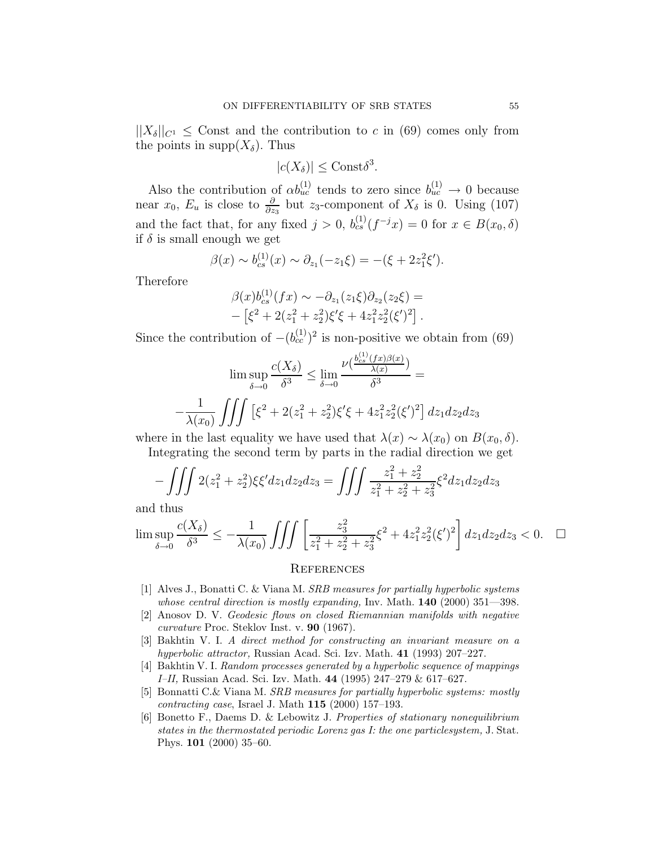$||X_{\delta}||_{C^1} \leq$  Const and the contribution to c in (69) comes only from the points in supp $(X_{\delta})$ . Thus

$$
|c(X_{\delta})| \leq \text{Const}\delta^3.
$$

Also the contribution of  $\alpha b_{uc}^{(1)}$  tends to zero since  $b_{uc}^{(1)} \rightarrow 0$  because near  $x_0$ ,  $E_u$  is close to  $\frac{\partial}{\partial z_3}$  but  $z_3$ -component of  $X_\delta$  is 0. Using (107) and the fact that, for any fixed  $j > 0$ ,  $b_{cs}^{(1)}(f^{-j}x) = 0$  for  $x \in B(x_0, \delta)$ if  $\delta$  is small enough we get

$$
\beta(x) \sim b_{cs}^{(1)}(x) \sim \partial_{z_1}(-z_1\xi) = -(\xi + 2z_1^2\xi').
$$

Therefore

$$
\beta(x)b_{cs}^{(1)}(fx) \sim -\partial_{z_1}(z_1\xi)\partial_{z_2}(z_2\xi) = -\left[\xi^2 + 2(z_1^2 + z_2^2)\xi'\xi + 4z_1^2z_2^2(\xi')^2\right].
$$

Since the contribution of  $-(b_{cc}^{(1)})^2$  is non-positive we obtain from (69)

$$
\limsup_{\delta \to 0} \frac{c(X_{\delta})}{\delta^3} \le \lim_{\delta \to 0} \frac{\nu(\frac{b_{cs}^{(1)}(fx)\beta(x)}{\lambda(x)})}{\delta^3} =
$$

$$
-\frac{1}{\lambda(x_0)} \iiint \left[ \xi^2 + 2(z_1^2 + z_2^2)\xi'\xi + 4z_1^2 z_2^2(\xi')^2 \right] dz_1 dz_2 dz_3
$$

where in the last equality we have used that  $\lambda(x) \sim \lambda(x_0)$  on  $B(x_0, \delta)$ . Integrating the second term by parts in the radial direction we get

$$
-\iiint 2(z_1^2 + z_2^2)\xi\zeta' dz_1 dz_2 dz_3 = \iiint \frac{z_1^2 + z_2^2}{z_1^2 + z_2^2 + z_3^2}\xi^2 dz_1 dz_2 dz_3
$$

and thus

$$
\limsup_{\delta \to 0} \frac{c(X_{\delta})}{\delta^3} \le -\frac{1}{\lambda(x_0)} \iiint \left[ \frac{z_3^2}{z_1^2 + z_2^2 + z_3^2} \xi^2 + 4z_1^2 z_2^2 (\xi')^2 \right] dz_1 dz_2 dz_3 < 0. \quad \Box
$$

#### **REFERENCES**

- [1] Alves J., Bonatti C. & Viana M. SRB measures for partially hyperbolic systems whose central direction is mostly expanding, Inv. Math. **140** (2000) 351—398.
- [2] Anosov D. V. Geodesic flows on closed Riemannian manifolds with negative curvature Proc. Steklov Inst. v. 90 (1967).
- [3] Bakhtin V. I. A direct method for constructing an invariant measure on a hyperbolic attractor, Russian Acad. Sci. Izv. Math. 41 (1993) 207-227.
- [4] Bakhtin V. I. Random processes generated by a hyperbolic sequence of mappings I–II, Russian Acad. Sci. Izv. Math. 44 (1995) 247–279 & 617–627.
- [5] Bonnatti C.& Viana M. SRB measures for partially hyperbolic systems: mostly contracting case, Israel J. Math  $115$  (2000) 157–193.
- [6] Bonetto F., Daems D. & Lebowitz J. Properties of stationary nonequilibrium states in the thermostated periodic Lorenz gas I: the one particlesystem, J. Stat. Phys. 101 (2000) 35–60.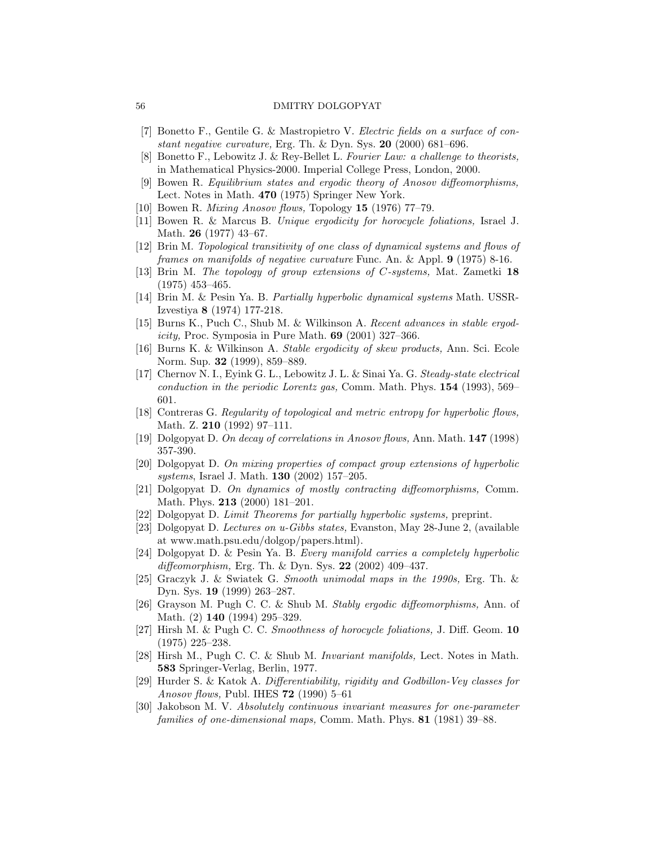- [7] Bonetto F., Gentile G. & Mastropietro V. Electric fields on a surface of constant negative curvature, Erg. Th. & Dyn. Sys. 20 (2000) 681–696.
- [8] Bonetto F., Lebowitz J. & Rey-Bellet L. Fourier Law: a challenge to theorists, in Mathematical Physics-2000. Imperial College Press, London, 2000.
- [9] Bowen R. Equilibrium states and ergodic theory of Anosov diffeomorphisms, Lect. Notes in Math. 470 (1975) Springer New York.
- [10] Bowen R. Mixing Anosov flows, Topology 15 (1976) 77–79.
- [11] Bowen R. & Marcus B. Unique ergodicity for horocycle foliations, Israel J. Math. 26 (1977) 43–67.
- [12] Brin M. Topological transitivity of one class of dynamical systems and flows of frames on manifolds of negative curvature Func. An. & Appl. 9 (1975) 8-16.
- [13] Brin M. The topology of group extensions of C-systems, Mat. Zametki 18 (1975) 453–465.
- [14] Brin M. & Pesin Ya. B. Partially hyperbolic dynamical systems Math. USSR-Izvestiya 8 (1974) 177-218.
- [15] Burns K., Puch C., Shub M. & Wilkinson A. Recent advances in stable ergodicity, Proc. Symposia in Pure Math.  $69$  (2001) 327-366.
- [16] Burns K. & Wilkinson A. Stable ergodicity of skew products, Ann. Sci. Ecole Norm. Sup. 32 (1999), 859–889.
- [17] Chernov N. I., Eyink G. L., Lebowitz J. L. & Sinai Ya. G. Steady-state electrical conduction in the periodic Lorentz gas, Comm. Math. Phys. 154 (1993), 569– 601.
- [18] Contreras G. Regularity of topological and metric entropy for hyperbolic flows, Math. Z. 210 (1992) 97–111.
- [19] Dolgopyat D. On decay of correlations in Anosov flows, Ann. Math. 147 (1998) 357-390.
- [20] Dolgopyat D. On mixing properties of compact group extensions of hyperbolic systems, Israel J. Math. **130** (2002) 157-205.
- [21] Dolgopyat D. On dynamics of mostly contracting diffeomorphisms, Comm. Math. Phys. **213** (2000) 181–201.
- [22] Dolgopyat D. Limit Theorems for partially hyperbolic systems, preprint.
- [23] Dolgopyat D. Lectures on u-Gibbs states, Evanston, May 28-June 2, (available at www.math.psu.edu/dolgop/papers.html).
- [24] Dolgopyat D. & Pesin Ya. B. Every manifold carries a completely hyperbolic diffeomorphism, Erg. Th. & Dyn. Sys. **22** (2002) 409-437.
- [25] Graczyk J. & Swiatek G. Smooth unimodal maps in the 1990s, Erg. Th. & Dyn. Sys. 19 (1999) 263–287.
- [26] Grayson M. Pugh C. C. & Shub M. Stably ergodic diffeomorphisms, Ann. of Math. (2) 140 (1994) 295–329.
- [27] Hirsh M. & Pugh C. C. Smoothness of horocycle foliations, J. Diff. Geom. 10 (1975) 225–238.
- [28] Hirsh M., Pugh C. C. & Shub M. Invariant manifolds, Lect. Notes in Math. 583 Springer-Verlag, Berlin, 1977.
- [29] Hurder S. & Katok A. Differentiability, rigidity and Godbillon-Vey classes for Anosov flows, Publ. IHES 72 (1990) 5–61
- [30] Jakobson M. V. Absolutely continuous invariant measures for one-parameter families of one-dimensional maps, Comm. Math. Phys. 81 (1981) 39–88.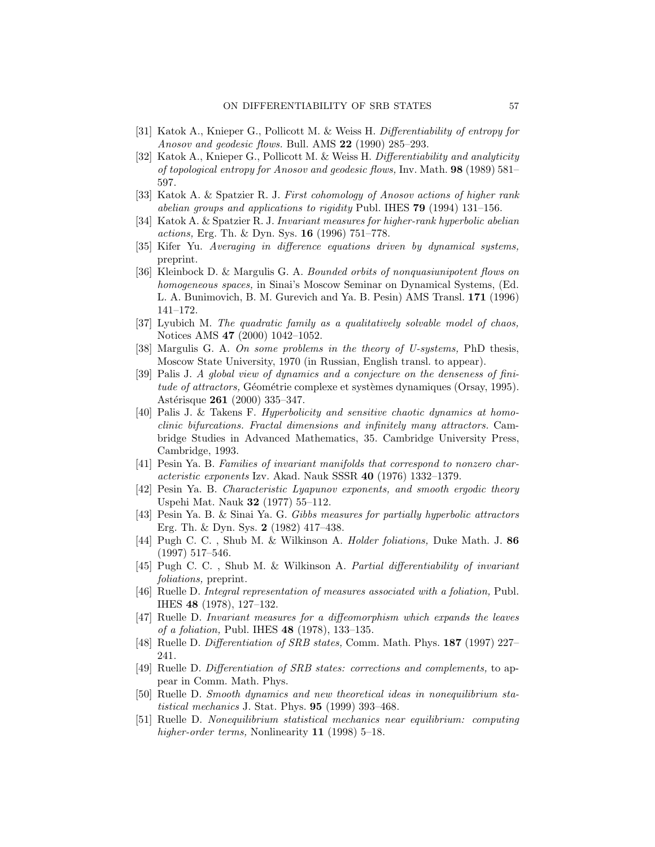- [31] Katok A., Knieper G., Pollicott M. & Weiss H. Differentiability of entropy for Anosov and geodesic flows. Bull. AMS 22 (1990) 285–293.
- [32] Katok A., Knieper G., Pollicott M. & Weiss H. Differentiability and analyticity of topological entropy for Anosov and geodesic flows, Inv. Math. 98 (1989) 581– 597.
- [33] Katok A. & Spatzier R. J. First cohomology of Anosov actions of higher rank abelian groups and applications to rigidity Publ. IHES **79** (1994) 131–156.
- [34] Katok A. & Spatzier R. J. Invariant measures for higher-rank hyperbolic abelian actions, Erg. Th. & Dyn. Sys. 16 (1996) 751–778.
- [35] Kifer Yu. Averaging in difference equations driven by dynamical systems, preprint.
- [36] Kleinbock D. & Margulis G. A. Bounded orbits of nonquasiunipotent flows on homogeneous spaces, in Sinai's Moscow Seminar on Dynamical Systems, (Ed. L. A. Bunimovich, B. M. Gurevich and Ya. B. Pesin) AMS Transl. 171 (1996) 141–172.
- [37] Lyubich M. The quadratic family as a qualitatively solvable model of chaos, Notices AMS 47 (2000) 1042–1052.
- [38] Margulis G. A. On some problems in the theory of U-systems, PhD thesis, Moscow State University, 1970 (in Russian, English transl. to appear).
- [39] Palis J. A global view of dynamics and a conjecture on the denseness of finitude of attractors, Géométrie complexe et systèmes dynamiques (Orsay, 1995). Astérisque 261 (2000) 335-347.
- [40] Palis J. & Takens F. Hyperbolicity and sensitive chaotic dynamics at homoclinic bifurcations. Fractal dimensions and infinitely many attractors. Cambridge Studies in Advanced Mathematics, 35. Cambridge University Press, Cambridge, 1993.
- [41] Pesin Ya. B. Families of invariant manifolds that correspond to nonzero characteristic exponents Izv. Akad. Nauk SSSR 40 (1976) 1332–1379.
- [42] Pesin Ya. B. Characteristic Lyapunov exponents, and smooth ergodic theory Uspehi Mat. Nauk 32 (1977) 55–112.
- [43] Pesin Ya. B. & Sinai Ya. G. Gibbs measures for partially hyperbolic attractors Erg. Th. & Dyn. Sys. 2 (1982) 417–438.
- [44] Pugh C. C. , Shub M. & Wilkinson A. Holder foliations, Duke Math. J. 86 (1997) 517–546.
- [45] Pugh C. C. , Shub M. & Wilkinson A. Partial differentiability of invariant foliations, preprint.
- [46] Ruelle D. Integral representation of measures associated with a foliation, Publ. IHES 48 (1978), 127–132.
- [47] Ruelle D. Invariant measures for a diffeomorphism which expands the leaves of a foliation, Publ. IHES 48 (1978), 133–135.
- [48] Ruelle D. Differentiation of SRB states, Comm. Math. Phys. 187 (1997) 227– 241.
- [49] Ruelle D. Differentiation of SRB states: corrections and complements, to appear in Comm. Math. Phys.
- [50] Ruelle D. Smooth dynamics and new theoretical ideas in nonequilibrium statistical mechanics J. Stat. Phys. 95 (1999) 393–468.
- [51] Ruelle D. Nonequilibrium statistical mechanics near equilibrium: computing higher-order terms, Nonlinearity 11 (1998) 5-18.